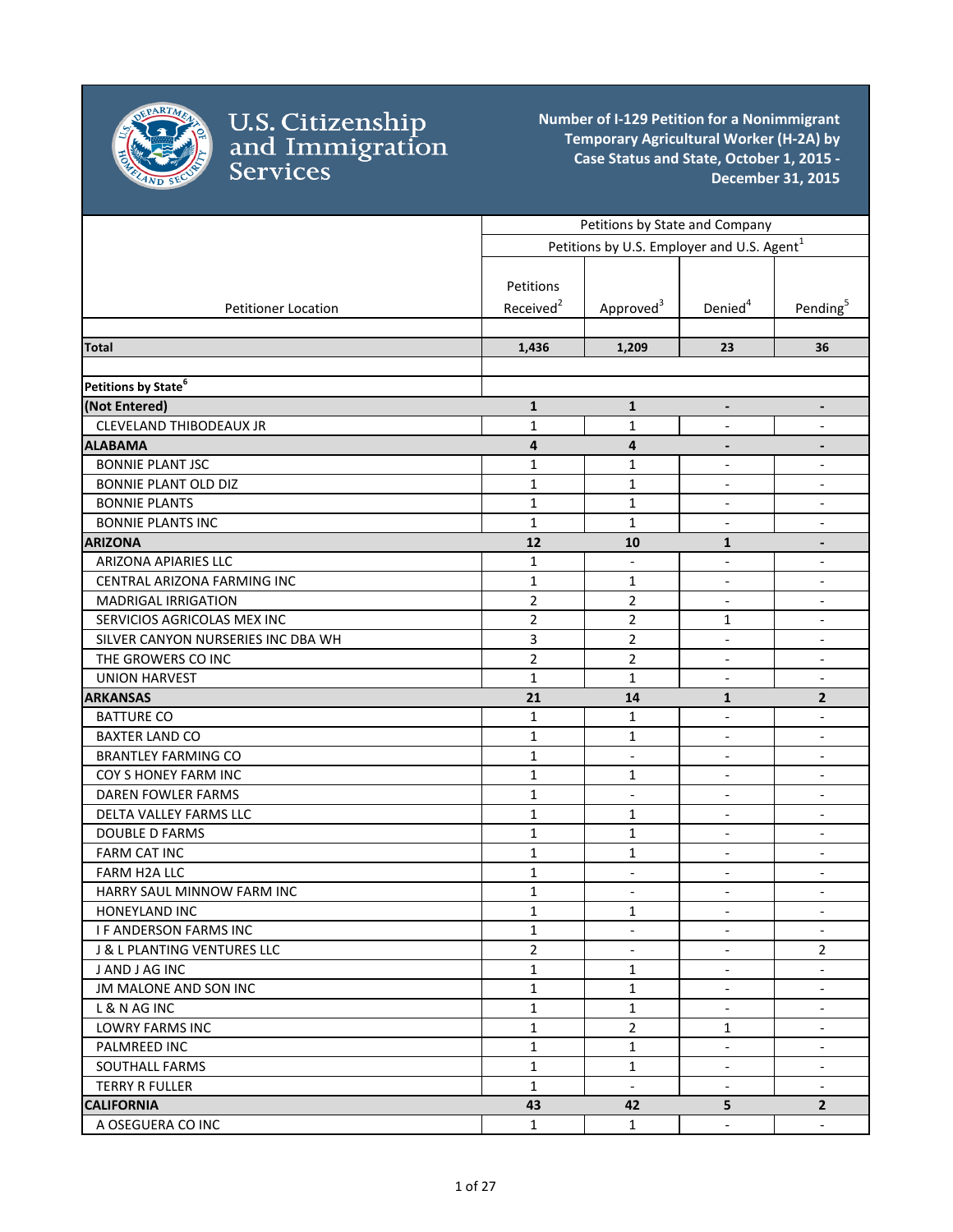

|                                    |                       | Petitions by State and Company                         |                          |                              |
|------------------------------------|-----------------------|--------------------------------------------------------|--------------------------|------------------------------|
|                                    |                       | Petitions by U.S. Employer and U.S. Agent <sup>1</sup> |                          |                              |
|                                    |                       |                                                        |                          |                              |
|                                    | Petitions             |                                                        |                          |                              |
| <b>Petitioner Location</b>         | Received <sup>2</sup> | Approved <sup>3</sup>                                  | Denied <sup>4</sup>      | Pending <sup>5</sup>         |
|                                    |                       |                                                        |                          |                              |
| Total                              | 1,436                 | 1,209                                                  | 23                       | 36                           |
|                                    |                       |                                                        |                          |                              |
| Petitions by State <sup>6</sup>    |                       |                                                        |                          |                              |
| (Not Entered)                      | $\mathbf{1}$          | $\mathbf{1}$                                           | $\overline{\phantom{a}}$ | $\overline{\phantom{a}}$     |
| CLEVELAND THIBODEAUX JR            | $\mathbf{1}$          | 1                                                      | $\overline{\phantom{a}}$ | $\overline{a}$               |
| <b>ALABAMA</b>                     | 4                     | 4                                                      |                          |                              |
| <b>BONNIE PLANT JSC</b>            | $\mathbf{1}$          | $\mathbf{1}$                                           |                          | $\blacksquare$               |
| BONNIE PLANT OLD DIZ               | $\mathbf{1}$          | $\mathbf 1$                                            | $\overline{\phantom{a}}$ | $\overline{\phantom{a}}$     |
| <b>BONNIE PLANTS</b>               | $\mathbf{1}$          | $\mathbf{1}$                                           | $\blacksquare$           | $\overline{\phantom{a}}$     |
| <b>BONNIE PLANTS INC</b>           | $\mathbf{1}$          | $\mathbf{1}$                                           | $\blacksquare$           | $\overline{\phantom{a}}$     |
| <b>ARIZONA</b>                     | 12                    | 10                                                     | $\mathbf{1}$             |                              |
| ARIZONA APIARIES LLC               | 1                     | $\overline{\phantom{a}}$                               | $\overline{\phantom{a}}$ | $\overline{\phantom{a}}$     |
| CENTRAL ARIZONA FARMING INC        | $\mathbf{1}$          | $\mathbf{1}$                                           | $\blacksquare$           | $\overline{\phantom{a}}$     |
| <b>MADRIGAL IRRIGATION</b>         | $\overline{2}$        | 2                                                      | $\overline{\phantom{a}}$ | $\overline{\phantom{a}}$     |
| SERVICIOS AGRICOLAS MEX INC        | $\overline{2}$        | $\overline{2}$                                         | 1                        | $\overline{\phantom{a}}$     |
| SILVER CANYON NURSERIES INC DBA WH | 3                     | $\overline{2}$                                         | $\blacksquare$           | $\overline{\phantom{a}}$     |
| THE GROWERS CO INC                 | $\overline{2}$        | $\overline{2}$                                         | $\blacksquare$           | $\blacksquare$               |
| <b>UNION HARVEST</b>               | $\mathbf{1}$          | 1                                                      |                          | $\blacksquare$               |
| <b>ARKANSAS</b>                    | 21                    | 14                                                     | $\mathbf{1}$             | $\overline{2}$               |
| <b>BATTURE CO</b>                  | $\mathbf{1}$          | 1                                                      | $\overline{\phantom{a}}$ | $\overline{\phantom{a}}$     |
| <b>BAXTER LAND CO</b>              | $\mathbf{1}$          | $\mathbf{1}$                                           |                          | $\blacksquare$               |
| <b>BRANTLEY FARMING CO</b>         | $\mathbf{1}$          | $\blacksquare$                                         | $\blacksquare$           | $\blacksquare$               |
| COY S HONEY FARM INC               | $\mathbf{1}$          | $\mathbf{1}$                                           | $\overline{\phantom{a}}$ | $\overline{\phantom{a}}$     |
| DAREN FOWLER FARMS                 | $\mathbf{1}$          | $\overline{\phantom{a}}$                               | $\overline{\phantom{a}}$ | $\qquad \qquad \blacksquare$ |
| DELTA VALLEY FARMS LLC             | $\mathbf{1}$          | $\mathbf{1}$                                           | $\overline{\phantom{a}}$ | $\overline{\phantom{a}}$     |
| <b>DOUBLE D FARMS</b>              | $\mathbf{1}$          | $\mathbf{1}$                                           | $\overline{\phantom{a}}$ | $\overline{\phantom{a}}$     |
| <b>FARM CAT INC</b>                | $\mathbf{1}$          | $\mathbf 1$                                            | $\overline{\phantom{a}}$ | $\overline{\phantom{a}}$     |
| FARM H2A LLC                       | $\mathbf{1}$          | $\overline{\phantom{a}}$                               | $\overline{\phantom{a}}$ | $\blacksquare$               |
| HARRY SAUL MINNOW FARM INC         | $\mathbf{1}$          | $\overline{\phantom{a}}$                               | $\overline{\phantom{a}}$ | $\overline{\phantom{a}}$     |
| HONEYLAND INC                      | $\mathbf{1}$          | $\mathbf 1$                                            |                          |                              |
| <b>IF ANDERSON FARMS INC</b>       | $\mathbf{1}$          | $\blacksquare$                                         | $\blacksquare$           | $\blacksquare$               |
| J & L PLANTING VENTURES LLC        | $\overline{2}$        |                                                        |                          | 2                            |
| J AND J AG INC                     | $\mathbf{1}$          | 1                                                      |                          |                              |
| JM MALONE AND SON INC              | $\mathbf{1}$          | 1                                                      | $\blacksquare$           | $\blacksquare$               |
| L & N AG INC                       | $\mathbf{1}$          | 1                                                      | $\blacksquare$           | $\overline{\phantom{a}}$     |
| LOWRY FARMS INC                    | $\mathbf{1}$          | 2                                                      | 1                        | $\overline{\phantom{a}}$     |
| PALMREED INC                       | $\mathbf{1}$          | 1                                                      | $\overline{\phantom{a}}$ | $\overline{\phantom{a}}$     |
| SOUTHALL FARMS                     | $\mathbf{1}$          | 1                                                      | $\overline{\phantom{a}}$ | $\overline{\phantom{a}}$     |
| <b>TERRY R FULLER</b>              | $\mathbf 1$           | $\blacksquare$                                         | $\overline{\phantom{a}}$ | $\overline{\phantom{a}}$     |
| <b>CALIFORNIA</b>                  | 43                    | 42                                                     | 5                        | $2^{\circ}$                  |
| A OSEGUERA CO INC                  | $\mathbf 1$           | $\mathbf 1$                                            | $\overline{\phantom{a}}$ | $\overline{\phantom{a}}$     |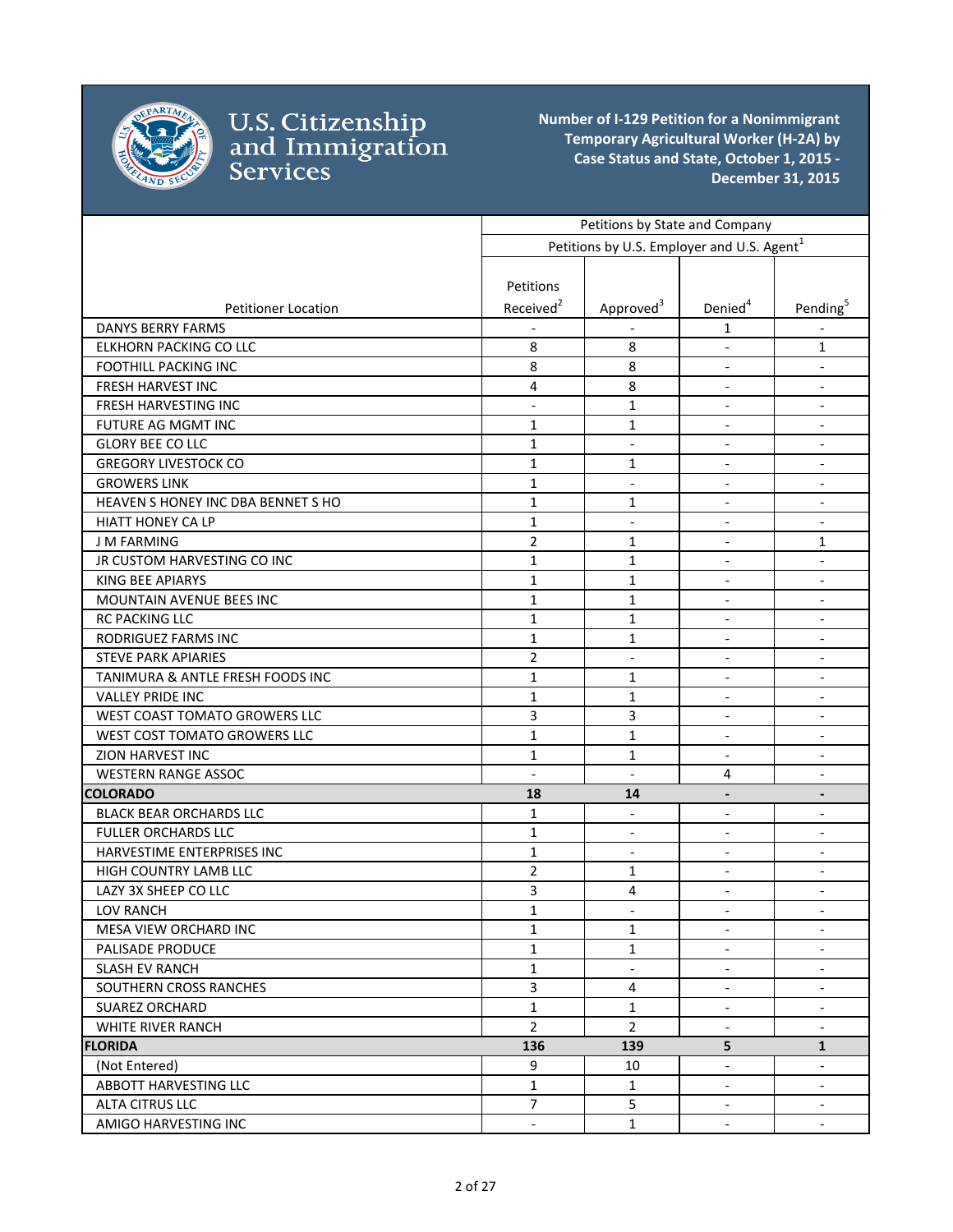

|                                    |                          | Petitions by State and Company                         |                          |                              |
|------------------------------------|--------------------------|--------------------------------------------------------|--------------------------|------------------------------|
|                                    |                          | Petitions by U.S. Employer and U.S. Agent <sup>1</sup> |                          |                              |
|                                    |                          |                                                        |                          |                              |
|                                    | Petitions                |                                                        |                          |                              |
| <b>Petitioner Location</b>         | Received <sup>2</sup>    | Approved <sup>3</sup>                                  | Denied <sup>4</sup>      | Pending <sup>5</sup>         |
| <b>DANYS BERRY FARMS</b>           |                          |                                                        | 1                        |                              |
| ELKHORN PACKING CO LLC             | 8                        | 8                                                      | $\blacksquare$           | 1                            |
| <b>FOOTHILL PACKING INC</b>        | 8                        | 8                                                      | $\overline{\phantom{a}}$ | $\overline{\phantom{a}}$     |
| <b>FRESH HARVEST INC</b>           | $\overline{4}$           | 8                                                      | $\overline{\phantom{a}}$ | $\overline{\phantom{a}}$     |
| FRESH HARVESTING INC               | $\overline{\phantom{0}}$ | $\mathbf{1}$                                           | $\overline{\phantom{a}}$ | $\overline{\phantom{a}}$     |
| FUTURE AG MGMT INC                 | $\mathbf{1}$             | 1                                                      | $\overline{\phantom{a}}$ | $\overline{\phantom{a}}$     |
| <b>GLORY BEE CO LLC</b>            | $\mathbf{1}$             | $\blacksquare$                                         | $\blacksquare$           | $\overline{\phantom{a}}$     |
| <b>GREGORY LIVESTOCK CO</b>        | $\mathbf{1}$             | 1                                                      | $\blacksquare$           | $\overline{\phantom{a}}$     |
| <b>GROWERS LINK</b>                | $\mathbf{1}$             | $\overline{\phantom{a}}$                               | $\overline{\phantom{a}}$ | $\overline{\phantom{a}}$     |
| HEAVEN S HONEY INC DBA BENNET S HO | $\mathbf{1}$             | 1                                                      | $\overline{\phantom{a}}$ | $\overline{\phantom{a}}$     |
| <b>HIATT HONEY CA LP</b>           | $\mathbf{1}$             | $\blacksquare$                                         | $\overline{\phantom{a}}$ |                              |
| <b>J M FARMING</b>                 | $\overline{2}$           | 1                                                      | $\blacksquare$           | $\mathbf{1}$                 |
| JR CUSTOM HARVESTING CO INC        | $\mathbf{1}$             | $\mathbf{1}$                                           | $\overline{\phantom{a}}$ | $\overline{\phantom{a}}$     |
| <b>KING BEE APIARYS</b>            | $\mathbf{1}$             | $\mathbf{1}$                                           | $\blacksquare$           | $\overline{\phantom{a}}$     |
| MOUNTAIN AVENUE BEES INC           | $\mathbf{1}$             | $\mathbf{1}$                                           | $\blacksquare$           | $\blacksquare$               |
| RC PACKING LLC                     | $\mathbf{1}$             | $\mathbf{1}$                                           | $\overline{\phantom{a}}$ | $\overline{\phantom{a}}$     |
| RODRIGUEZ FARMS INC                | $\mathbf{1}$             | 1                                                      | $\overline{\phantom{a}}$ | $\overline{\phantom{a}}$     |
| <b>STEVE PARK APIARIES</b>         | $\overline{2}$           | $\blacksquare$                                         | $\blacksquare$           | $\overline{\phantom{a}}$     |
| TANIMURA & ANTLE FRESH FOODS INC   | $\mathbf{1}$             | $\mathbf{1}$                                           | $\overline{\phantom{a}}$ | $\overline{\phantom{a}}$     |
| <b>VALLEY PRIDE INC</b>            | 1                        | 1                                                      | $\blacksquare$           | $\overline{\phantom{a}}$     |
| WEST COAST TOMATO GROWERS LLC      | 3                        | 3                                                      | $\blacksquare$           | $\overline{\phantom{a}}$     |
| WEST COST TOMATO GROWERS LLC       | $\mathbf{1}$             | $\mathbf{1}$                                           | $\overline{\phantom{a}}$ | $\overline{\phantom{a}}$     |
| ZION HARVEST INC                   | $\mathbf{1}$             | 1                                                      | $\overline{\phantom{a}}$ | $\overline{\phantom{a}}$     |
| <b>WESTERN RANGE ASSOC</b>         | $\overline{a}$           | $\overline{\phantom{a}}$                               | 4                        | $\blacksquare$               |
| <b>COLORADO</b>                    | 18                       | 14                                                     | $\overline{a}$           | $\qquad \qquad \blacksquare$ |
| BLACK BEAR ORCHARDS LLC            | 1                        | $\overline{\phantom{a}}$                               | $\overline{\phantom{a}}$ | $\overline{\phantom{a}}$     |
| <b>FULLER ORCHARDS LLC</b>         | $\mathbf{1}$             | $\blacksquare$                                         | $\blacksquare$           | $\overline{\phantom{a}}$     |
| HARVESTIME ENTERPRISES INC         | $\mathbf{1}$             | $\overline{\phantom{a}}$                               | $\overline{\phantom{a}}$ | $\overline{\phantom{a}}$     |
| <b>HIGH COUNTRY LAMB LLC</b>       | $\overline{2}$           | 1                                                      | $\overline{\phantom{a}}$ | $\overline{\phantom{a}}$     |
| LAZY 3X SHEEP CO LLC               | 3                        | 4                                                      | $\overline{\phantom{a}}$ | $\overline{\phantom{a}}$     |
| LOV RANCH                          | $\mathbf 1$              | $\blacksquare$                                         | $\overline{\phantom{a}}$ |                              |
| MESA VIEW ORCHARD INC              | $\mathbf{1}$             | $\mathbf{1}$                                           | $\overline{\phantom{a}}$ | $\overline{\phantom{a}}$     |
| PALISADE PRODUCE                   | $\mathbf{1}$             | $\mathbf{1}$                                           | $\blacksquare$           |                              |
| <b>SLASH EV RANCH</b>              | $\mathbf{1}$             | $\overline{\phantom{a}}$                               | $\overline{\phantom{a}}$ | $\overline{\phantom{a}}$     |
| SOUTHERN CROSS RANCHES             | $\overline{3}$           | 4                                                      | $\overline{\phantom{a}}$ |                              |
| <b>SUAREZ ORCHARD</b>              | $\mathbf{1}$             | $\mathbf{1}$                                           | $\overline{\phantom{a}}$ | $\overline{\phantom{a}}$     |
| <b>WHITE RIVER RANCH</b>           | $2^{\circ}$              | $\overline{2}$                                         | $\blacksquare$           | $\overline{\phantom{a}}$     |
| <b>FLORIDA</b>                     | 136                      | 139                                                    | 5                        | $\mathbf{1}$                 |
| (Not Entered)                      | 9                        | 10                                                     | $\overline{\phantom{a}}$ | $\overline{\phantom{a}}$     |
| ABBOTT HARVESTING LLC              | $\mathbf{1}$             | $\mathbf{1}$                                           | $\blacksquare$           | $\overline{\phantom{a}}$     |
| ALTA CITRUS LLC                    | 7 <sup>7</sup>           | 5                                                      | $\overline{\phantom{a}}$ | $\overline{\phantom{a}}$     |
| AMIGO HARVESTING INC               | $\overline{\phantom{a}}$ | $\mathbf{1}$                                           | $\overline{\phantom{a}}$ | $\overline{\phantom{a}}$     |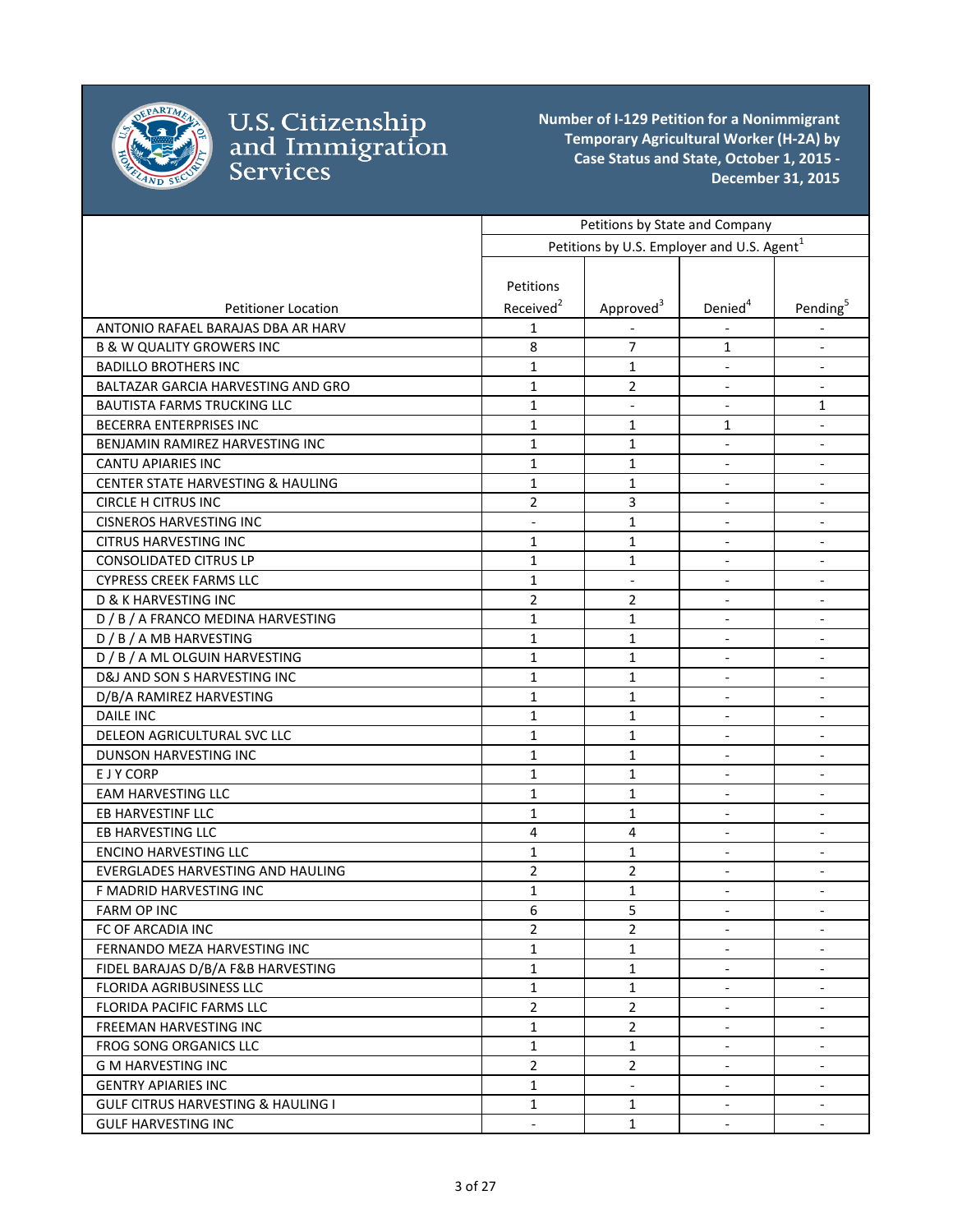

|                                               | Petitions by State and Company |                                                        |                          |                              |
|-----------------------------------------------|--------------------------------|--------------------------------------------------------|--------------------------|------------------------------|
|                                               |                                | Petitions by U.S. Employer and U.S. Agent <sup>1</sup> |                          |                              |
|                                               |                                |                                                        |                          |                              |
|                                               | Petitions                      |                                                        |                          |                              |
| <b>Petitioner Location</b>                    | Received <sup>2</sup>          | Approved <sup>3</sup>                                  | Denied <sup>4</sup>      | Pending <sup>5</sup>         |
| ANTONIO RAFAEL BARAJAS DBA AR HARV            | 1                              |                                                        |                          |                              |
| <b>B &amp; W QUALITY GROWERS INC</b>          | 8                              | 7                                                      | 1                        | $\overline{\phantom{a}}$     |
| <b>BADILLO BROTHERS INC</b>                   | $\mathbf{1}$                   | 1                                                      |                          | $\overline{\phantom{a}}$     |
| BALTAZAR GARCIA HARVESTING AND GRO            | $\mathbf{1}$                   | 2                                                      | $\overline{\phantom{a}}$ | $\overline{\phantom{a}}$     |
| BAUTISTA FARMS TRUCKING LLC                   | $\mathbf{1}$                   | $\overline{\phantom{a}}$                               | $\overline{\phantom{a}}$ | 1                            |
| <b>BECERRA ENTERPRISES INC</b>                | 1                              | 1                                                      | 1                        | $\overline{\phantom{a}}$     |
| BENJAMIN RAMIREZ HARVESTING INC               | $\mathbf{1}$                   | 1                                                      | $\overline{\phantom{a}}$ | $\Box$                       |
| <b>CANTU APIARIES INC</b>                     | $\mathbf{1}$                   | 1                                                      | $\blacksquare$           | $\overline{\phantom{a}}$     |
| <b>CENTER STATE HARVESTING &amp; HAULING</b>  | $\mathbf{1}$                   | 1                                                      |                          | $\overline{\phantom{a}}$     |
| <b>CIRCLE H CITRUS INC</b>                    | $\overline{2}$                 | 3                                                      | $\overline{\phantom{a}}$ |                              |
| <b>CISNEROS HARVESTING INC</b>                | $\overline{\phantom{a}}$       | $\mathbf{1}$                                           | $\overline{\phantom{a}}$ | $\blacksquare$               |
| <b>CITRUS HARVESTING INC</b>                  | $\mathbf{1}$                   | $\mathbf{1}$                                           | $\overline{\phantom{a}}$ | $\blacksquare$               |
| <b>CONSOLIDATED CITRUS LP</b>                 | $\mathbf{1}$                   | $\mathbf{1}$                                           | $\overline{\phantom{a}}$ | $\overline{\phantom{a}}$     |
| <b>CYPRESS CREEK FARMS LLC</b>                | $\mathbf{1}$                   |                                                        | $\overline{\phantom{a}}$ | $\overline{\phantom{a}}$     |
| <b>D &amp; K HARVESTING INC</b>               | $\overline{2}$                 | 2                                                      |                          | $\overline{\phantom{a}}$     |
| D / B / A FRANCO MEDINA HARVESTING            | 1                              | 1                                                      | $\overline{\phantom{a}}$ | $\overline{\phantom{a}}$     |
| D / B / A MB HARVESTING                       | $\mathbf{1}$                   | 1                                                      | $\overline{\phantom{a}}$ | $\overline{\phantom{a}}$     |
| D / B / A ML OLGUIN HARVESTING                | $\mathbf{1}$                   | 1                                                      | $\overline{\phantom{a}}$ | $\overline{\phantom{a}}$     |
| D&J AND SON S HARVESTING INC                  | $\mathbf{1}$                   | $\mathbf{1}$                                           | $\overline{\phantom{a}}$ | $\overline{\phantom{a}}$     |
| D/B/A RAMIREZ HARVESTING                      | 1                              | 1                                                      |                          |                              |
| <b>DAILE INC</b>                              | 1                              | 1                                                      |                          |                              |
| DELEON AGRICULTURAL SVC LLC                   | $\mathbf{1}$                   | 1                                                      | $\overline{\phantom{a}}$ | $\overline{\phantom{a}}$     |
| <b>DUNSON HARVESTING INC</b>                  | $\mathbf{1}$                   | 1                                                      | $\overline{\phantom{a}}$ | $\overline{\phantom{a}}$     |
| E J Y CORP                                    | $\mathbf{1}$                   | 1                                                      | $\overline{\phantom{a}}$ | $\blacksquare$               |
| <b>EAM HARVESTING LLC</b>                     | $\mathbf{1}$                   | $\mathbf{1}$                                           | $\blacksquare$           | $\blacksquare$               |
| EB HARVESTINF LLC                             | $\mathbf{1}$                   | 1                                                      | $\overline{\phantom{a}}$ | $\overline{\phantom{a}}$     |
| EB HARVESTING LLC                             | 4                              | 4                                                      | $\overline{\phantom{a}}$ | $\overline{\phantom{a}}$     |
| <b>ENCINO HARVESTING LLC</b>                  | $\mathbf{1}$                   | $\mathbf{1}$                                           | $\overline{\phantom{a}}$ | $\overline{\phantom{a}}$     |
| EVERGLADES HARVESTING AND HAULING             | $\overline{2}$                 | $\overline{2}$                                         | $\overline{\phantom{a}}$ | $\qquad \qquad \blacksquare$ |
| F MADRID HARVESTING INC                       | 1                              | 1                                                      | $\overline{\phantom{a}}$ | $\overline{\phantom{a}}$     |
| FARM OP INC                                   | 6                              | 5                                                      |                          |                              |
| FC OF ARCADIA INC                             | $\overline{2}$                 | $\overline{2}$                                         | $\overline{\phantom{a}}$ | $\overline{\phantom{a}}$     |
| FERNANDO MEZA HARVESTING INC                  | $\mathbf{1}$                   | 1                                                      |                          |                              |
| FIDEL BARAJAS D/B/A F&B HARVESTING            | $\mathbf{1}$                   | 1                                                      | $\blacksquare$           | $\overline{\phantom{a}}$     |
| <b>FLORIDA AGRIBUSINESS LLC</b>               | $\mathbf{1}$                   | $\mathbf{1}$                                           | $\overline{\phantom{a}}$ |                              |
| FLORIDA PACIFIC FARMS LLC                     | $\overline{2}$                 | 2                                                      |                          | $\blacksquare$               |
| FREEMAN HARVESTING INC                        | $\mathbf{1}$                   | $\overline{2}$                                         | $\blacksquare$           | $\blacksquare$               |
| FROG SONG ORGANICS LLC                        | $\mathbf{1}$                   | $\mathbf{1}$                                           | $\overline{\phantom{a}}$ | $\overline{\phantom{a}}$     |
| <b>G M HARVESTING INC</b>                     | $\overline{2}$                 | $\overline{2}$                                         | $\blacksquare$           | $\overline{\phantom{a}}$     |
| <b>GENTRY APIARIES INC</b>                    | $\mathbf{1}$                   | $\blacksquare$                                         | $\blacksquare$           | $\overline{\phantom{a}}$     |
| <b>GULF CITRUS HARVESTING &amp; HAULING I</b> | $\mathbf{1}$                   | 1                                                      | $\overline{\phantom{a}}$ | $\overline{\phantom{a}}$     |
| <b>GULF HARVESTING INC</b>                    | $\overline{\phantom{a}}$       | 1                                                      | $\overline{\phantom{a}}$ | $\overline{\phantom{a}}$     |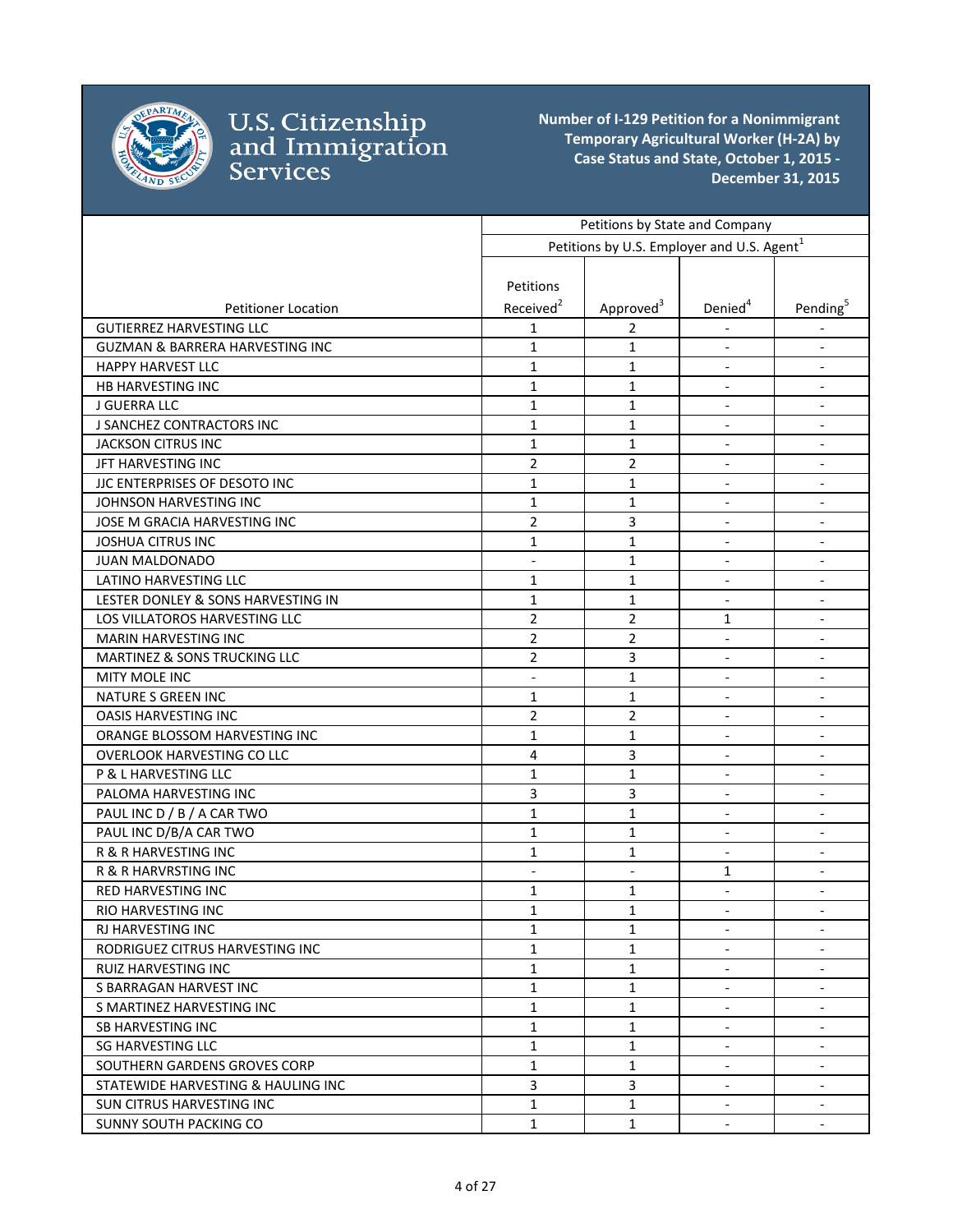

|                                            | Petitions by State and Company |                                                        |                          |                              |
|--------------------------------------------|--------------------------------|--------------------------------------------------------|--------------------------|------------------------------|
|                                            |                                | Petitions by U.S. Employer and U.S. Agent <sup>1</sup> |                          |                              |
|                                            |                                |                                                        |                          |                              |
|                                            | Petitions                      |                                                        |                          |                              |
| <b>Petitioner Location</b>                 | Received <sup>2</sup>          | Approved <sup>3</sup>                                  | Denied <sup>4</sup>      | Pending <sup>5</sup>         |
| <b>GUTIERREZ HARVESTING LLC</b>            | $\mathbf{1}$                   | 2                                                      |                          |                              |
| <b>GUZMAN &amp; BARRERA HARVESTING INC</b> | $\mathbf{1}$                   | 1                                                      | $\blacksquare$           | $\overline{\phantom{a}}$     |
| <b>HAPPY HARVEST LLC</b>                   | $\mathbf{1}$                   | 1                                                      | $\overline{\phantom{a}}$ | $\qquad \qquad \blacksquare$ |
| HB HARVESTING INC                          | $\mathbf{1}$                   | 1                                                      | $\overline{\phantom{a}}$ | $\overline{\phantom{a}}$     |
| J GUERRA LLC                               | $\mathbf{1}$                   | 1                                                      | $\overline{\phantom{a}}$ | $\overline{\phantom{a}}$     |
| J SANCHEZ CONTRACTORS INC                  | $\mathbf{1}$                   | 1                                                      | $\overline{\phantom{a}}$ | $\overline{\phantom{a}}$     |
| <b>JACKSON CITRUS INC</b>                  | $\mathbf{1}$                   | 1                                                      | $\blacksquare$           | $\overline{\phantom{a}}$     |
| JFT HARVESTING INC                         | $\overline{2}$                 | $\overline{2}$                                         | $\blacksquare$           | $\overline{\phantom{a}}$     |
| JJC ENTERPRISES OF DESOTO INC              | $\mathbf{1}$                   | 1                                                      |                          | $\overline{\phantom{a}}$     |
| JOHNSON HARVESTING INC                     | $\mathbf{1}$                   | 1                                                      | $\overline{\phantom{a}}$ | $\overline{\phantom{a}}$     |
| JOSE M GRACIA HARVESTING INC               | $\overline{2}$                 | 3                                                      | $\overline{\phantom{a}}$ |                              |
| <b>JOSHUA CITRUS INC</b>                   | $\mathbf{1}$                   | 1                                                      | $\overline{\phantom{a}}$ | $\overline{\phantom{a}}$     |
| <b>JUAN MALDONADO</b>                      |                                | $\mathbf{1}$                                           | $\overline{\phantom{a}}$ | $\overline{\phantom{a}}$     |
| LATINO HARVESTING LLC                      | $\mathbf{1}$                   | 1                                                      | $\blacksquare$           | $\overline{\phantom{a}}$     |
| LESTER DONLEY & SONS HARVESTING IN         | $\mathbf{1}$                   | 1                                                      | $\blacksquare$           | $\overline{\phantom{a}}$     |
| LOS VILLATOROS HARVESTING LLC              | $\overline{2}$                 | $\overline{2}$                                         | 1                        | $\overline{\phantom{a}}$     |
| <b>MARIN HARVESTING INC</b>                | $\overline{2}$                 | $\overline{2}$                                         | $\overline{\phantom{a}}$ | $\overline{\phantom{a}}$     |
| MARTINEZ & SONS TRUCKING LLC               | $\overline{2}$                 | 3                                                      | $\blacksquare$           | $\overline{\phantom{a}}$     |
| MITY MOLE INC                              | $\overline{\phantom{a}}$       | 1                                                      | $\overline{\phantom{a}}$ | $\overline{\phantom{a}}$     |
| <b>NATURE S GREEN INC</b>                  | 1                              | 1                                                      | $\blacksquare$           | $\overline{\phantom{a}}$     |
| <b>OASIS HARVESTING INC</b>                | $\overline{2}$                 | 2                                                      | $\blacksquare$           | $\overline{\phantom{a}}$     |
| ORANGE BLOSSOM HARVESTING INC              | $\mathbf{1}$                   | 1                                                      | $\overline{\phantom{a}}$ | $\overline{\phantom{a}}$     |
| <b>OVERLOOK HARVESTING CO LLC</b>          | 4                              | 3                                                      | $\overline{\phantom{a}}$ | $\overline{\phantom{a}}$     |
| P & L HARVESTING LLC                       | $\mathbf{1}$                   | $\mathbf{1}$                                           | $\overline{\phantom{a}}$ | $\blacksquare$               |
| PALOMA HARVESTING INC                      | 3                              | 3                                                      | $\blacksquare$           | $\overline{\phantom{a}}$     |
| PAUL INC D / B / A CAR TWO                 | $\mathbf{1}$                   | 1                                                      | $\overline{\phantom{a}}$ | $\overline{\phantom{a}}$     |
| PAUL INC D/B/A CAR TWO                     | $\mathbf{1}$                   | $\mathbf{1}$                                           | $\blacksquare$           | $\overline{\phantom{a}}$     |
| R & R HARVESTING INC                       | $\mathbf{1}$                   | 1                                                      | $\overline{\phantom{a}}$ | $\overline{\phantom{a}}$     |
| <b>R &amp; R HARVRSTING INC</b>            | $\overline{\phantom{a}}$       | $\overline{\phantom{a}}$                               | 1                        | $\overline{\phantom{a}}$     |
| <b>RED HARVESTING INC</b>                  | 1                              | 1                                                      | $\overline{\phantom{a}}$ | $\overline{\phantom{a}}$     |
| RIO HARVESTING INC                         | $\mathbf 1$                    | $\mathbf{1}$                                           | $\overline{\phantom{a}}$ |                              |
| RJ HARVESTING INC                          | $\mathbf{1}$                   | 1                                                      | $\overline{\phantom{a}}$ | $\overline{\phantom{a}}$     |
| RODRIGUEZ CITRUS HARVESTING INC            | $\mathbf{1}$                   | 1                                                      |                          |                              |
| <b>RUIZ HARVESTING INC</b>                 | $\mathbf{1}$                   | 1                                                      | $\overline{\phantom{a}}$ | $\overline{\phantom{a}}$     |
| S BARRAGAN HARVEST INC                     | $\mathbf{1}$                   | 1                                                      | $\overline{\phantom{a}}$ |                              |
| S MARTINEZ HARVESTING INC                  | 1                              | 1                                                      | $\overline{\phantom{a}}$ | $\overline{\phantom{a}}$     |
| SB HARVESTING INC                          | $\mathbf{1}$                   | 1                                                      | $\blacksquare$           | $\overline{\phantom{a}}$     |
| <b>SG HARVESTING LLC</b>                   | $\mathbf{1}$                   | 1                                                      | $\overline{\phantom{a}}$ | $\overline{\phantom{a}}$     |
| SOUTHERN GARDENS GROVES CORP               | $\mathbf{1}$                   | 1                                                      | $\overline{\phantom{a}}$ | $\overline{\phantom{a}}$     |
| STATEWIDE HARVESTING & HAULING INC         | 3                              | 3                                                      | $\blacksquare$           | $\overline{\phantom{a}}$     |
| <b>SUN CITRUS HARVESTING INC</b>           | $\mathbf{1}$                   | $\mathbf{1}$                                           | $\blacksquare$           | $\overline{\phantom{a}}$     |
| <b>SUNNY SOUTH PACKING CO</b>              | $\mathbf{1}$                   | 1                                                      | $\overline{\phantom{a}}$ | $\overline{\phantom{a}}$     |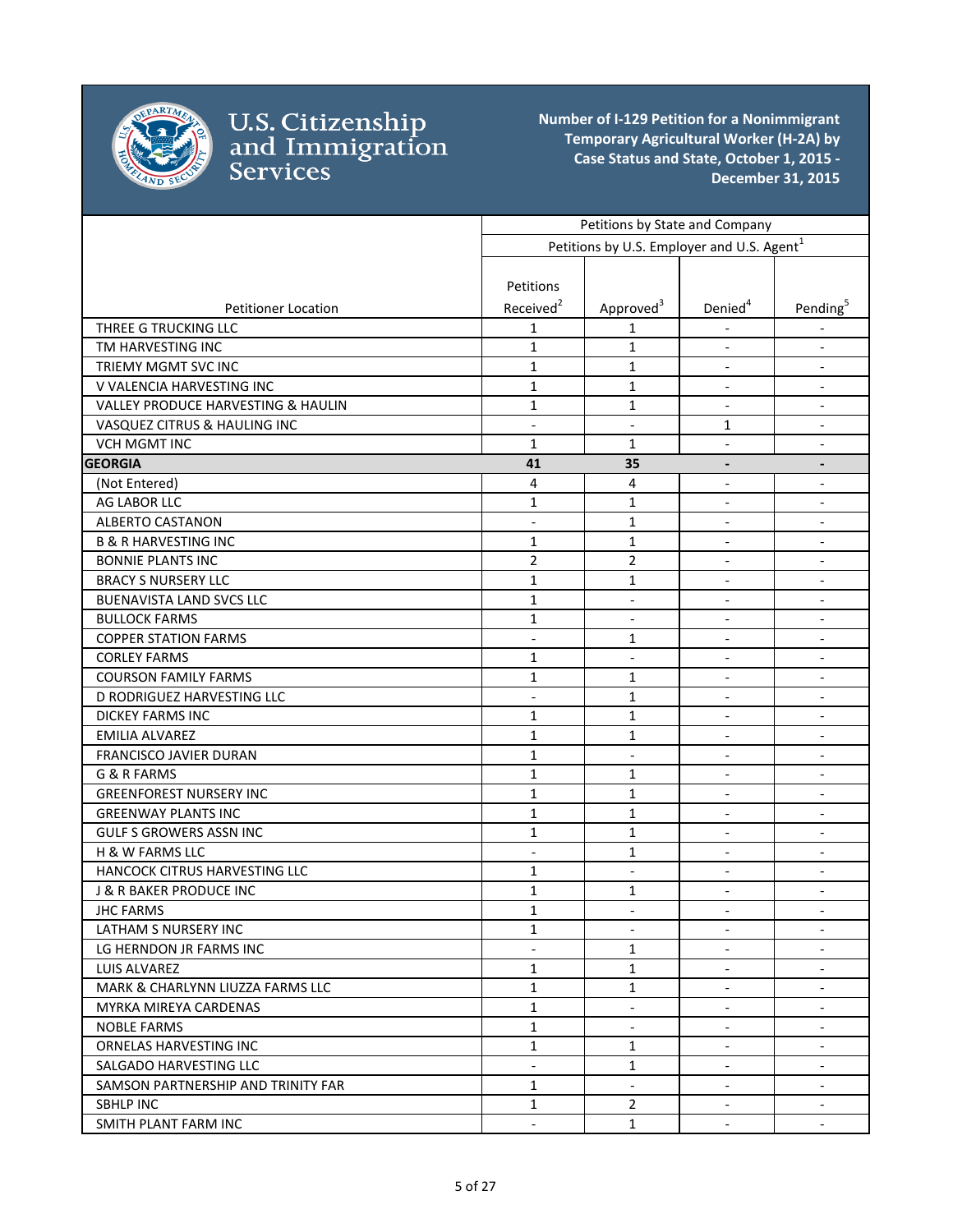

|                                    | Petitions by State and Company |                                                        |                              |                              |
|------------------------------------|--------------------------------|--------------------------------------------------------|------------------------------|------------------------------|
|                                    |                                | Petitions by U.S. Employer and U.S. Agent <sup>1</sup> |                              |                              |
|                                    |                                |                                                        |                              |                              |
|                                    | Petitions                      |                                                        |                              |                              |
| <b>Petitioner Location</b>         | Received <sup>2</sup>          | Approved <sup>3</sup>                                  | Denied <sup>4</sup>          | Pending <sup>5</sup>         |
| THREE G TRUCKING LLC               | 1                              | 1                                                      |                              |                              |
| TM HARVESTING INC                  | $\mathbf{1}$                   | 1                                                      | $\overline{\phantom{a}}$     | $\overline{\phantom{a}}$     |
| TRIEMY MGMT SVC INC                | $\mathbf{1}$                   | 1                                                      | $\overline{\phantom{a}}$     | $\overline{\phantom{a}}$     |
| V VALENCIA HARVESTING INC          | $\mathbf{1}$                   | $\mathbf{1}$                                           | $\frac{1}{2}$                | $\blacksquare$               |
| VALLEY PRODUCE HARVESTING & HAULIN | 1                              | 1                                                      | $\blacksquare$               | $\overline{\phantom{a}}$     |
| VASQUEZ CITRUS & HAULING INC       | $\blacksquare$                 | $\blacksquare$                                         | 1                            |                              |
| <b>VCH MGMT INC</b>                | $\mathbf{1}$                   | $\mathbf{1}$                                           | $\overline{\phantom{a}}$     |                              |
| <b>GEORGIA</b>                     | 41                             | 35                                                     | $\qquad \qquad \blacksquare$ | $\overline{\phantom{a}}$     |
| (Not Entered)                      | 4                              | $\sqrt{4}$                                             | $\overline{a}$               | $\overline{\phantom{a}}$     |
| AG LABOR LLC                       | $\mathbf{1}$                   | $\mathbf{1}$                                           | $\overline{a}$               | $\overline{\phantom{a}}$     |
| <b>ALBERTO CASTANON</b>            | $\overline{a}$                 | $\mathbf{1}$                                           | $\blacksquare$               | $\overline{a}$               |
| <b>B &amp; R HARVESTING INC</b>    | $\mathbf{1}$                   | $\mathbf{1}$                                           | $\overline{\phantom{a}}$     | $\overline{\phantom{a}}$     |
| <b>BONNIE PLANTS INC</b>           | $\overline{2}$                 | $\overline{2}$                                         |                              | $\overline{\phantom{a}}$     |
| <b>BRACY S NURSERY LLC</b>         | 1                              | 1                                                      | $\qquad \qquad \blacksquare$ | $\overline{\phantom{a}}$     |
| <b>BUENAVISTA LAND SVCS LLC</b>    | 1                              | $\overline{\phantom{a}}$                               | $\overline{\phantom{a}}$     | $\overline{\phantom{a}}$     |
| <b>BULLOCK FARMS</b>               | $\mathbf{1}$                   | $\overline{\phantom{a}}$                               | $\blacksquare$               | $\overline{\phantom{a}}$     |
| <b>COPPER STATION FARMS</b>        | $\blacksquare$                 | 1                                                      | $\overline{a}$               | $\overline{\phantom{a}}$     |
| <b>CORLEY FARMS</b>                | 1                              | $\overline{\phantom{a}}$                               |                              | $\blacksquare$               |
| <b>COURSON FAMILY FARMS</b>        | 1                              | 1                                                      | $\overline{\phantom{0}}$     |                              |
| D RODRIGUEZ HARVESTING LLC         | $\blacksquare$                 | $\mathbf{1}$                                           | $\overline{\phantom{a}}$     | $\overline{\phantom{a}}$     |
| <b>DICKEY FARMS INC</b>            | 1                              | 1                                                      | $\blacksquare$               | $\overline{\phantom{a}}$     |
| <b>EMILIA ALVAREZ</b>              | $\mathbf{1}$                   | $\mathbf{1}$                                           | $\overline{\phantom{a}}$     | $\blacksquare$               |
| FRANCISCO JAVIER DURAN             | $\mathbf{1}$                   | $\overline{\phantom{a}}$                               | $\blacksquare$               | $\overline{\phantom{a}}$     |
| G & R FARMS                        | $\mathbf{1}$                   | 1                                                      | $\overline{\phantom{a}}$     | $\overline{\phantom{a}}$     |
| <b>GREENFOREST NURSERY INC</b>     | $\mathbf{1}$                   | $\mathbf{1}$                                           |                              | $\overline{\phantom{a}}$     |
| <b>GREENWAY PLANTS INC</b>         | $\mathbf{1}$                   | $\mathbf{1}$                                           | $\qquad \qquad \blacksquare$ | $\overline{\phantom{a}}$     |
| <b>GULF S GROWERS ASSN INC</b>     | $\mathbf{1}$                   | $\mathbf{1}$                                           | $\overline{\phantom{a}}$     | $\overline{\phantom{a}}$     |
| H & W FARMS LLC                    | $\blacksquare$                 | $\mathbf{1}$                                           | $\blacksquare$               | $\overline{\phantom{a}}$     |
| HANCOCK CITRUS HARVESTING LLC      | $\mathbf{1}$                   | $\blacksquare$                                         | $\blacksquare$               | $\overline{\phantom{a}}$     |
| J & R BAKER PRODUCE INC            | 1                              | 1                                                      | $\overline{\phantom{0}}$     | $\qquad \qquad \blacksquare$ |
| <b>JHC FARMS</b>                   | $\mathbf 1$                    |                                                        |                              |                              |
| LATHAM S NURSERY INC               | $\mathbf{1}$                   |                                                        |                              | $\overline{\phantom{a}}$     |
| LG HERNDON JR FARMS INC            |                                | $\mathbf{1}$                                           |                              |                              |
| LUIS ALVAREZ                       | $\mathbf{1}$                   | $\mathbf{1}$                                           | $\blacksquare$               | $\overline{\phantom{a}}$     |
| MARK & CHARLYNN LIUZZA FARMS LLC   | $\mathbf{1}$                   | $\mathbf{1}$                                           | $\overline{a}$               | $\overline{\phantom{a}}$     |
| MYRKA MIREYA CARDENAS              | $\mathbf{1}$                   | $\overline{\phantom{a}}$                               | $\blacksquare$               | $\blacksquare$               |
| NOBLE FARMS                        | $\mathbf{1}$                   | $\blacksquare$                                         | $\blacksquare$               | $\overline{\phantom{a}}$     |
| ORNELAS HARVESTING INC             | $\mathbf{1}$                   | 1                                                      | $\overline{\phantom{a}}$     | Ξ.                           |
| SALGADO HARVESTING LLC             | $\overline{\phantom{a}}$       | $\mathbf{1}$                                           | $\overline{\phantom{a}}$     | $\overline{\phantom{a}}$     |
| SAMSON PARTNERSHIP AND TRINITY FAR | $\mathbf{1}$                   | $\overline{\phantom{a}}$                               | $\overline{\phantom{a}}$     | $\overline{\phantom{a}}$     |
| <b>SBHLP INC</b>                   | $\mathbf{1}$                   | $\overline{2}$                                         | $\overline{\phantom{a}}$     | $\overline{\phantom{a}}$     |
| SMITH PLANT FARM INC               | $\blacksquare$                 | $\mathbf{1}$                                           | $\blacksquare$               | $\blacksquare$               |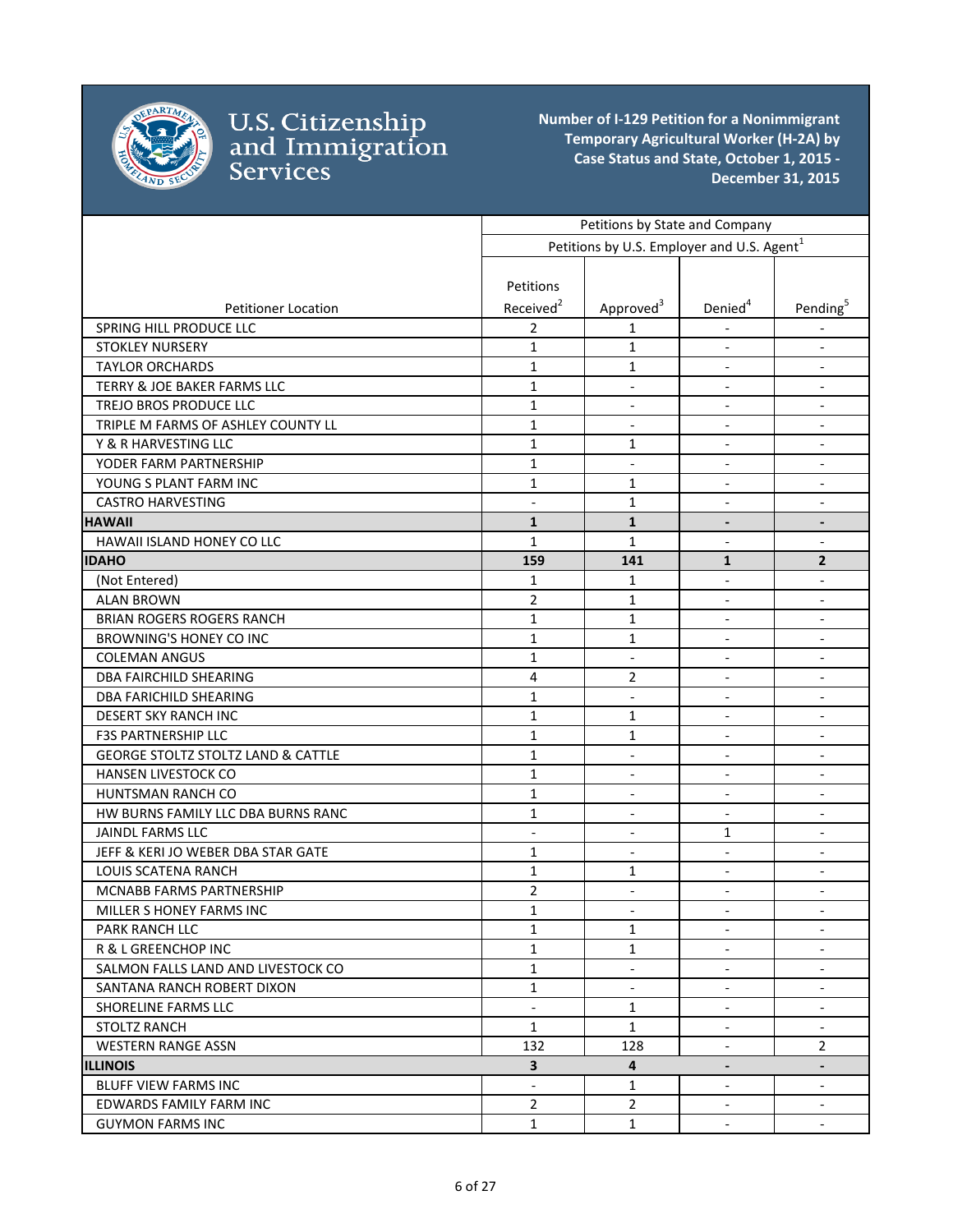

|                                               | Petitions by State and Company |                                                        |                          |                          |
|-----------------------------------------------|--------------------------------|--------------------------------------------------------|--------------------------|--------------------------|
|                                               |                                | Petitions by U.S. Employer and U.S. Agent <sup>1</sup> |                          |                          |
|                                               |                                |                                                        |                          |                          |
|                                               | Petitions                      |                                                        |                          |                          |
| <b>Petitioner Location</b>                    | Received <sup>2</sup>          | Approved <sup>3</sup>                                  | Denied <sup>4</sup>      | Pending <sup>5</sup>     |
| SPRING HILL PRODUCE LLC                       | $\overline{2}$                 | 1                                                      |                          |                          |
| <b>STOKLEY NURSERY</b>                        | $\mathbf{1}$                   | $\mathbf{1}$                                           | $\overline{\phantom{a}}$ | $\overline{\phantom{a}}$ |
| <b>TAYLOR ORCHARDS</b>                        | $\mathbf{1}$                   | $\mathbf{1}$                                           | $\overline{\phantom{a}}$ | $\overline{\phantom{a}}$ |
| TERRY & JOE BAKER FARMS LLC                   | $\mathbf{1}$                   | $\blacksquare$                                         | $\blacksquare$           | $\overline{\phantom{a}}$ |
| TREJO BROS PRODUCE LLC                        | $\mathbf{1}$                   | $\blacksquare$                                         | $\overline{\phantom{a}}$ | $\overline{\phantom{a}}$ |
| TRIPLE M FARMS OF ASHLEY COUNTY LL            | $\mathbf{1}$                   | $\overline{\phantom{a}}$                               | $\blacksquare$           | $\overline{\phantom{a}}$ |
| Y & R HARVESTING LLC                          | $\mathbf{1}$                   | 1                                                      | $\overline{\phantom{a}}$ | $\overline{\phantom{a}}$ |
| YODER FARM PARTNERSHIP                        | $\mathbf{1}$                   | $\overline{\phantom{a}}$                               |                          | $\overline{\phantom{a}}$ |
| YOUNG S PLANT FARM INC                        | $\mathbf{1}$                   | $\mathbf{1}$                                           | $\overline{\phantom{a}}$ | $\overline{\phantom{a}}$ |
| <b>CASTRO HARVESTING</b>                      | $\overline{a}$                 | $\mathbf{1}$                                           | $\overline{a}$           | $\overline{\phantom{a}}$ |
| <b>HAWAII</b>                                 | $\mathbf{1}$                   | $\mathbf{1}$                                           | $\overline{a}$           | $\overline{\phantom{a}}$ |
| HAWAII ISLAND HONEY CO LLC                    | $\mathbf{1}$                   | $\mathbf{1}$                                           | $\blacksquare$           | $\overline{\phantom{a}}$ |
| <b>IDAHO</b>                                  | 159                            | 141                                                    | $\mathbf{1}$             | $\mathbf{2}$             |
| (Not Entered)                                 | $\mathbf{1}$                   | $\mathbf{1}$                                           | $\overline{\phantom{a}}$ | $\overline{\phantom{a}}$ |
| <b>ALAN BROWN</b>                             | $\overline{2}$                 | 1                                                      |                          | $\overline{\phantom{a}}$ |
| <b>BRIAN ROGERS ROGERS RANCH</b>              | $\mathbf{1}$                   | 1                                                      | $\overline{\phantom{a}}$ | $\overline{\phantom{a}}$ |
| <b>BROWNING'S HONEY CO INC</b>                | $\mathbf{1}$                   | 1                                                      | $\blacksquare$           | $\overline{\phantom{a}}$ |
| <b>COLEMAN ANGUS</b>                          | $\mathbf{1}$                   | $\overline{\phantom{a}}$                               | $\blacksquare$           | $\overline{\phantom{a}}$ |
| <b>DBA FAIRCHILD SHEARING</b>                 | $\overline{4}$                 | 2                                                      |                          | $\overline{\phantom{a}}$ |
| <b>DBA FARICHILD SHEARING</b>                 | 1                              | $\overline{\phantom{a}}$                               |                          | $\overline{\phantom{a}}$ |
| DESERT SKY RANCH INC                          | $\mathbf{1}$                   | $\mathbf{1}$                                           | $\overline{\phantom{a}}$ | $\overline{\phantom{a}}$ |
| <b>F3S PARTNERSHIP LLC</b>                    | $\mathbf{1}$                   | 1                                                      | $\overline{\phantom{a}}$ | $\overline{\phantom{a}}$ |
| <b>GEORGE STOLTZ STOLTZ LAND &amp; CATTLE</b> | $\mathbf{1}$                   | $\blacksquare$                                         | $\overline{a}$           | $\overline{\phantom{a}}$ |
| HANSEN LIVESTOCK CO                           | $\mathbf{1}$                   | $\blacksquare$                                         | $\overline{\phantom{a}}$ | $\blacksquare$           |
| HUNTSMAN RANCH CO                             | $\mathbf{1}$                   | $\overline{\phantom{a}}$                               | $\blacksquare$           | $\overline{\phantom{a}}$ |
| HW BURNS FAMILY LLC DBA BURNS RANC            | $\mathbf{1}$                   |                                                        |                          | $\overline{\phantom{a}}$ |
| <b>JAINDL FARMS LLC</b>                       | $\overline{\phantom{a}}$       | $\blacksquare$                                         | 1                        | $\overline{\phantom{a}}$ |
| JEFF & KERI JO WEBER DBA STAR GATE            | $\mathbf{1}$                   | $\overline{\phantom{a}}$                               | $\overline{\phantom{a}}$ | $\overline{\phantom{a}}$ |
| LOUIS SCATENA RANCH                           | $\mathbf{1}$                   | 1                                                      | $\blacksquare$           | $\overline{\phantom{a}}$ |
| MCNABB FARMS PARTNERSHIP                      | $\overline{2}$                 | $\blacksquare$                                         | $\overline{\phantom{a}}$ | $\overline{\phantom{a}}$ |
| MILLER S HONEY FARMS INC                      | $\mathbf{1}$                   |                                                        |                          |                          |
| PARK RANCH LLC                                | 1                              | 1                                                      | $\blacksquare$           | $\blacksquare$           |
| R & L GREENCHOP INC                           | $\mathbf{1}$                   | $\mathbf{1}$                                           |                          | $\overline{\phantom{a}}$ |
| SALMON FALLS LAND AND LIVESTOCK CO            | $\mathbf{1}$                   | $\overline{\phantom{a}}$                               | $\overline{\phantom{a}}$ | $\overline{\phantom{a}}$ |
| SANTANA RANCH ROBERT DIXON                    | $\mathbf{1}$                   | $\blacksquare$                                         | $\overline{a}$           | $\blacksquare$           |
| SHORELINE FARMS LLC                           | $\overline{a}$                 | $\mathbf{1}$                                           | $\blacksquare$           | $\blacksquare$           |
| <b>STOLTZ RANCH</b>                           | $\mathbf{1}$                   | $\mathbf{1}$                                           | $\overline{\phantom{a}}$ | $\overline{\phantom{a}}$ |
| <b>WESTERN RANGE ASSN</b>                     | 132                            | 128                                                    | $\blacksquare$           | $\overline{2}$           |
| <b>ILLINOIS</b>                               | $\mathbf{3}$                   | 4                                                      | $\overline{\phantom{a}}$ | $\overline{\phantom{a}}$ |
| <b>BLUFF VIEW FARMS INC</b>                   | $\overline{\phantom{a}}$       | $\mathbf{1}$                                           | $\overline{\phantom{a}}$ | $\overline{\phantom{a}}$ |
| EDWARDS FAMILY FARM INC                       | $\overline{2}$                 | $\overline{2}$                                         | $\overline{\phantom{a}}$ | $\overline{\phantom{a}}$ |
| <b>GUYMON FARMS INC</b>                       | $\mathbf{1}$                   | $\mathbf{1}$                                           | $\overline{\phantom{a}}$ | $\overline{\phantom{a}}$ |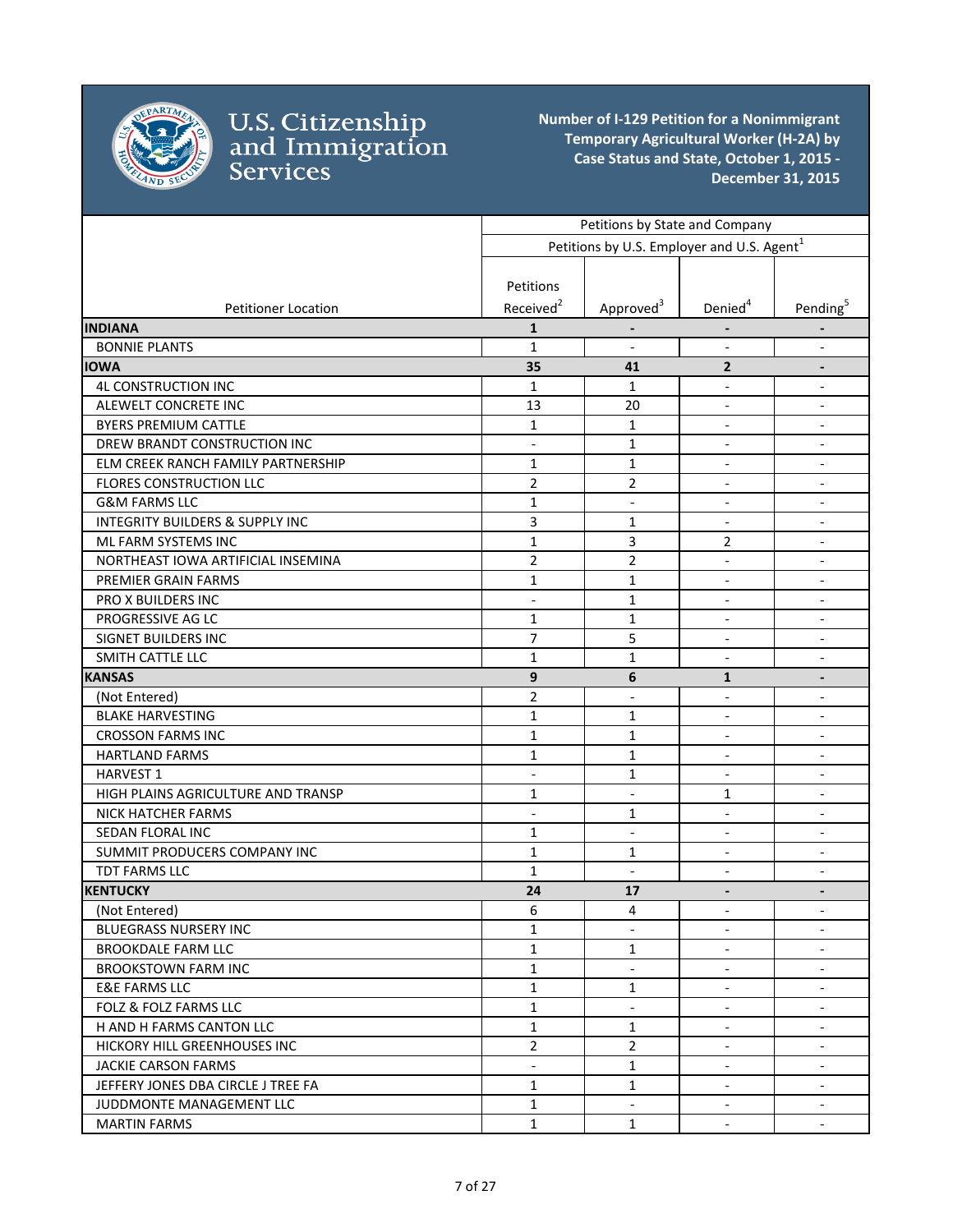

|                                            | Petitions by State and Company |                                                        |                              |                          |
|--------------------------------------------|--------------------------------|--------------------------------------------------------|------------------------------|--------------------------|
|                                            |                                | Petitions by U.S. Employer and U.S. Agent <sup>1</sup> |                              |                          |
|                                            |                                |                                                        |                              |                          |
|                                            | Petitions                      |                                                        |                              |                          |
| <b>Petitioner Location</b>                 | Received <sup>2</sup>          | Approved <sup>3</sup>                                  | Denied <sup>4</sup>          | Pending <sup>5</sup>     |
| <b>INDIANA</b>                             | 1                              |                                                        |                              |                          |
| <b>BONNIE PLANTS</b>                       | $\mathbf{1}$                   | $\Box$                                                 | $\overline{\phantom{a}}$     | $\overline{\phantom{a}}$ |
| <b>IOWA</b>                                | 35                             | 41                                                     | $\overline{2}$               |                          |
| <b>4L CONSTRUCTION INC</b>                 | $\mathbf{1}$                   | 1                                                      | $\overline{a}$               | $\blacksquare$           |
| ALEWELT CONCRETE INC                       | 13                             | 20                                                     | $\overline{\phantom{a}}$     | $\overline{\phantom{a}}$ |
| <b>BYERS PREMIUM CATTLE</b>                | $\mathbf{1}$                   | $\mathbf{1}$                                           | $\overline{\phantom{a}}$     | $\overline{\phantom{a}}$ |
| DREW BRANDT CONSTRUCTION INC               | $\overline{a}$                 | $\mathbf 1$                                            | $\overline{\phantom{a}}$     | $\overline{\phantom{a}}$ |
| ELM CREEK RANCH FAMILY PARTNERSHIP         | $\mathbf{1}$                   | $\mathbf{1}$                                           | $\overline{a}$               | $\blacksquare$           |
| FLORES CONSTRUCTION LLC                    | $\overline{2}$                 | 2                                                      | $\overline{\phantom{a}}$     | $\overline{\phantom{a}}$ |
| <b>G&amp;M FARMS LLC</b>                   | $\mathbf{1}$                   | $\overline{\phantom{a}}$                               | $\qquad \qquad -$            | $\overline{\phantom{a}}$ |
| <b>INTEGRITY BUILDERS &amp; SUPPLY INC</b> | 3                              | 1                                                      | $\overline{\phantom{a}}$     | $\overline{\phantom{a}}$ |
| ML FARM SYSTEMS INC                        | $\mathbf{1}$                   | 3                                                      | 2                            | $\overline{\phantom{a}}$ |
| NORTHEAST IOWA ARTIFICIAL INSEMINA         | $\overline{2}$                 | $\overline{2}$                                         | $\overline{\phantom{a}}$     | $\overline{\phantom{a}}$ |
| PREMIER GRAIN FARMS                        | 1                              | 1                                                      | $\overline{\phantom{a}}$     | $\overline{\phantom{a}}$ |
| PRO X BUILDERS INC                         | $\overline{a}$                 | 1                                                      | $\overline{\phantom{a}}$     | $\overline{\phantom{a}}$ |
| PROGRESSIVE AG LC                          | $\mathbf{1}$                   | 1                                                      | $\blacksquare$               | $\blacksquare$           |
| <b>SIGNET BUILDERS INC</b>                 | $\overline{7}$                 | 5                                                      | $\qquad \qquad \blacksquare$ | $\overline{\phantom{m}}$ |
| SMITH CATTLE LLC                           | 1                              | 1                                                      |                              |                          |
| <b>KANSAS</b>                              | 9                              | 6                                                      | $\mathbf{1}$                 | $\overline{\phantom{a}}$ |
| (Not Entered)                              | $\overline{2}$                 | $\overline{\phantom{a}}$                               | $\blacksquare$               | $\overline{\phantom{a}}$ |
| <b>BLAKE HARVESTING</b>                    | $\mathbf{1}$                   | $\mathbf{1}$                                           | $\overline{\phantom{a}}$     | $\overline{\phantom{a}}$ |
| <b>CROSSON FARMS INC</b>                   | $\mathbf{1}$                   | $\mathbf{1}$                                           | $\overline{\phantom{a}}$     | $\overline{\phantom{a}}$ |
| <b>HARTLAND FARMS</b>                      | $\mathbf{1}$                   | $\mathbf 1$                                            | $\overline{\phantom{a}}$     | $\overline{\phantom{a}}$ |
| <b>HARVEST 1</b>                           | $\overline{\phantom{a}}$       | 1                                                      | $\qquad \qquad \blacksquare$ | $\overline{\phantom{a}}$ |
| HIGH PLAINS AGRICULTURE AND TRANSP         | 1                              | $\overline{\phantom{a}}$                               | 1                            | $\overline{\phantom{a}}$ |
| <b>NICK HATCHER FARMS</b>                  | $\overline{a}$                 | 1                                                      | $\blacksquare$               | $\overline{\phantom{a}}$ |
| SEDAN FLORAL INC                           | $\mathbf{1}$                   | $\blacksquare$                                         | $\overline{\phantom{a}}$     | $\overline{\phantom{a}}$ |
| SUMMIT PRODUCERS COMPANY INC               | $\mathbf{1}$                   | 1                                                      | $\overline{a}$               | $\overline{\phantom{a}}$ |
| TDT FARMS LLC                              | $\mathbf{1}$                   | $\overline{\phantom{a}}$                               | $\overline{\phantom{a}}$     | $\blacksquare$           |
| <b>KENTUCKY</b>                            | 24                             | 17                                                     | $\qquad \qquad \blacksquare$ | $\overline{\phantom{a}}$ |
| (Not Entered)                              | $\boldsymbol{6}$               | $\overline{\mathbf{4}}$                                |                              |                          |
| <b>BLUEGRASS NURSERY INC</b>               | 1                              |                                                        | $\blacksquare$               |                          |
| <b>BROOKDALE FARM LLC</b>                  | $\mathbf{1}$                   | $\mathbf 1$                                            | $\blacksquare$               | $\blacksquare$           |
| <b>BROOKSTOWN FARM INC</b>                 | $\mathbf{1}$                   | $\overline{\phantom{a}}$                               | $\overline{\phantom{a}}$     | $\overline{\phantom{a}}$ |
| <b>E&amp;E FARMS LLC</b>                   | $\mathbf{1}$                   | 1                                                      | $\overline{\phantom{a}}$     | $\overline{\phantom{a}}$ |
| <b>FOLZ &amp; FOLZ FARMS LLC</b>           | $\mathbf{1}$                   | $\overline{\phantom{a}}$                               | $\overline{\phantom{a}}$     | $\overline{\phantom{a}}$ |
| H AND H FARMS CANTON LLC                   | $\mathbf{1}$                   | $\mathbf{1}$                                           | $\overline{\phantom{a}}$     | $\overline{\phantom{a}}$ |
| HICKORY HILL GREENHOUSES INC               | $\overline{2}$                 | $\overline{2}$                                         | $\overline{\phantom{a}}$     | $\overline{\phantom{a}}$ |
| <b>JACKIE CARSON FARMS</b>                 | $\overline{\phantom{a}}$       | $\mathbf{1}$                                           | $\overline{\phantom{a}}$     | $\overline{\phantom{a}}$ |
| JEFFERY JONES DBA CIRCLE J TREE FA         | $\mathbf{1}$                   | $\mathbf{1}$                                           | $\overline{\phantom{a}}$     | $\overline{\phantom{a}}$ |
| JUDDMONTE MANAGEMENT LLC                   | $\mathbf{1}$                   | $\overline{\phantom{a}}$                               | $\overline{\phantom{a}}$     | $\overline{\phantom{a}}$ |
| <b>MARTIN FARMS</b>                        | $\mathbf{1}$                   | $\mathbf{1}$                                           |                              | $\overline{\phantom{a}}$ |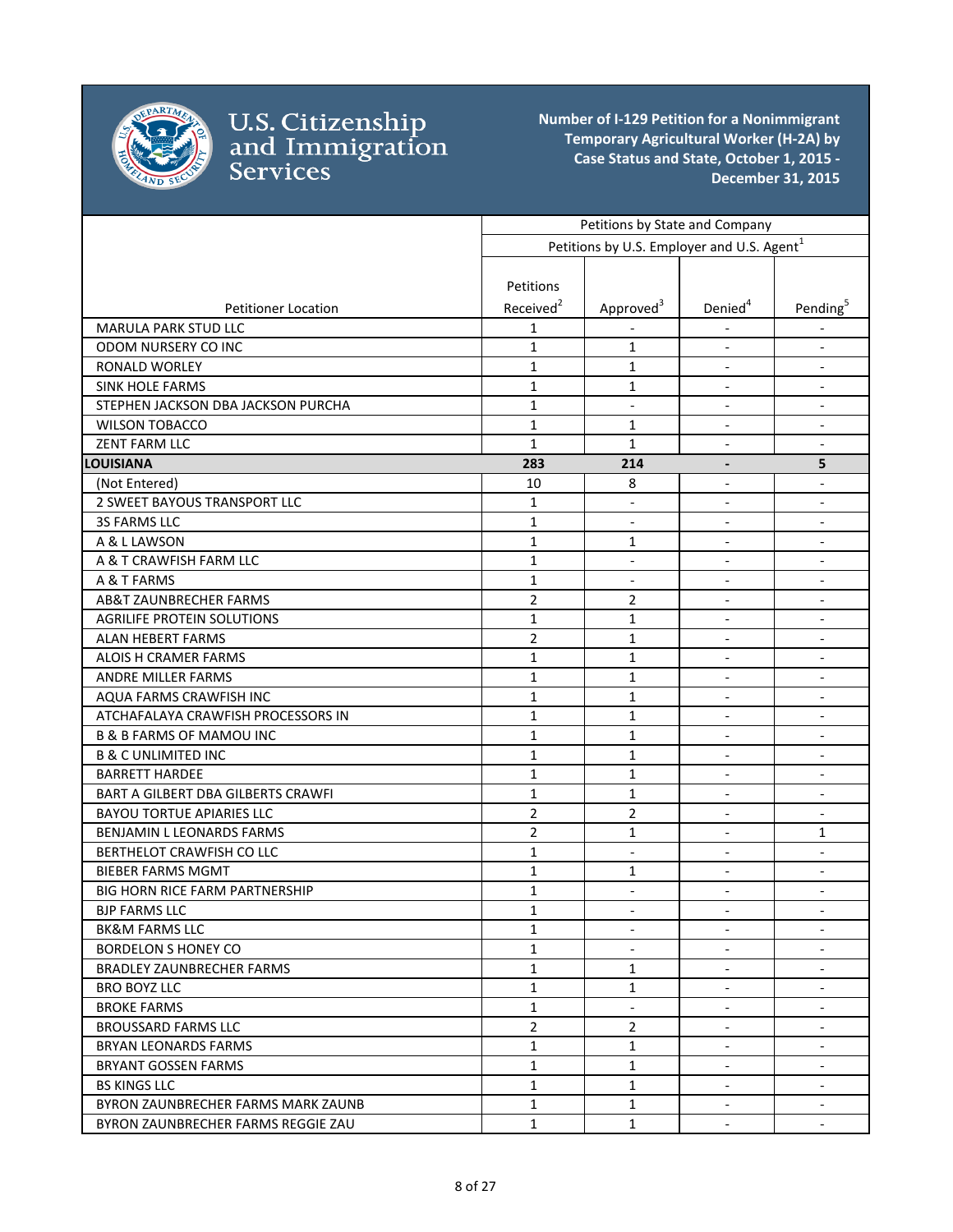

|                                       | Petitions by State and Company |                                                        |                          |                          |
|---------------------------------------|--------------------------------|--------------------------------------------------------|--------------------------|--------------------------|
|                                       |                                | Petitions by U.S. Employer and U.S. Agent <sup>1</sup> |                          |                          |
|                                       |                                |                                                        |                          |                          |
|                                       | Petitions                      |                                                        |                          |                          |
| <b>Petitioner Location</b>            | Received <sup>2</sup>          | Approved <sup>3</sup>                                  | Denied <sup>4</sup>      | Pending <sup>5</sup>     |
| MARULA PARK STUD LLC                  | 1                              |                                                        |                          |                          |
| ODOM NURSERY CO INC                   | $\mathbf{1}$                   | 1                                                      | $\overline{\phantom{a}}$ | $\overline{\phantom{a}}$ |
| RONALD WORLEY                         | $\mathbf{1}$                   | 1                                                      | $\overline{\phantom{a}}$ | $\overline{\phantom{a}}$ |
| <b>SINK HOLE FARMS</b>                | $\mathbf{1}$                   | 1                                                      | $\overline{\phantom{a}}$ | $\overline{\phantom{a}}$ |
| STEPHEN JACKSON DBA JACKSON PURCHA    | $\mathbf{1}$                   | $\overline{\phantom{a}}$                               | $\blacksquare$           | $\overline{\phantom{a}}$ |
| <b>WILSON TOBACCO</b>                 | $\mathbf{1}$                   | 1                                                      | $\blacksquare$           | $\overline{\phantom{a}}$ |
| <b>ZENT FARM LLC</b>                  | $\mathbf{1}$                   | 1                                                      | $\overline{\phantom{a}}$ | $\overline{\phantom{a}}$ |
| <b>LOUISIANA</b>                      | 283                            | 214                                                    | $\overline{a}$           | 5                        |
| (Not Entered)                         | 10                             | 8                                                      | $\overline{\phantom{a}}$ |                          |
| 2 SWEET BAYOUS TRANSPORT LLC          | $\mathbf{1}$                   | $\overline{\phantom{a}}$                               | $\overline{\phantom{a}}$ | $\overline{\phantom{a}}$ |
| 3S FARMS LLC                          | $\mathbf{1}$                   | $\blacksquare$                                         | $\blacksquare$           | $\blacksquare$           |
| A & L LAWSON                          | $\mathbf{1}$                   | 1                                                      | $\overline{\phantom{a}}$ | $\blacksquare$           |
| A & T CRAWFISH FARM LLC               | $\mathbf{1}$                   | $\overline{\phantom{a}}$                               | $\overline{\phantom{a}}$ | $\overline{\phantom{a}}$ |
| A & T FARMS                           | $\mathbf{1}$                   | $\blacksquare$                                         |                          | $\overline{\phantom{a}}$ |
| AB&T ZAUNBRECHER FARMS                | $\overline{2}$                 | $\overline{2}$                                         | $\overline{\phantom{a}}$ | $\overline{\phantom{a}}$ |
| <b>AGRILIFE PROTEIN SOLUTIONS</b>     | $\mathbf{1}$                   | 1                                                      | $\overline{\phantom{a}}$ | $\overline{\phantom{a}}$ |
| <b>ALAN HEBERT FARMS</b>              | $\overline{2}$                 | 1                                                      | $\overline{\phantom{a}}$ | $\overline{\phantom{a}}$ |
| ALOIS H CRAMER FARMS                  | $\mathbf{1}$                   | 1                                                      | $\overline{\phantom{a}}$ | $\overline{\phantom{a}}$ |
| ANDRE MILLER FARMS                    | $\mathbf{1}$                   | 1                                                      | $\overline{\phantom{a}}$ | $\overline{\phantom{a}}$ |
| AQUA FARMS CRAWFISH INC               | $\mathbf{1}$                   | 1                                                      |                          |                          |
| ATCHAFALAYA CRAWFISH PROCESSORS IN    | $\mathbf{1}$                   | 1                                                      | $\overline{\phantom{a}}$ | $\overline{\phantom{a}}$ |
| <b>B &amp; B FARMS OF MAMOU INC</b>   | $\mathbf{1}$                   | 1                                                      | $\overline{\phantom{a}}$ |                          |
| <b>B &amp; C UNLIMITED INC</b>        | $\mathbf{1}$                   | 1                                                      | $\overline{\phantom{a}}$ | $\overline{\phantom{a}}$ |
| <b>BARRETT HARDEE</b>                 | $\mathbf{1}$                   | 1                                                      | $\overline{\phantom{a}}$ | $\overline{\phantom{a}}$ |
| BART A GILBERT DBA GILBERTS CRAWFI    | $\mathbf{1}$                   | 1                                                      | $\blacksquare$           | $\overline{\phantom{a}}$ |
| <b>BAYOU TORTUE APIARIES LLC</b>      | $\overline{2}$                 | 2                                                      | $\blacksquare$           | $\overline{\phantom{a}}$ |
| BENJAMIN L LEONARDS FARMS             | $\overline{2}$                 | 1                                                      | $\overline{\phantom{a}}$ | 1                        |
| BERTHELOT CRAWFISH CO LLC             | $\mathbf{1}$                   | $\overline{\phantom{a}}$                               | $\overline{\phantom{a}}$ | $\overline{\phantom{a}}$ |
| <b>BIEBER FARMS MGMT</b>              | $\mathbf{1}$                   | 1                                                      | $\overline{\phantom{a}}$ | $\overline{\phantom{a}}$ |
| <b>BIG HORN RICE FARM PARTNERSHIP</b> | 1                              | $\overline{\phantom{a}}$                               | $\overline{\phantom{a}}$ | $\overline{\phantom{a}}$ |
| <b>BJP FARMS LLC</b>                  | $\mathbf 1$                    |                                                        |                          |                          |
| <b>BK&amp;M FARMS LLC</b>             | $\mathbf{1}$                   | $\blacksquare$                                         | $\blacksquare$           | $\overline{\phantom{a}}$ |
| <b>BORDELON S HONEY CO</b>            | $\mathbf{1}$                   |                                                        |                          |                          |
| <b>BRADLEY ZAUNBRECHER FARMS</b>      | $\mathbf{1}$                   | 1                                                      | $\overline{\phantom{a}}$ |                          |
| BRO BOYZ LLC                          | $\mathbf{1}$                   | 1                                                      |                          | $\overline{\phantom{a}}$ |
| <b>BROKE FARMS</b>                    | $\mathbf{1}$                   | $\blacksquare$                                         | $\blacksquare$           | $\blacksquare$           |
| <b>BROUSSARD FARMS LLC</b>            | $\overline{2}$                 | $\overline{2}$                                         | $\overline{\phantom{a}}$ | $\overline{\phantom{a}}$ |
| <b>BRYAN LEONARDS FARMS</b>           | $\mathbf{1}$                   | $\mathbf{1}$                                           | $\overline{\phantom{a}}$ | $\overline{\phantom{a}}$ |
| BRYANT GOSSEN FARMS                   | $\mathbf{1}$                   | $\mathbf{1}$                                           | $\overline{\phantom{a}}$ | $\overline{\phantom{a}}$ |
| <b>BS KINGS LLC</b>                   | $\mathbf{1}$                   | $\mathbf{1}$                                           | $\overline{\phantom{a}}$ | $\overline{\phantom{a}}$ |
| BYRON ZAUNBRECHER FARMS MARK ZAUNB    | $\mathbf{1}$                   | $\mathbf{1}$                                           | $\overline{\phantom{a}}$ | $\overline{\phantom{a}}$ |
| BYRON ZAUNBRECHER FARMS REGGIE ZAU    | $\mathbf{1}$                   | $\mathbf{1}$                                           | $\overline{\phantom{a}}$ | $\sim$                   |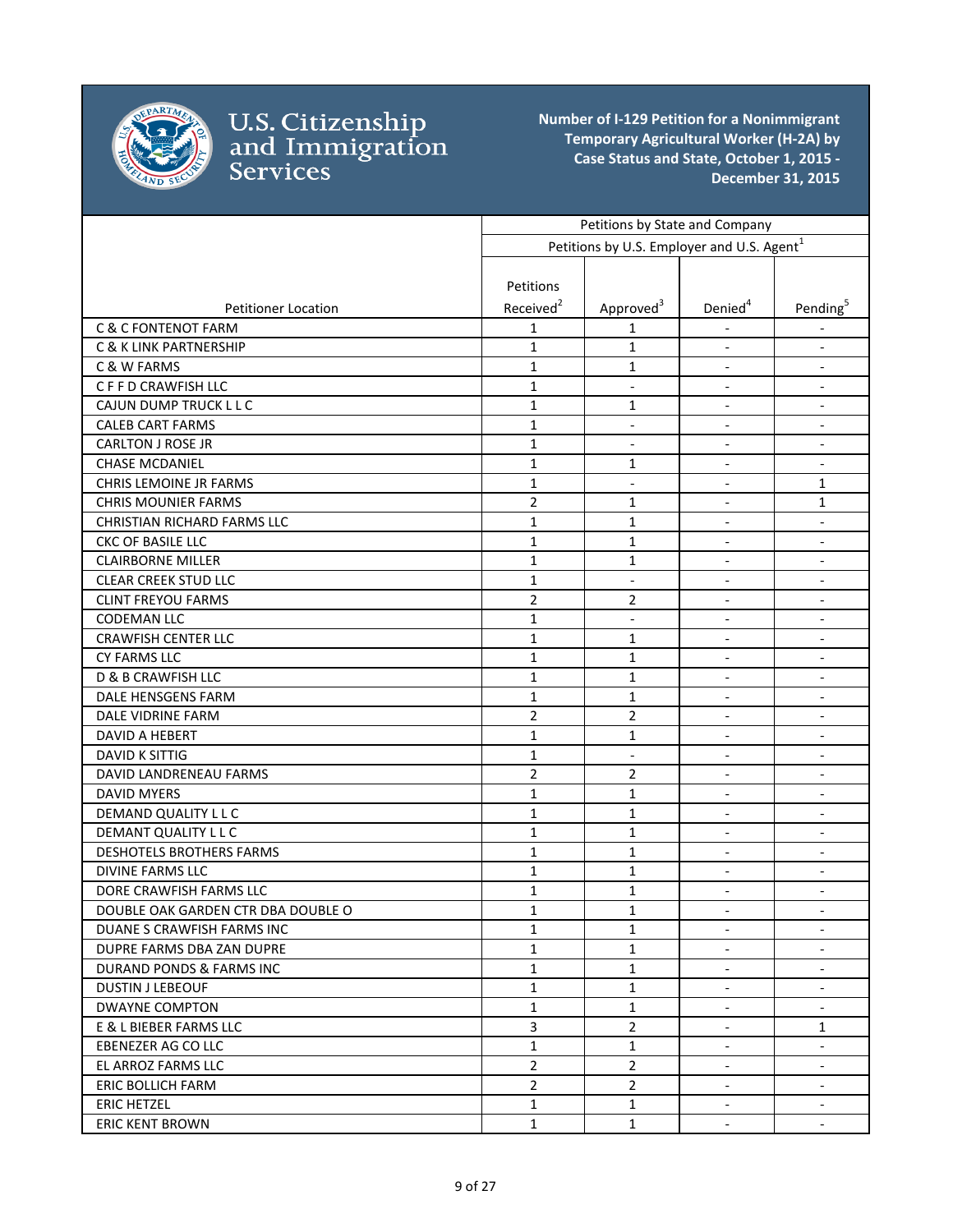

|                                    | Petitions by State and Company |                                                        |                          |                          |
|------------------------------------|--------------------------------|--------------------------------------------------------|--------------------------|--------------------------|
|                                    |                                | Petitions by U.S. Employer and U.S. Agent <sup>1</sup> |                          |                          |
|                                    |                                |                                                        |                          |                          |
|                                    | Petitions                      |                                                        |                          |                          |
| <b>Petitioner Location</b>         | Received <sup>2</sup>          | Approved <sup>3</sup>                                  | Denied <sup>4</sup>      | Pending <sup>5</sup>     |
| <b>C &amp; C FONTENOT FARM</b>     | 1                              | 1                                                      |                          |                          |
| <b>C &amp; K LINK PARTNERSHIP</b>  | $\mathbf{1}$                   | 1                                                      | $\overline{\phantom{a}}$ | $\overline{\phantom{a}}$ |
| C & W FARMS                        | $\mathbf{1}$                   | 1                                                      | $\overline{\phantom{a}}$ | $\overline{\phantom{a}}$ |
| C F F D CRAWFISH LLC               | $\mathbf{1}$                   | $\overline{\phantom{a}}$                               | $\overline{\phantom{a}}$ | $\overline{\phantom{a}}$ |
| CAJUN DUMP TRUCK L L C             | $\mathbf{1}$                   | 1                                                      | $\blacksquare$           | $\overline{\phantom{a}}$ |
| <b>CALEB CART FARMS</b>            | $\mathbf{1}$                   | $\blacksquare$                                         | $\blacksquare$           | $\overline{\phantom{a}}$ |
| <b>CARLTON J ROSE JR</b>           | $\mathbf{1}$                   | $\overline{\phantom{a}}$                               | $\blacksquare$           | $\overline{\phantom{a}}$ |
| <b>CHASE MCDANIEL</b>              | $\mathbf{1}$                   | 1                                                      | $\blacksquare$           | $\overline{\phantom{a}}$ |
| <b>CHRIS LEMOINE JR FARMS</b>      | $\mathbf{1}$                   | $\overline{\phantom{a}}$                               | $\overline{\phantom{a}}$ | 1                        |
| <b>CHRIS MOUNIER FARMS</b>         | $\overline{2}$                 | 1                                                      | $\overline{\phantom{a}}$ | 1                        |
| CHRISTIAN RICHARD FARMS LLC        | $\mathbf{1}$                   | $\mathbf{1}$                                           | $\blacksquare$           | $\blacksquare$           |
| CKC OF BASILE LLC                  | $\mathbf{1}$                   | $\mathbf{1}$                                           | $\overline{\phantom{a}}$ | $\overline{\phantom{a}}$ |
| <b>CLAIRBORNE MILLER</b>           | $\mathbf{1}$                   | 1                                                      | $\overline{\phantom{a}}$ | $\overline{\phantom{a}}$ |
| <b>CLEAR CREEK STUD LLC</b>        | $\mathbf{1}$                   | $\overline{\phantom{a}}$                               | $\overline{\phantom{a}}$ | $\overline{\phantom{a}}$ |
| <b>CLINT FREYOU FARMS</b>          | $\overline{2}$                 | $\overline{2}$                                         | $\overline{\phantom{a}}$ | $\overline{\phantom{a}}$ |
| <b>CODEMAN LLC</b>                 | $\mathbf{1}$                   | $\overline{\phantom{a}}$                               | $\overline{\phantom{a}}$ | $\overline{\phantom{a}}$ |
| <b>CRAWFISH CENTER LLC</b>         | $\mathbf{1}$                   | 1                                                      | $\overline{\phantom{a}}$ | $\overline{\phantom{a}}$ |
| <b>CY FARMS LLC</b>                | $\mathbf{1}$                   | $\mathbf{1}$                                           | $\blacksquare$           | $\overline{\phantom{a}}$ |
| D & B CRAWFISH LLC                 | $\mathbf{1}$                   | 1                                                      | $\overline{\phantom{a}}$ | $\overline{\phantom{a}}$ |
| DALE HENSGENS FARM                 | $\mathbf{1}$                   | 1                                                      |                          | $\overline{\phantom{a}}$ |
| DALE VIDRINE FARM                  | $\overline{2}$                 | $\overline{2}$                                         | $\overline{\phantom{a}}$ | $\overline{\phantom{a}}$ |
| <b>DAVID A HEBERT</b>              | $\mathbf{1}$                   | 1                                                      | $\overline{\phantom{a}}$ | $\overline{\phantom{a}}$ |
| <b>DAVID K SITTIG</b>              | $\mathbf{1}$                   | $\blacksquare$                                         | $\blacksquare$           | $\overline{\phantom{a}}$ |
| DAVID LANDRENEAU FARMS             | $\overline{2}$                 | $\overline{2}$                                         | $\blacksquare$           | $\overline{\phantom{a}}$ |
| <b>DAVID MYERS</b>                 | $\mathbf{1}$                   | 1                                                      | $\blacksquare$           | $\overline{\phantom{a}}$ |
| DEMAND QUALITY L L C               | $\mathbf{1}$                   | 1                                                      | $\overline{\phantom{a}}$ | $\overline{\phantom{a}}$ |
| DEMANT QUALITY L L C               | $\mathbf{1}$                   | $\mathbf{1}$                                           | $\overline{\phantom{a}}$ | $\overline{\phantom{a}}$ |
| DESHOTELS BROTHERS FARMS           | $\mathbf{1}$                   | 1                                                      | $\overline{\phantom{a}}$ | $\overline{\phantom{a}}$ |
| DIVINE FARMS LLC                   | $\mathbf{1}$                   | $\mathbf{1}$                                           | $\overline{\phantom{a}}$ | $\overline{\phantom{a}}$ |
| DORE CRAWFISH FARMS LLC            | 1                              | 1                                                      | $\overline{\phantom{a}}$ | $\overline{\phantom{a}}$ |
| DOUBLE OAK GARDEN CTR DBA DOUBLE O | $\mathbf 1$                    | $\mathbf 1$                                            |                          |                          |
| DUANE S CRAWFISH FARMS INC         | $\mathbf{1}$                   | 1                                                      | $\blacksquare$           | $\overline{\phantom{a}}$ |
| DUPRE FARMS DBA ZAN DUPRE          | $\mathbf{1}$                   | 1                                                      |                          |                          |
| DURAND PONDS & FARMS INC           | $\mathbf{1}$                   | $\mathbf{1}$                                           | $\overline{\phantom{a}}$ |                          |
| <b>DUSTIN J LEBEOUF</b>            | $\mathbf{1}$                   | 1                                                      | $\overline{\phantom{a}}$ | $\overline{\phantom{a}}$ |
| <b>DWAYNE COMPTON</b>              | $\mathbf{1}$                   | $\mathbf{1}$                                           | $\overline{\phantom{a}}$ |                          |
| E & L BIEBER FARMS LLC             | $\overline{\mathbf{3}}$        | $\overline{2}$                                         | $\overline{\phantom{a}}$ | 1                        |
| <b>EBENEZER AG CO LLC</b>          | $\mathbf{1}$                   | $\mathbf{1}$                                           | $\overline{\phantom{a}}$ | $\overline{\phantom{a}}$ |
| EL ARROZ FARMS LLC                 | $\mathbf{2}$                   | $\overline{2}$                                         | $\overline{\phantom{a}}$ | $\overline{\phantom{a}}$ |
| ERIC BOLLICH FARM                  | $\overline{2}$                 | $\overline{2}$                                         | $\overline{\phantom{a}}$ | $\overline{\phantom{a}}$ |
| <b>ERIC HETZEL</b>                 | $\mathbf{1}$                   | $\mathbf{1}$                                           | $\overline{\phantom{a}}$ | $\overline{\phantom{a}}$ |
| <b>ERIC KENT BROWN</b>             | $\mathbf{1}$                   | $\mathbf{1}$                                           | $\overline{\phantom{a}}$ | $\overline{\phantom{a}}$ |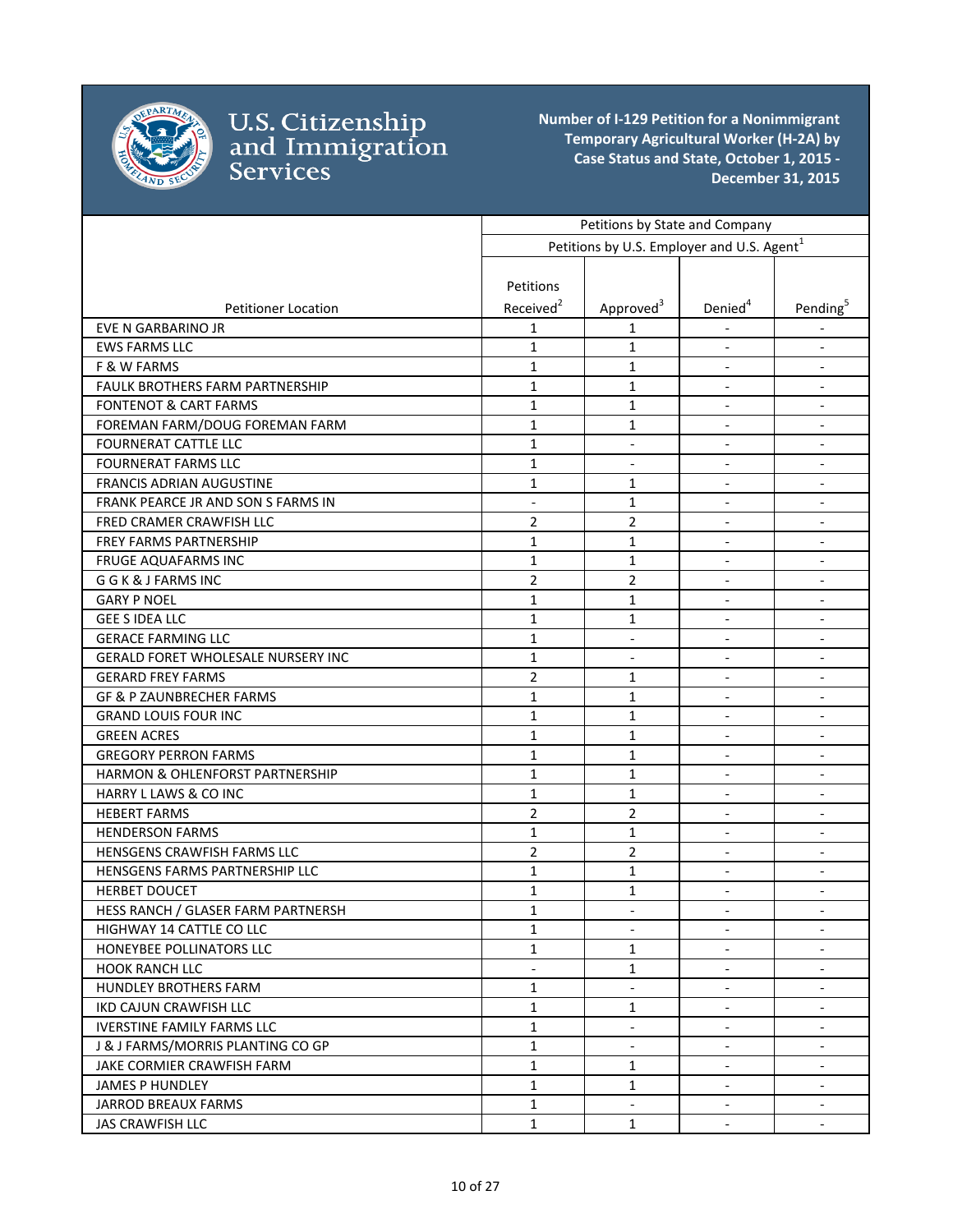

|                                     | Petitions by State and Company |                                                        |                          |                          |
|-------------------------------------|--------------------------------|--------------------------------------------------------|--------------------------|--------------------------|
|                                     |                                | Petitions by U.S. Employer and U.S. Agent <sup>1</sup> |                          |                          |
|                                     |                                |                                                        |                          |                          |
|                                     | Petitions                      |                                                        |                          |                          |
| <b>Petitioner Location</b>          | Received <sup>2</sup>          | Approved <sup>3</sup>                                  | Denied <sup>4</sup>      | Pending <sup>5</sup>     |
| <b>EVE N GARBARINO JR</b>           | 1                              | 1                                                      |                          |                          |
| <b>EWS FARMS LLC</b>                | $\mathbf{1}$                   | 1                                                      | $\overline{\phantom{a}}$ | $\overline{\phantom{a}}$ |
| F & W FARMS                         | $\mathbf{1}$                   | 1                                                      | $\overline{\phantom{a}}$ | $\overline{\phantom{a}}$ |
| FAULK BROTHERS FARM PARTNERSHIP     | $\mathbf{1}$                   | 1                                                      | $\blacksquare$           | $\overline{\phantom{a}}$ |
| <b>FONTENOT &amp; CART FARMS</b>    | $\mathbf{1}$                   | $\mathbf{1}$                                           | $\blacksquare$           | $\overline{\phantom{a}}$ |
| FOREMAN FARM/DOUG FOREMAN FARM      | 1                              | 1                                                      | $\blacksquare$           | $\overline{\phantom{a}}$ |
| <b>FOURNERAT CATTLE LLC</b>         | $\mathbf{1}$                   |                                                        |                          |                          |
| <b>FOURNERAT FARMS LLC</b>          | $\mathbf{1}$                   | $\overline{\phantom{a}}$                               | $\overline{\phantom{a}}$ | $\overline{\phantom{a}}$ |
| <b>FRANCIS ADRIAN AUGUSTINE</b>     | $\mathbf{1}$                   | 1                                                      | $\overline{\phantom{a}}$ | $\overline{\phantom{a}}$ |
| FRANK PEARCE JR AND SON S FARMS IN  | $\blacksquare$                 | 1                                                      | $\blacksquare$           | $\blacksquare$           |
| FRED CRAMER CRAWFISH LLC            | $\overline{2}$                 | $\overline{2}$                                         | $\overline{\phantom{a}}$ | $\blacksquare$           |
| <b>FREY FARMS PARTNERSHIP</b>       | $\mathbf{1}$                   | 1                                                      | $\blacksquare$           | $\overline{\phantom{a}}$ |
| <b>FRUGE AQUAFARMS INC</b>          | $\mathbf{1}$                   | $\mathbf{1}$                                           | $\blacksquare$           | $\overline{\phantom{a}}$ |
| G G K & J FARMS INC                 | $\overline{2}$                 | $\overline{2}$                                         | $\overline{\phantom{a}}$ | $\overline{\phantom{a}}$ |
| <b>GARY P NOEL</b>                  | 1                              | 1                                                      | $\overline{\phantom{a}}$ | $\overline{\phantom{a}}$ |
| <b>GEE S IDEA LLC</b>               | $\mathbf{1}$                   | 1                                                      | $\blacksquare$           | $\overline{\phantom{a}}$ |
| <b>GERACE FARMING LLC</b>           | $\mathbf{1}$                   | $\overline{\phantom{a}}$                               | $\blacksquare$           | $\overline{\phantom{a}}$ |
| GERALD FORET WHOLESALE NURSERY INC  | $\mathbf{1}$                   | $\overline{\phantom{a}}$                               | $\overline{\phantom{a}}$ | $\overline{\phantom{a}}$ |
| <b>GERARD FREY FARMS</b>            | $\overline{2}$                 | 1                                                      | $\overline{\phantom{a}}$ | $\blacksquare$           |
| <b>GF &amp; P ZAUNBRECHER FARMS</b> | 1                              | 1                                                      |                          | $\overline{\phantom{a}}$ |
| <b>GRAND LOUIS FOUR INC</b>         | $\mathbf{1}$                   | 1                                                      | $\overline{\phantom{a}}$ |                          |
| <b>GREEN ACRES</b>                  | 1                              | 1                                                      | $\blacksquare$           | $\blacksquare$           |
| <b>GREGORY PERRON FARMS</b>         | $\mathbf{1}$                   | $\mathbf{1}$                                           | $\overline{\phantom{a}}$ | $\blacksquare$           |
| HARMON & OHLENFORST PARTNERSHIP     | $\mathbf{1}$                   | $\mathbf{1}$                                           | $\blacksquare$           | $\overline{\phantom{a}}$ |
| <b>HARRY L LAWS &amp; CO INC</b>    | $\mathbf{1}$                   | $\mathbf{1}$                                           | $\overline{\phantom{a}}$ | $\overline{\phantom{a}}$ |
| <b>HEBERT FARMS</b>                 | $\overline{2}$                 | $\overline{2}$                                         |                          | $\overline{\phantom{a}}$ |
| <b>HENDERSON FARMS</b>              | 1                              | 1                                                      | $\overline{\phantom{a}}$ | $\overline{\phantom{a}}$ |
| <b>HENSGENS CRAWFISH FARMS LLC</b>  | $\overline{2}$                 | $\overline{2}$                                         | $\overline{\phantom{a}}$ | $\overline{\phantom{a}}$ |
| HENSGENS FARMS PARTNERSHIP LLC      | $\mathbf{1}$                   | 1                                                      | $\blacksquare$           | $\overline{\phantom{a}}$ |
| <b>HERBET DOUCET</b>                | $\mathbf{1}$                   | 1                                                      | $\overline{\phantom{a}}$ | $\blacksquare$           |
| HESS RANCH / GLASER FARM PARTNERSH  | $\mathbf{1}$                   |                                                        |                          |                          |
| HIGHWAY 14 CATTLE CO LLC            | $\mathbf{1}$                   |                                                        |                          |                          |
| HONEYBEE POLLINATORS LLC            | $\mathbf{1}$                   | $\mathbf{1}$                                           |                          |                          |
| <b>HOOK RANCH LLC</b>               | $\overline{\phantom{a}}$       | 1                                                      | $\overline{\phantom{a}}$ | $\overline{\phantom{a}}$ |
| <b>HUNDLEY BROTHERS FARM</b>        | $\mathbf{1}$                   |                                                        | $\blacksquare$           | $\overline{\phantom{a}}$ |
| IKD CAJUN CRAWFISH LLC              | $\mathbf{1}$                   | 1                                                      | $\overline{\phantom{a}}$ | $\overline{\phantom{a}}$ |
| <b>IVERSTINE FAMILY FARMS LLC</b>   | $\mathbf{1}$                   | $\overline{\phantom{a}}$                               | $\overline{\phantom{a}}$ | $\overline{\phantom{a}}$ |
| J & J FARMS/MORRIS PLANTING CO GP   | $\mathbf{1}$                   | $\blacksquare$                                         | $\blacksquare$           | $\overline{\phantom{a}}$ |
| JAKE CORMIER CRAWFISH FARM          | $\mathbf{1}$                   | $\mathbf{1}$                                           | $\overline{\phantom{a}}$ | $\overline{\phantom{a}}$ |
| <b>JAMES P HUNDLEY</b>              | $\mathbf{1}$                   | $\mathbf{1}$                                           | $\overline{\phantom{a}}$ | $\overline{\phantom{a}}$ |
| <b>JARROD BREAUX FARMS</b>          | $\mathbf{1}$                   | $\overline{\phantom{a}}$                               | $\overline{\phantom{a}}$ | $\overline{\phantom{a}}$ |
| <b>JAS CRAWFISH LLC</b>             | $\mathbf{1}$                   | $\mathbf{1}$                                           | $\overline{\phantom{a}}$ | $\blacksquare$           |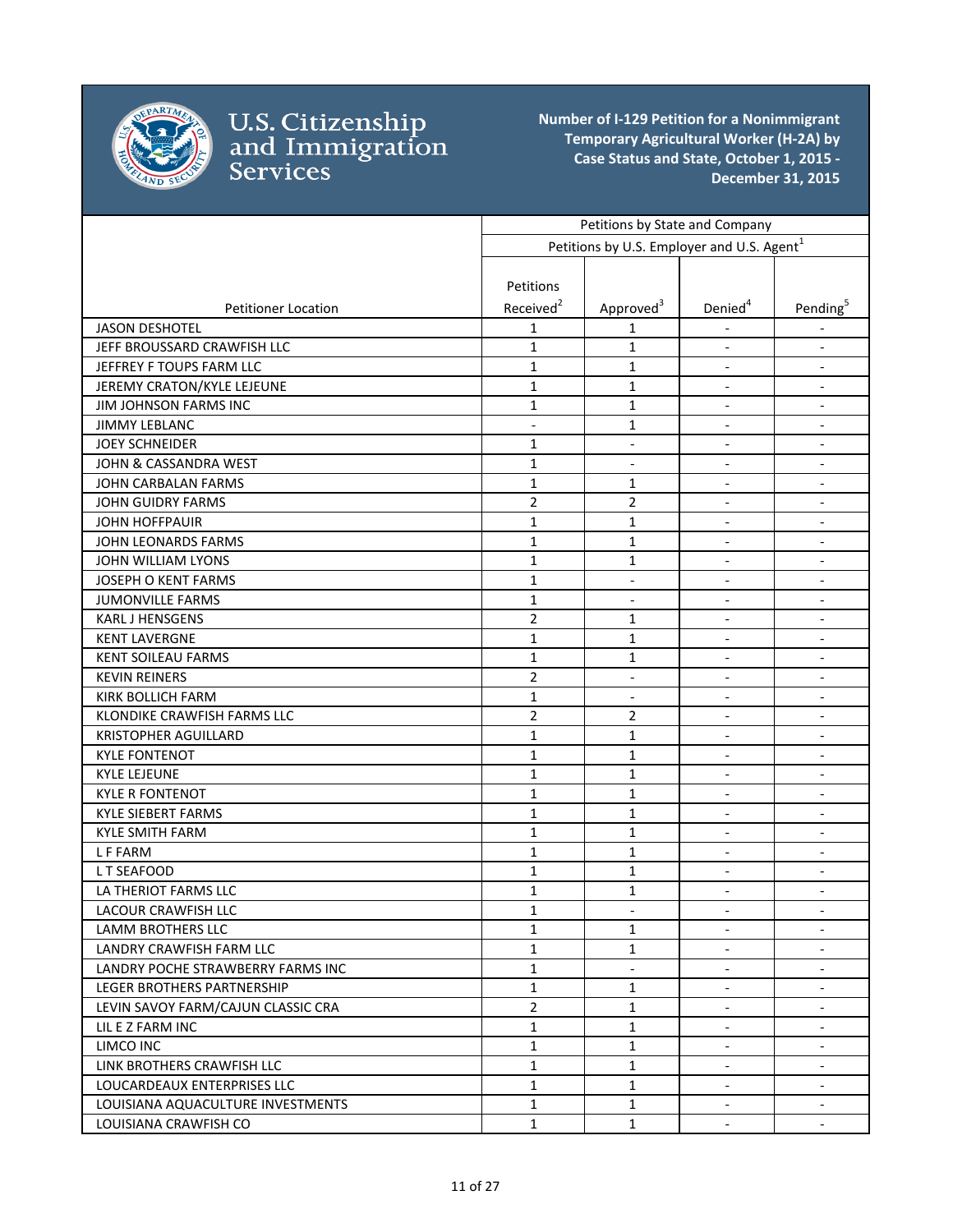

|                                    | Petitions by State and Company |                                                        |                          |                              |
|------------------------------------|--------------------------------|--------------------------------------------------------|--------------------------|------------------------------|
|                                    |                                | Petitions by U.S. Employer and U.S. Agent <sup>1</sup> |                          |                              |
|                                    |                                |                                                        |                          |                              |
|                                    | Petitions                      |                                                        |                          |                              |
| <b>Petitioner Location</b>         | Received <sup>2</sup>          | Approved <sup>3</sup>                                  | Denied <sup>4</sup>      | Pending <sup>5</sup>         |
| <b>JASON DESHOTEL</b>              | 1                              | 1                                                      |                          |                              |
| JEFF BROUSSARD CRAWFISH LLC        | $\mathbf{1}$                   | 1                                                      | $\overline{\phantom{a}}$ | $\overline{\phantom{a}}$     |
| JEFFREY F TOUPS FARM LLC           | $\mathbf{1}$                   | $\mathbf{1}$                                           | $\overline{\phantom{a}}$ | $\overline{\phantom{a}}$     |
| JEREMY CRATON/KYLE LEJEUNE         | $\mathbf{1}$                   | 1                                                      | $\overline{\phantom{a}}$ | $\overline{\phantom{a}}$     |
| JIM JOHNSON FARMS INC              | $\mathbf{1}$                   | $\mathbf{1}$                                           | $\overline{\phantom{a}}$ | $\overline{\phantom{a}}$     |
| <b>JIMMY LEBLANC</b>               | $\overline{\phantom{0}}$       | 1                                                      | $\overline{\phantom{a}}$ | $\overline{\phantom{a}}$     |
| <b>JOEY SCHNEIDER</b>              | $\mathbf{1}$                   |                                                        |                          |                              |
| JOHN & CASSANDRA WEST              | 1                              | $\blacksquare$                                         | $\frac{1}{2}$            | $\overline{\phantom{a}}$     |
| JOHN CARBALAN FARMS                | $\mathbf{1}$                   | $\mathbf{1}$                                           | $\overline{\phantom{a}}$ | $\overline{\phantom{a}}$     |
| <b>JOHN GUIDRY FARMS</b>           | $\overline{2}$                 | $\overline{2}$                                         | $\overline{\phantom{a}}$ | $\blacksquare$               |
| <b>JOHN HOFFPAUIR</b>              | $\mathbf{1}$                   | $\mathbf{1}$                                           | $\overline{\phantom{a}}$ | $\overline{\phantom{a}}$     |
| JOHN LEONARDS FARMS                | $\mathbf{1}$                   | $\mathbf{1}$                                           | $\overline{\phantom{a}}$ | $\blacksquare$               |
| JOHN WILLIAM LYONS                 | $\mathbf{1}$                   | 1                                                      | $\blacksquare$           | $\blacksquare$               |
| <b>JOSEPH O KENT FARMS</b>         | $\mathbf{1}$                   | $\overline{\phantom{a}}$                               |                          | $\qquad \qquad \blacksquare$ |
| <b>JUMONVILLE FARMS</b>            | $\mathbf{1}$                   | $\overline{\phantom{a}}$                               | $\overline{\phantom{a}}$ | $\overline{\phantom{a}}$     |
| KARL J HENSGENS                    | $\overline{2}$                 | 1                                                      | $\blacksquare$           | $\overline{\phantom{a}}$     |
| <b>KENT LAVERGNE</b>               | $\mathbf{1}$                   | 1                                                      | $\overline{\phantom{a}}$ | $\overline{\phantom{a}}$     |
| <b>KENT SOILEAU FARMS</b>          | 1                              | 1                                                      | $\frac{1}{2}$            | $\overline{\phantom{a}}$     |
| <b>KEVIN REINERS</b>               | $\overline{2}$                 | $\overline{\phantom{a}}$                               | $\blacksquare$           | $\overline{\phantom{a}}$     |
| <b>KIRK BOLLICH FARM</b>           | 1                              | $\overline{\phantom{a}}$                               |                          |                              |
| KLONDIKE CRAWFISH FARMS LLC        | $\overline{2}$                 | 2                                                      | $\blacksquare$           | $\overline{\phantom{a}}$     |
| <b>KRISTOPHER AGUILLARD</b>        | $\mathbf{1}$                   | 1                                                      | $\blacksquare$           | $\overline{\phantom{a}}$     |
| <b>KYLE FONTENOT</b>               | $\mathbf{1}$                   | $\mathbf{1}$                                           | $\blacksquare$           | $\overline{\phantom{a}}$     |
| <b>KYLE LEJEUNE</b>                | $\mathbf 1$                    | $\mathbf{1}$                                           | $\blacksquare$           | $\overline{\phantom{a}}$     |
| <b>KYLE R FONTENOT</b>             | $\mathbf{1}$                   | $\mathbf{1}$                                           | $\blacksquare$           | $\overline{\phantom{a}}$     |
| <b>KYLE SIEBERT FARMS</b>          | $\mathbf{1}$                   | $\mathbf{1}$                                           |                          | $\overline{\phantom{a}}$     |
| <b>KYLE SMITH FARM</b>             | $\mathbf{1}$                   | $\mathbf{1}$                                           | $\overline{\phantom{a}}$ | $\overline{\phantom{a}}$     |
| <b>LFFARM</b>                      | $\mathbf{1}$                   | $\mathbf{1}$                                           | $\overline{\phantom{a}}$ | $\overline{\phantom{a}}$     |
| LT SEAFOOD                         | $\mathbf{1}$                   | 1                                                      | $\blacksquare$           | $\overline{\phantom{a}}$     |
| LA THERIOT FARMS LLC               | $\mathbf{1}$                   | 1                                                      | $\overline{\phantom{a}}$ | $\overline{\phantom{a}}$     |
| LACOUR CRAWFISH LLC                | $\mathbf{1}$                   |                                                        |                          |                              |
| LAMM BROTHERS LLC                  | $\mathbf{1}$                   | 1                                                      |                          | $\overline{\phantom{a}}$     |
| LANDRY CRAWFISH FARM LLC           | $\mathbf{1}$                   | $\mathbf{1}$                                           |                          |                              |
| LANDRY POCHE STRAWBERRY FARMS INC  | 1                              | $\overline{\phantom{a}}$                               | $\overline{\phantom{a}}$ | $\overline{\phantom{a}}$     |
| LEGER BROTHERS PARTNERSHIP         | $\mathbf{1}$                   | 1                                                      | $\blacksquare$           | $\overline{\phantom{a}}$     |
| LEVIN SAVOY FARM/CAJUN CLASSIC CRA | $\overline{2}$                 | $\mathbf{1}$                                           | $\blacksquare$           | $\overline{\phantom{a}}$     |
| LIL E Z FARM INC                   | 1                              | $\mathbf{1}$                                           | $\blacksquare$           | $\overline{\phantom{a}}$     |
| LIMCO INC                          | $\mathbf{1}$                   | 1                                                      | $\blacksquare$           | $\overline{\phantom{a}}$     |
| LINK BROTHERS CRAWFISH LLC         | $\mathbf{1}$                   | $\mathbf{1}$                                           | $\overline{\phantom{a}}$ | $\overline{\phantom{a}}$     |
| LOUCARDEAUX ENTERPRISES LLC        | 1                              | 1                                                      | $\overline{\phantom{a}}$ | $\blacksquare$               |
| LOUISIANA AQUACULTURE INVESTMENTS  | $\mathbf{1}$                   | $\mathbf{1}$                                           | $\overline{\phantom{a}}$ | $\overline{\phantom{a}}$     |
| LOUISIANA CRAWFISH CO              | $\mathbf{1}$                   | 1                                                      | $\overline{\phantom{a}}$ | $\blacksquare$               |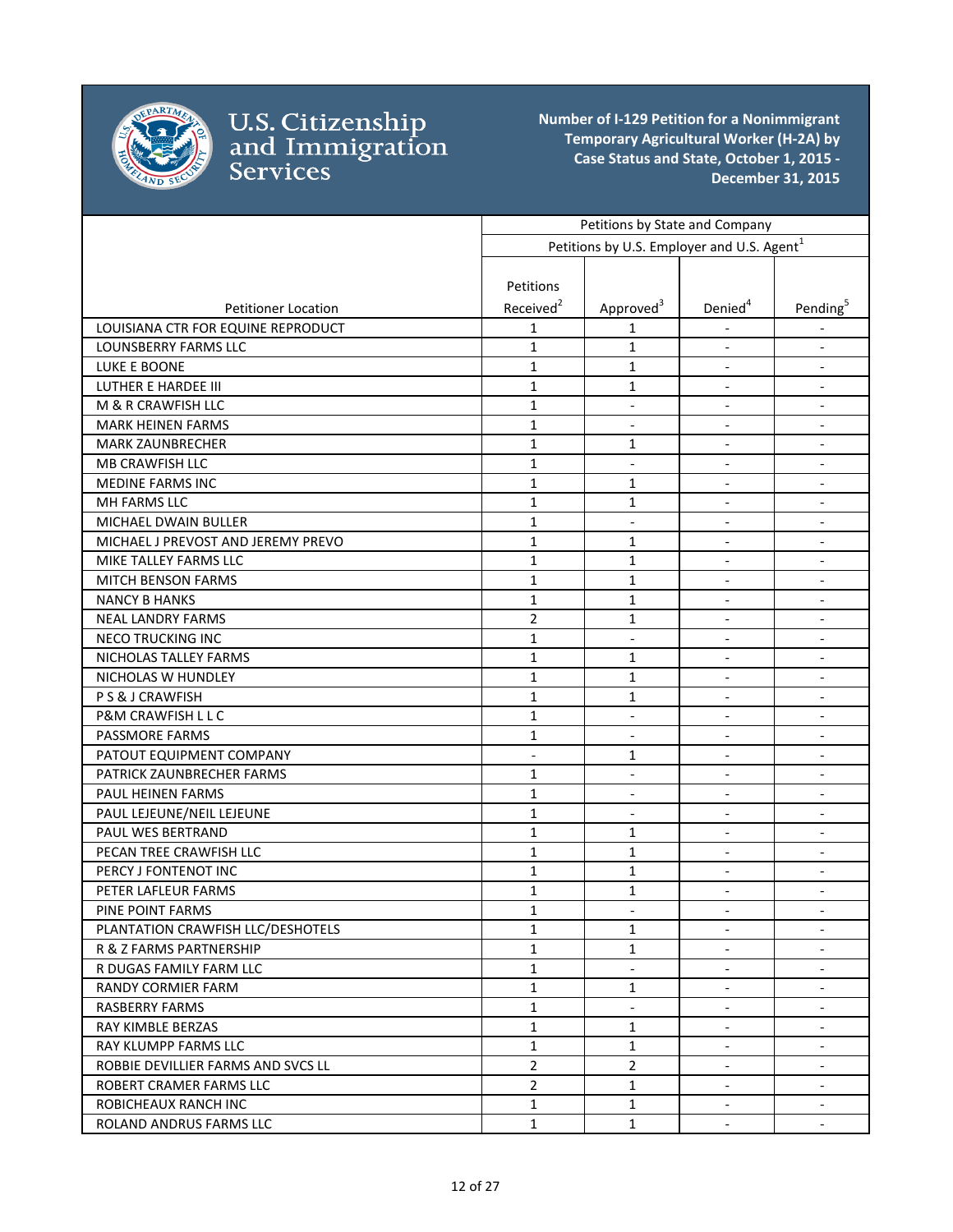

|                                    | Petitions by State and Company |                                                        |                              |                              |
|------------------------------------|--------------------------------|--------------------------------------------------------|------------------------------|------------------------------|
|                                    |                                | Petitions by U.S. Employer and U.S. Agent <sup>1</sup> |                              |                              |
|                                    |                                |                                                        |                              |                              |
|                                    | Petitions                      |                                                        |                              |                              |
| <b>Petitioner Location</b>         | Received <sup>2</sup>          | Approved <sup>3</sup>                                  | Denied <sup>4</sup>          | Pending <sup>5</sup>         |
| LOUISIANA CTR FOR EQUINE REPRODUCT | 1                              | 1                                                      |                              |                              |
| LOUNSBERRY FARMS LLC               | $\mathbf{1}$                   | 1                                                      | $\overline{\phantom{a}}$     | $\overline{\phantom{a}}$     |
| LUKE E BOONE                       | $\mathbf{1}$                   | $\mathbf{1}$                                           | $\overline{\phantom{a}}$     | $\overline{\phantom{a}}$     |
| <b>LUTHER E HARDEE III</b>         | $\mathbf{1}$                   | 1                                                      | $\overline{\phantom{a}}$     | $\overline{\phantom{a}}$     |
| M & R CRAWFISH LLC                 | $\mathbf{1}$                   | $\overline{\phantom{a}}$                               | $\blacksquare$               | $\overline{\phantom{a}}$     |
| <b>MARK HEINEN FARMS</b>           | $\mathbf{1}$                   | $\blacksquare$                                         | $\blacksquare$               | $\blacksquare$               |
| <b>MARK ZAUNBRECHER</b>            | $\mathbf{1}$                   | 1                                                      | $\blacksquare$               | $\overline{\phantom{a}}$     |
| MB CRAWFISH LLC                    | $\mathbf{1}$                   | $\blacksquare$                                         | $\blacksquare$               | $\overline{\phantom{a}}$     |
| <b>MEDINE FARMS INC</b>            | $\mathbf{1}$                   | 1                                                      | $\overline{\phantom{a}}$     |                              |
| MH FARMS LLC                       | $\mathbf{1}$                   | 1                                                      | $\overline{\phantom{a}}$     | $\overline{\phantom{a}}$     |
| MICHAEL DWAIN BULLER               | $\mathbf{1}$                   | $\blacksquare$                                         | $\blacksquare$               | $\blacksquare$               |
| MICHAEL J PREVOST AND JEREMY PREVO | $\mathbf{1}$                   | $\mathbf{1}$                                           | $\overline{\phantom{a}}$     | $\blacksquare$               |
| MIKE TALLEY FARMS LLC              | $\mathbf{1}$                   | 1                                                      | $\overline{\phantom{a}}$     | $\overline{\phantom{a}}$     |
| <b>MITCH BENSON FARMS</b>          | $\mathbf{1}$                   | $\mathbf{1}$                                           |                              | $\overline{\phantom{a}}$     |
| <b>NANCY B HANKS</b>               | $\mathbf{1}$                   | $\mathbf{1}$                                           | $\overline{\phantom{a}}$     | $\overline{\phantom{a}}$     |
| <b>NEAL LANDRY FARMS</b>           | $\overline{2}$                 | 1                                                      | $\overline{\phantom{a}}$     | $\overline{\phantom{a}}$     |
| <b>NECO TRUCKING INC</b>           | $\mathbf{1}$                   | $\overline{\phantom{a}}$                               | $\overline{\phantom{a}}$     | $\overline{\phantom{a}}$     |
| NICHOLAS TALLEY FARMS              | $\mathbf{1}$                   | $\mathbf{1}$                                           | $\blacksquare$               | $\overline{\phantom{a}}$     |
| NICHOLAS W HUNDLEY                 | $\mathbf{1}$                   | 1                                                      | $\overline{\phantom{a}}$     | $\overline{\phantom{a}}$     |
| PS& J CRAWFISH                     | $\mathbf{1}$                   | 1                                                      |                              |                              |
| P&M CRAWFISH L L C                 | $\mathbf{1}$                   | $\overline{\phantom{a}}$                               | $\overline{\phantom{a}}$     | $\overline{\phantom{a}}$     |
| PASSMORE FARMS                     | $\mathbf{1}$                   | $\overline{\phantom{a}}$                               | $\overline{\phantom{a}}$     |                              |
| PATOUT EQUIPMENT COMPANY           | $\overline{\phantom{a}}$       | 1                                                      | $\overline{\phantom{a}}$     | $\overline{\phantom{a}}$     |
| PATRICK ZAUNBRECHER FARMS          | $\mathbf{1}$                   | $\blacksquare$                                         | $\overline{\phantom{a}}$     | $\overline{\phantom{a}}$     |
| PAUL HEINEN FARMS                  | $\mathbf{1}$                   | $\overline{\phantom{a}}$                               | $\overline{\phantom{a}}$     | $\overline{\phantom{a}}$     |
| PAUL LEJEUNE/NEIL LEJEUNE          | $\mathbf{1}$                   | $\overline{\phantom{a}}$                               | $\blacksquare$               | $\overline{\phantom{a}}$     |
| PAUL WES BERTRAND                  | $\mathbf{1}$                   | 1                                                      | $\qquad \qquad \blacksquare$ | $\qquad \qquad \blacksquare$ |
| PECAN TREE CRAWFISH LLC            | $\mathbf{1}$                   | 1                                                      | $\overline{\phantom{a}}$     | $\overline{\phantom{a}}$     |
| PERCY J FONTENOT INC               | $\mathbf{1}$                   | $\mathbf{1}$                                           | $\overline{\phantom{a}}$     | $\overline{\phantom{a}}$     |
| PETER LAFLEUR FARMS                | 1                              | 1                                                      | $\overline{\phantom{a}}$     | $\overline{\phantom{a}}$     |
| PINE POINT FARMS                   | $\mathbf 1$                    |                                                        |                              |                              |
| PLANTATION CRAWFISH LLC/DESHOTELS  | $\mathbf{1}$                   | 1                                                      | $\blacksquare$               | $\overline{\phantom{a}}$     |
| R & Z FARMS PARTNERSHIP            | $\mathbf{1}$                   | 1                                                      |                              |                              |
| R DUGAS FAMILY FARM LLC            | $\mathbf{1}$                   |                                                        | $\overline{\phantom{a}}$     |                              |
| <b>RANDY CORMIER FARM</b>          | $\mathbf{1}$                   | 1                                                      |                              | $\overline{\phantom{a}}$     |
| <b>RASBERRY FARMS</b>              | $\mathbf{1}$                   | $\overline{\phantom{a}}$                               | $\blacksquare$               | $\blacksquare$               |
| RAY KIMBLE BERZAS                  | $\mathbf{1}$                   | $\mathbf{1}$                                           | $\overline{\phantom{a}}$     | $\overline{\phantom{a}}$     |
| RAY KLUMPP FARMS LLC               | $\mathbf{1}$                   | $\mathbf{1}$                                           | $\overline{\phantom{a}}$     | $\overline{\phantom{a}}$     |
| ROBBIE DEVILLIER FARMS AND SVCS LL | $\overline{2}$                 | $\overline{2}$                                         | $\overline{\phantom{a}}$     | $\overline{\phantom{a}}$     |
| ROBERT CRAMER FARMS LLC            | $\overline{2}$                 | $\mathbf{1}$                                           | $\overline{\phantom{a}}$     | $\overline{\phantom{a}}$     |
| ROBICHEAUX RANCH INC               | $\mathbf{1}$                   | $\mathbf{1}$                                           | $\overline{\phantom{a}}$     | $\overline{\phantom{a}}$     |
| ROLAND ANDRUS FARMS LLC            | $\mathbf{1}$                   | $\mathbf{1}$                                           | $\overline{\phantom{a}}$     | $\blacksquare$               |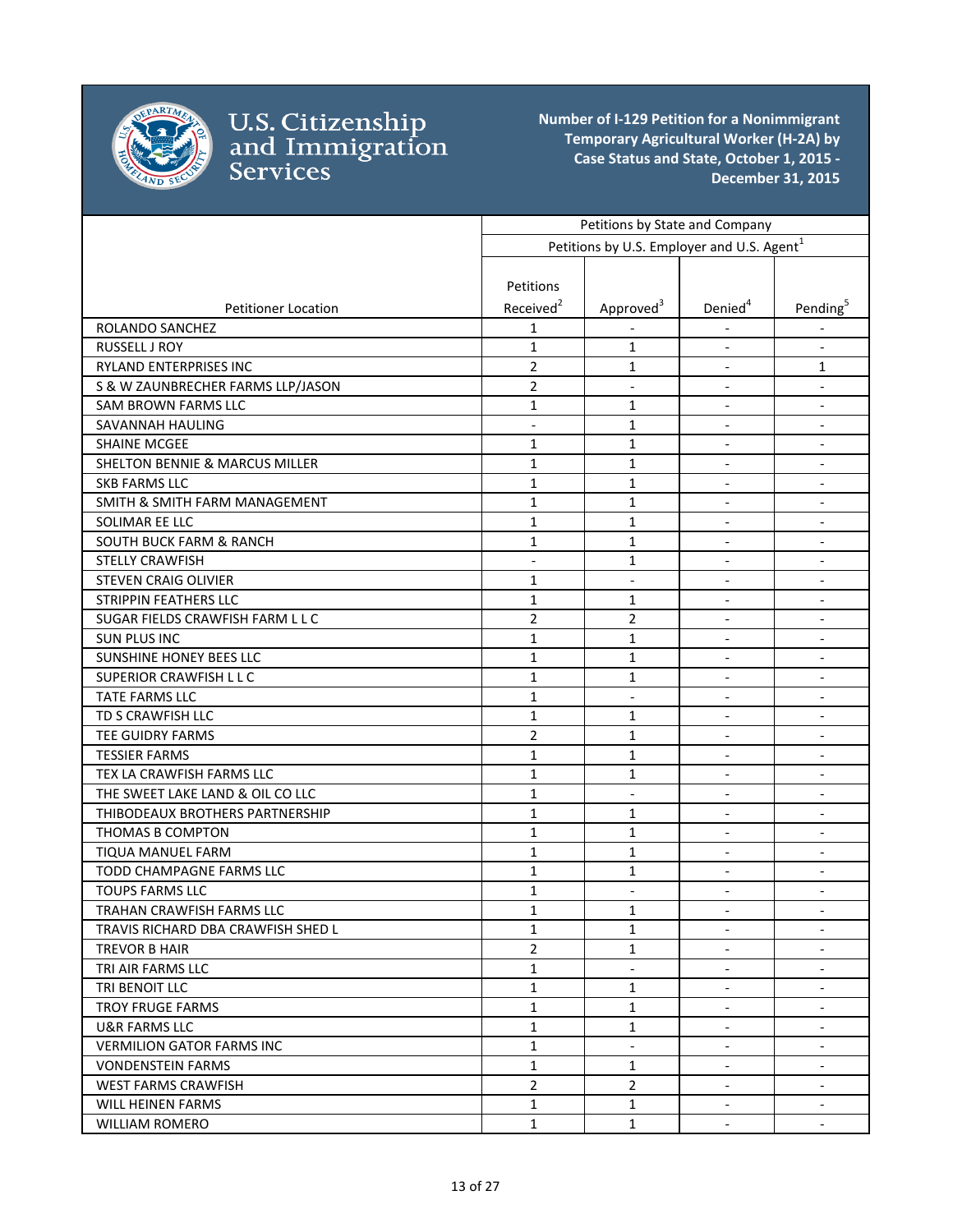

|                                           | Petitions by State and Company |                                                        |                          |                              |
|-------------------------------------------|--------------------------------|--------------------------------------------------------|--------------------------|------------------------------|
|                                           |                                | Petitions by U.S. Employer and U.S. Agent <sup>1</sup> |                          |                              |
|                                           |                                |                                                        |                          |                              |
|                                           | Petitions                      |                                                        |                          |                              |
| <b>Petitioner Location</b>                | Received <sup>2</sup>          | Approved <sup>3</sup>                                  | Denied <sup>4</sup>      | Pending <sup>5</sup>         |
| ROLANDO SANCHEZ                           | 1                              |                                                        |                          |                              |
| RUSSELL J ROY                             | $\mathbf{1}$                   | 1                                                      | $\overline{\phantom{a}}$ | $\overline{\phantom{a}}$     |
| RYLAND ENTERPRISES INC                    | $\overline{2}$                 | $\mathbf{1}$                                           | $\blacksquare$           | $\mathbf{1}$                 |
| S & W ZAUNBRECHER FARMS LLP/JASON         | $\overline{2}$                 | $\blacksquare$                                         | $\blacksquare$           | $\blacksquare$               |
| SAM BROWN FARMS LLC                       | $\mathbf{1}$                   | 1                                                      | $\frac{1}{2}$            | $\overline{\phantom{a}}$     |
| SAVANNAH HAULING                          |                                | 1                                                      | $\blacksquare$           | $\overline{\phantom{a}}$     |
| <b>SHAINE MCGEE</b>                       | $\mathbf{1}$                   | 1                                                      |                          | $\qquad \qquad \blacksquare$ |
| <b>SHELTON BENNIE &amp; MARCUS MILLER</b> | $\mathbf{1}$                   | $\mathbf{1}$                                           | $\overline{\phantom{a}}$ |                              |
| <b>SKB FARMS LLC</b>                      | $\mathbf{1}$                   | $\mathbf{1}$                                           | $\blacksquare$           | $\blacksquare$               |
| SMITH & SMITH FARM MANAGEMENT             | $\mathbf{1}$                   | $\mathbf{1}$                                           | $\blacksquare$           | $\overline{\phantom{a}}$     |
| SOLIMAR EE LLC                            | $\mathbf{1}$                   | $\mathbf{1}$                                           | $\blacksquare$           | $\overline{\phantom{a}}$     |
| SOUTH BUCK FARM & RANCH                   | $\mathbf{1}$                   | 1                                                      | $\blacksquare$           | $\overline{\phantom{a}}$     |
| <b>STELLY CRAWFISH</b>                    | $\overline{\phantom{0}}$       | $\mathbf{1}$                                           |                          | $\qquad \qquad \blacksquare$ |
| <b>STEVEN CRAIG OLIVIER</b>               | $\mathbf{1}$                   | $\blacksquare$                                         | $\overline{\phantom{a}}$ | $\overline{\phantom{a}}$     |
| <b>STRIPPIN FEATHERS LLC</b>              | $\mathbf{1}$                   | 1                                                      | $\overline{\phantom{a}}$ | $\overline{\phantom{a}}$     |
| SUGAR FIELDS CRAWFISH FARM L L C          | $\overline{2}$                 | 2                                                      | $\overline{\phantom{a}}$ | $\overline{\phantom{a}}$     |
| <b>SUN PLUS INC</b>                       | $\mathbf{1}$                   | 1                                                      | $\overline{\phantom{a}}$ | $\blacksquare$               |
| SUNSHINE HONEY BEES LLC                   | $\mathbf{1}$                   | $\mathbf{1}$                                           | $\blacksquare$           | $\overline{\phantom{a}}$     |
| SUPERIOR CRAWFISH L L C                   | $\mathbf{1}$                   | 1                                                      |                          | $\overline{\phantom{a}}$     |
| TATE FARMS LLC                            | $\mathbf{1}$                   | $\blacksquare$                                         | $\overline{\phantom{a}}$ | $\overline{\phantom{a}}$     |
| TD S CRAWFISH LLC                         | $\mathbf{1}$                   | 1                                                      | $\blacksquare$           | $\overline{\phantom{a}}$     |
| TEE GUIDRY FARMS                          | $\overline{2}$                 | $\mathbf{1}$                                           | $\blacksquare$           | $\blacksquare$               |
| <b>TESSIER FARMS</b>                      | $\mathbf{1}$                   | $\mathbf{1}$                                           | $\frac{1}{2}$            | $\overline{\phantom{a}}$     |
| TEX LA CRAWFISH FARMS LLC                 | $\mathbf{1}$                   | 1                                                      | $\overline{\phantom{a}}$ | $\overline{\phantom{a}}$     |
| THE SWEET LAKE LAND & OIL CO LLC          | $\mathbf{1}$                   |                                                        |                          | $\blacksquare$               |
| THIBODEAUX BROTHERS PARTNERSHIP           | $\mathbf{1}$                   | $\mathbf{1}$                                           | $\overline{\phantom{a}}$ | $\overline{\phantom{a}}$     |
| THOMAS B COMPTON                          | $\mathbf{1}$                   | $\mathbf{1}$                                           | $\overline{\phantom{a}}$ | $\overline{\phantom{a}}$     |
| <b>TIQUA MANUEL FARM</b>                  | 1                              | 1                                                      | $\blacksquare$           | $\overline{\phantom{a}}$     |
| TODD CHAMPAGNE FARMS LLC                  | $\mathbf{1}$                   | $\mathbf{1}$                                           | $\overline{\phantom{a}}$ | $\overline{\phantom{a}}$     |
| <b>TOUPS FARMS LLC</b>                    | 1                              | $\qquad \qquad \blacksquare$                           | $\overline{\phantom{a}}$ | $\overline{\phantom{a}}$     |
| TRAHAN CRAWFISH FARMS LLC                 | $\mathbf{1}$                   | $\mathbf 1$                                            |                          |                              |
| TRAVIS RICHARD DBA CRAWFISH SHED L        | $\mathbf{1}$                   | $\mathbf{1}$                                           | $\overline{\phantom{a}}$ | $\overline{\phantom{a}}$     |
| TREVOR B HAIR                             | $\overline{2}$                 | $\mathbf{1}$                                           |                          |                              |
| TRI AIR FARMS LLC                         | $\mathbf{1}$                   |                                                        | $\overline{\phantom{a}}$ | $\overline{\phantom{a}}$     |
| TRI BENOIT LLC                            | $\mathbf{1}$                   | 1                                                      | $\blacksquare$           | $\blacksquare$               |
| <b>TROY FRUGE FARMS</b>                   | $\mathbf{1}$                   | $\mathbf{1}$                                           | $\overline{\phantom{a}}$ | $\overline{\phantom{a}}$     |
| U&R FARMS LLC                             | $\mathbf{1}$                   | 1                                                      | $\blacksquare$           | $\overline{\phantom{a}}$     |
| <b>VERMILION GATOR FARMS INC</b>          | $\mathbf{1}$                   | $\overline{\phantom{a}}$                               | $\overline{\phantom{a}}$ | $\overline{\phantom{a}}$     |
| <b>VONDENSTEIN FARMS</b>                  | $\mathbf{1}$                   | $\mathbf{1}$                                           | $\overline{\phantom{a}}$ | $\overline{\phantom{a}}$     |
| <b>WEST FARMS CRAWFISH</b>                | $\overline{2}$                 | $\overline{2}$                                         | $\overline{\phantom{a}}$ | $\overline{\phantom{a}}$     |
| <b>WILL HEINEN FARMS</b>                  | $\mathbf{1}$                   | $\mathbf{1}$                                           | $\blacksquare$           | $\overline{\phantom{a}}$     |
| <b>WILLIAM ROMERO</b>                     | $\mathbf{1}$                   | $\mathbf{1}$                                           | $\blacksquare$           | $\overline{\phantom{a}}$     |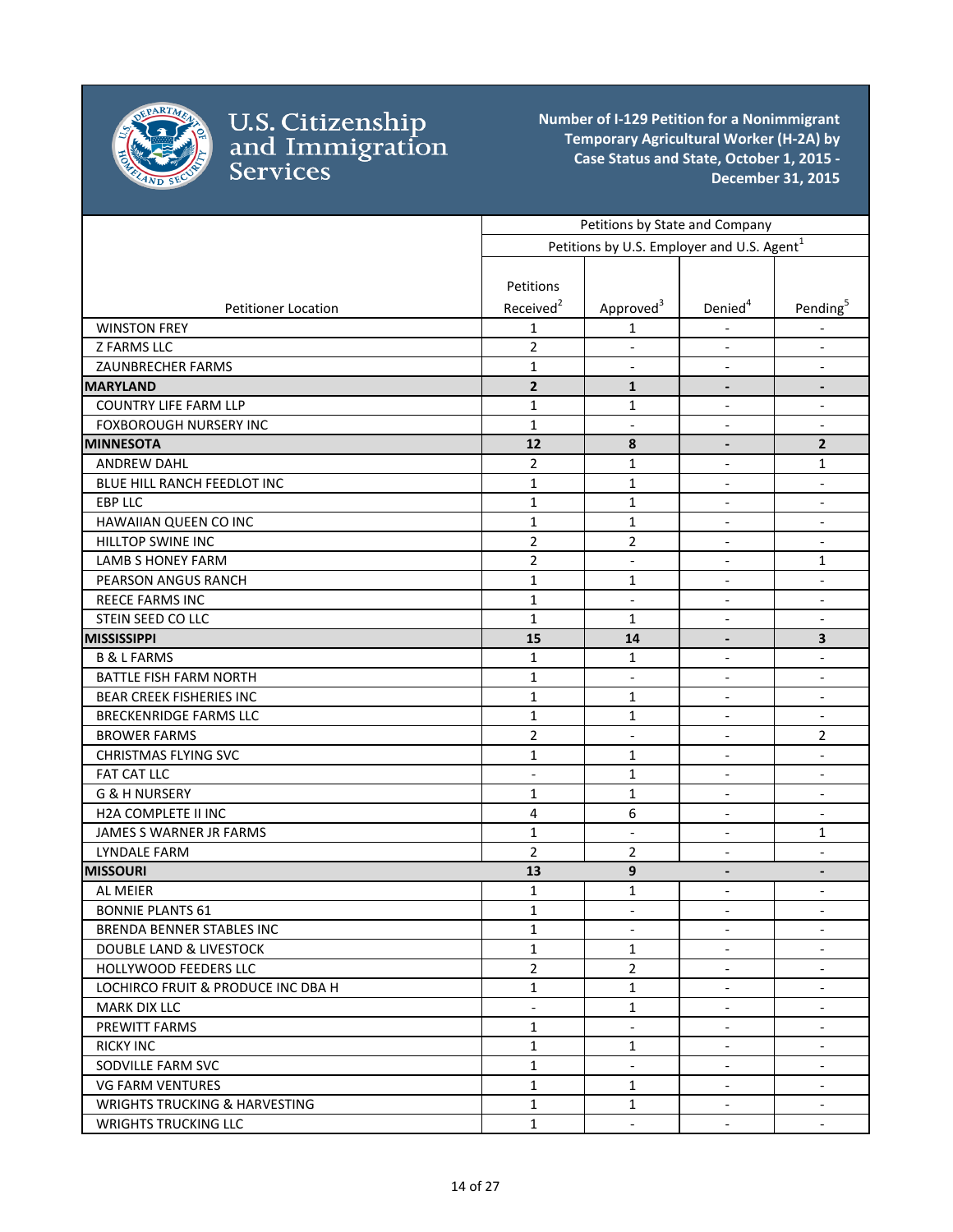

|                                          |                          | Petitions by State and Company                         |                              |                              |
|------------------------------------------|--------------------------|--------------------------------------------------------|------------------------------|------------------------------|
|                                          |                          | Petitions by U.S. Employer and U.S. Agent <sup>1</sup> |                              |                              |
|                                          |                          |                                                        |                              |                              |
|                                          | Petitions                |                                                        |                              |                              |
| <b>Petitioner Location</b>               | Received <sup>2</sup>    | Approved <sup>3</sup>                                  | Denied <sup>4</sup>          | Pending <sup>5</sup>         |
| <b>WINSTON FREY</b>                      | $\mathbf{1}$             | 1                                                      |                              |                              |
| Z FARMS LLC                              | $\overline{2}$           | $\overline{\phantom{a}}$                               | $\overline{\phantom{a}}$     | $\overline{\phantom{a}}$     |
| <b>ZAUNBRECHER FARMS</b>                 | $\mathbf{1}$             | $\overline{\phantom{a}}$                               | $\overline{\phantom{a}}$     | $\qquad \qquad \blacksquare$ |
| <b>MARYLAND</b>                          | $\overline{\mathbf{2}}$  | $\mathbf{1}$                                           | $\overline{\phantom{a}}$     | $\overline{\phantom{a}}$     |
| <b>COUNTRY LIFE FARM LLP</b>             | $\mathbf{1}$             | 1                                                      | $\overline{\phantom{a}}$     | $\overline{\phantom{a}}$     |
| <b>FOXBOROUGH NURSERY INC</b>            | $\mathbf{1}$             | $\overline{\phantom{a}}$                               | $\overline{\phantom{a}}$     | $\overline{\phantom{a}}$     |
| <b>MINNESOTA</b>                         | 12                       | 8                                                      | $\overline{\phantom{a}}$     | $\mathbf{2}$                 |
| <b>ANDREW DAHL</b>                       | $\overline{2}$           | 1                                                      | $\overline{\phantom{a}}$     | 1                            |
| BLUE HILL RANCH FEEDLOT INC              | $\mathbf{1}$             | $\mathbf{1}$                                           | $\overline{\phantom{a}}$     | $\overline{\phantom{a}}$     |
| <b>EBP LLC</b>                           | $\mathbf{1}$             | $\mathbf{1}$                                           | $\blacksquare$               | $\qquad \qquad \blacksquare$ |
| HAWAIIAN QUEEN CO INC                    | $\mathbf 1$              | $\mathbf 1$                                            | $\blacksquare$               | $\overline{\phantom{a}}$     |
| HILLTOP SWINE INC                        | $\overline{2}$           | $\overline{2}$                                         | $\overline{\phantom{a}}$     | $\overline{\phantom{a}}$     |
| <b>LAMB S HONEY FARM</b>                 | $\overline{2}$           | $\overline{\phantom{a}}$                               | $\overline{\phantom{a}}$     | 1                            |
| PEARSON ANGUS RANCH                      | $\mathbf 1$              | $\mathbf{1}$                                           | $\overline{\phantom{a}}$     | $\overline{\phantom{a}}$     |
| REECE FARMS INC                          | $\mathbf{1}$             | $\overline{\phantom{a}}$                               | $\overline{\phantom{a}}$     | $\overline{\phantom{a}}$     |
| STEIN SEED CO LLC                        | $\mathbf{1}$             | $\mathbf{1}$                                           | $\qquad \qquad \blacksquare$ | $\qquad \qquad \blacksquare$ |
| <b>MISSISSIPPI</b>                       | 15                       | 14                                                     | $\overline{\phantom{a}}$     | $\overline{\mathbf{3}}$      |
| <b>B &amp; L FARMS</b>                   | $\mathbf{1}$             | 1                                                      | $\overline{\phantom{a}}$     | $\overline{\phantom{a}}$     |
| <b>BATTLE FISH FARM NORTH</b>            | $\mathbf{1}$             | $\overline{\phantom{a}}$                               | $\overline{\phantom{a}}$     | $\overline{\phantom{a}}$     |
| <b>BEAR CREEK FISHERIES INC</b>          | $\mathbf{1}$             | 1                                                      | $\blacksquare$               | $\overline{\phantom{a}}$     |
| <b>BRECKENRIDGE FARMS LLC</b>            | $\mathbf{1}$             | 1                                                      | $\overline{\phantom{a}}$     | $\overline{\phantom{a}}$     |
| <b>BROWER FARMS</b>                      | $\overline{2}$           | $\overline{\phantom{a}}$                               |                              | $\overline{2}$               |
| <b>CHRISTMAS FLYING SVC</b>              | 1                        | 1                                                      | $\blacksquare$               | $\overline{\phantom{a}}$     |
| FAT CAT LLC                              | $\overline{a}$           | $\mathbf{1}$                                           | $\overline{\phantom{a}}$     | $\overline{\phantom{a}}$     |
| <b>G &amp; H NURSERY</b>                 | 1                        | 1                                                      | $\blacksquare$               | $\overline{\phantom{a}}$     |
| H2A COMPLETE II INC                      | $\overline{4}$           | 6                                                      | $\blacksquare$               | $\overline{\phantom{a}}$     |
| JAMES S WARNER JR FARMS                  | $\mathbf{1}$             | $\blacksquare$                                         | $\overline{\phantom{a}}$     | 1                            |
| <b>LYNDALE FARM</b>                      | $\overline{2}$           | $\overline{2}$                                         | $\overline{\phantom{a}}$     | $\overline{\phantom{a}}$     |
| <b>MISSOURI</b>                          | 13                       | $\boldsymbol{9}$                                       | $\overline{\phantom{a}}$     | $\overline{\phantom{a}}$     |
| AL MEIER                                 | $\mathbf{1}$             | $\mathbf 1$                                            | $\overline{\phantom{a}}$     | $\overline{\phantom{a}}$     |
| <b>BONNIE PLANTS 61</b>                  | $\mathbf{1}$             | $\overline{\phantom{a}}$                               | $\overline{\phantom{a}}$     | $\overline{\phantom{a}}$     |
| BRENDA BENNER STABLES INC                | 1                        | $\overline{\phantom{a}}$                               | $\overline{\phantom{a}}$     | $\overline{\phantom{a}}$     |
| <b>DOUBLE LAND &amp; LIVESTOCK</b>       | $\mathbf{1}$             | $\mathbf{1}$                                           | $\blacksquare$               | $\overline{\phantom{a}}$     |
| <b>HOLLYWOOD FEEDERS LLC</b>             | $\overline{2}$           | $\overline{2}$                                         | $\blacksquare$               | $\overline{\phantom{a}}$     |
| LOCHIRCO FRUIT & PRODUCE INC DBA H       | $\mathbf{1}$             | $\mathbf{1}$                                           | $\overline{\phantom{a}}$     | $\overline{\phantom{a}}$     |
| <b>MARK DIX LLC</b>                      | $\overline{\phantom{0}}$ | $\mathbf{1}$                                           | $\overline{\phantom{a}}$     | $\overline{\phantom{a}}$     |
| PREWITT FARMS                            | $\mathbf{1}$             | $\blacksquare$                                         | $\blacksquare$               | $\overline{\phantom{a}}$     |
| <b>RICKY INC</b>                         | $\mathbf{1}$             | 1                                                      | $\overline{\phantom{a}}$     | $\overline{\phantom{a}}$     |
| SODVILLE FARM SVC                        | $\mathbf{1}$             | $\overline{\phantom{a}}$                               | $\overline{\phantom{a}}$     | $\overline{\phantom{a}}$     |
| <b>VG FARM VENTURES</b>                  | $\mathbf{1}$             | $\mathbf{1}$                                           | $\overline{\phantom{a}}$     | $\overline{\phantom{a}}$     |
| <b>WRIGHTS TRUCKING &amp; HARVESTING</b> | $\mathbf{1}$             | $\mathbf{1}$                                           | $\overline{\phantom{a}}$     | $\overline{\phantom{a}}$     |
| <b>WRIGHTS TRUCKING LLC</b>              | $\mathbf{1}$             | $\blacksquare$                                         | $\overline{\phantom{a}}$     | $\overline{\phantom{a}}$     |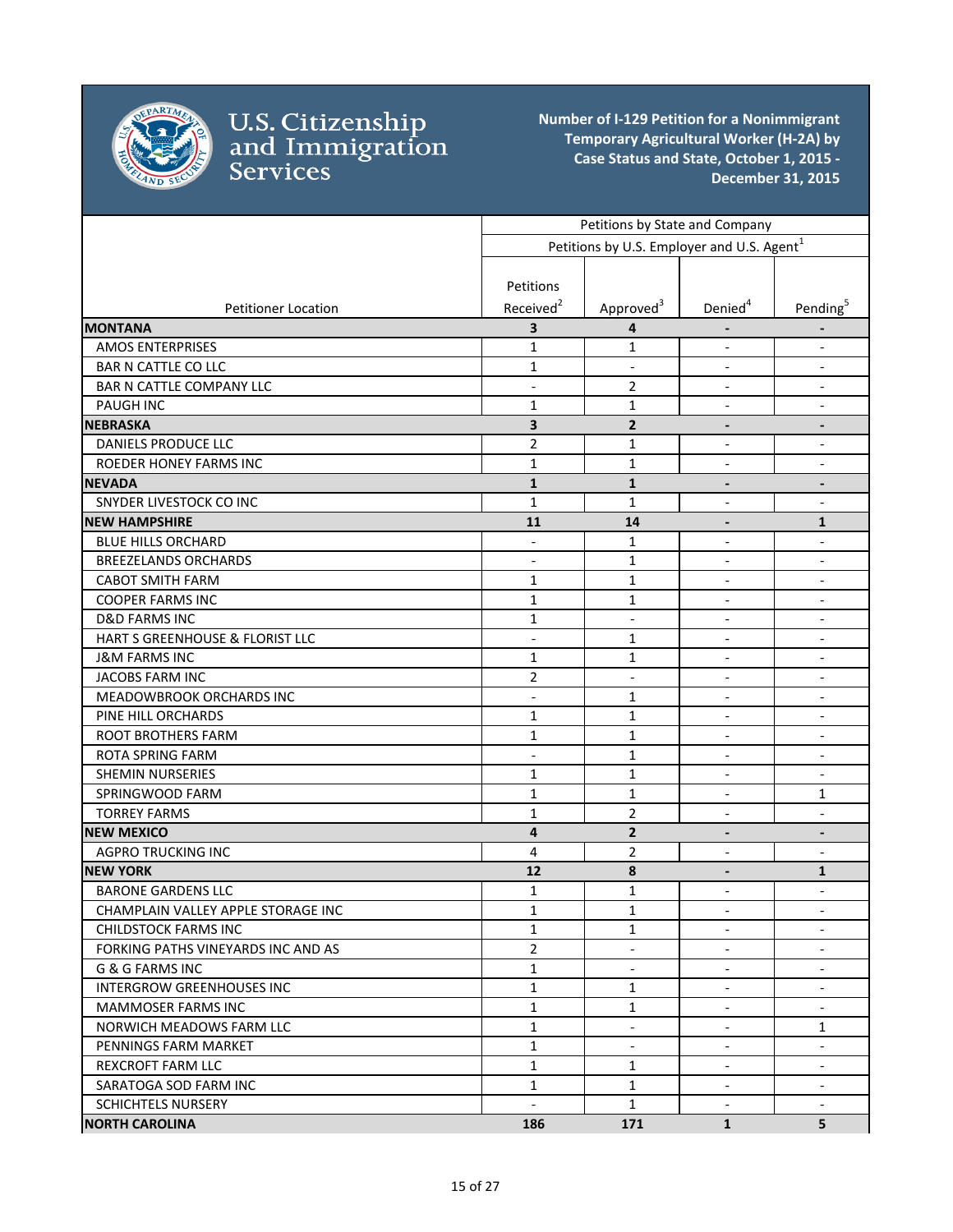

|                                    |                          | Petitions by State and Company                         |                              |                              |
|------------------------------------|--------------------------|--------------------------------------------------------|------------------------------|------------------------------|
|                                    |                          | Petitions by U.S. Employer and U.S. Agent <sup>1</sup> |                              |                              |
|                                    |                          |                                                        |                              |                              |
|                                    | Petitions                |                                                        |                              |                              |
| <b>Petitioner Location</b>         | Received <sup>2</sup>    | Approved <sup>3</sup>                                  | Denied <sup>4</sup>          | Pending <sup>5</sup>         |
| <b>MONTANA</b>                     | 3                        | 4                                                      |                              | $\overline{\phantom{a}}$     |
| <b>AMOS ENTERPRISES</b>            | $\mathbf{1}$             | 1                                                      | $\overline{\phantom{a}}$     | $\overline{\phantom{a}}$     |
| <b>BAR N CATTLE CO LLC</b>         | 1                        | $\overline{\phantom{a}}$                               | $\overline{\phantom{a}}$     | $\blacksquare$               |
| BAR N CATTLE COMPANY LLC           | $\overline{a}$           | $\overline{2}$                                         | $\overline{\phantom{a}}$     | $\overline{\phantom{a}}$     |
| <b>PAUGH INC</b>                   | $\mathbf{1}$             | 1                                                      | $\overline{\phantom{a}}$     | $\overline{\phantom{a}}$     |
| <b>NEBRASKA</b>                    | 3                        | $\overline{2}$                                         |                              |                              |
| DANIELS PRODUCE LLC                | $\overline{2}$           | 1                                                      | $\frac{1}{2}$                | $\blacksquare$               |
| <b>ROEDER HONEY FARMS INC</b>      | $\mathbf{1}$             | $\mathbf 1$                                            | $\qquad \qquad \blacksquare$ |                              |
| <b>NEVADA</b>                      | $\mathbf{1}$             | $\mathbf{1}$                                           | $\qquad \qquad \blacksquare$ | $\overline{\phantom{a}}$     |
| SNYDER LIVESTOCK CO INC            | $\mathbf{1}$             | $\mathbf 1$                                            | $\overline{a}$               | $\blacksquare$               |
| <b>NEW HAMPSHIRE</b>               | 11                       | 14                                                     |                              | $\mathbf{1}$                 |
| <b>BLUE HILLS ORCHARD</b>          |                          | 1                                                      | $\overline{a}$               | $\overline{\phantom{a}}$     |
| <b>BREEZELANDS ORCHARDS</b>        | $\overline{a}$           | 1                                                      | $\qquad \qquad \blacksquare$ | $\qquad \qquad \blacksquare$ |
| <b>CABOT SMITH FARM</b>            | 1                        | 1                                                      | $\overline{\phantom{a}}$     | $\overline{\phantom{a}}$     |
| <b>COOPER FARMS INC</b>            | $\mathbf{1}$             | 1                                                      | $\overline{\phantom{a}}$     | $\overline{\phantom{a}}$     |
| <b>D&amp;D FARMS INC</b>           | $\mathbf{1}$             | $\overline{\phantom{a}}$                               | $\overline{\phantom{a}}$     | $\overline{\phantom{a}}$     |
| HART S GREENHOUSE & FLORIST LLC    | $\blacksquare$           | 1                                                      | $\overline{\phantom{a}}$     | $\overline{\phantom{a}}$     |
| <b>J&amp;M FARMS INC</b>           | $\mathbf{1}$             | 1                                                      | $\overline{\phantom{a}}$     | $\overline{\phantom{a}}$     |
| JACOBS FARM INC                    | $\overline{2}$           | $\overline{\phantom{a}}$                               |                              | $\overline{\phantom{a}}$     |
| MEADOWBROOK ORCHARDS INC           | $\frac{1}{2}$            | 1                                                      | $\overline{\phantom{a}}$     | $\overline{\phantom{a}}$     |
| PINE HILL ORCHARDS                 | $\mathbf{1}$             | $\mathbf 1$                                            | $\overline{\phantom{a}}$     | $\overline{\phantom{a}}$     |
| <b>ROOT BROTHERS FARM</b>          | $\mathbf{1}$             | 1                                                      | $\overline{\phantom{a}}$     | $\blacksquare$               |
| <b>ROTA SPRING FARM</b>            | $\overline{a}$           | $\mathbf{1}$                                           | $\overline{\phantom{a}}$     | $\overline{\phantom{a}}$     |
| <b>SHEMIN NURSERIES</b>            | $\mathbf{1}$             | 1                                                      | $\overline{\phantom{a}}$     | $\overline{\phantom{a}}$     |
| SPRINGWOOD FARM                    | $\mathbf{1}$             | $\mathbf 1$                                            | $\overline{\phantom{a}}$     | $\mathbf{1}$                 |
| <b>TORREY FARMS</b>                | $\mathbf{1}$             | $\overline{2}$                                         | $\overline{\phantom{a}}$     | $\overline{\phantom{a}}$     |
| <b>NEW MEXICO</b>                  | 4                        | $\overline{2}$                                         | $\overline{\phantom{a}}$     | $\overline{\phantom{a}}$     |
| <b>AGPRO TRUCKING INC</b>          | 4                        | 2                                                      | $\blacksquare$               | $\overline{\phantom{a}}$     |
| <b>NEW YORK</b>                    | 12                       | 8                                                      | $\overline{\phantom{a}}$     | $\mathbf{1}$                 |
| <b>BARONE GARDENS LLC</b>          | 1                        | 1                                                      | $\qquad \qquad \blacksquare$ | $\overline{\phantom{a}}$     |
| CHAMPLAIN VALLEY APPLE STORAGE INC | $\mathbf{1}$             | $\mathbf 1$                                            |                              |                              |
| <b>CHILDSTOCK FARMS INC</b>        | 1                        | 1                                                      | $\overline{\phantom{a}}$     | $\overline{\phantom{a}}$     |
| FORKING PATHS VINEYARDS INC AND AS | $\overline{2}$           |                                                        |                              |                              |
| G & G FARMS INC                    | $\mathbf 1$              | $\overline{\phantom{a}}$                               | $\overline{\phantom{a}}$     | $\overline{\phantom{a}}$     |
| <b>INTERGROW GREENHOUSES INC</b>   | $\mathbf 1$              | 1                                                      | $\overline{\phantom{a}}$     | $\blacksquare$               |
| <b>MAMMOSER FARMS INC</b>          | $\mathbf{1}$             | $\mathbf{1}$                                           | $\overline{\phantom{a}}$     | $\overline{\phantom{a}}$     |
| NORWICH MEADOWS FARM LLC           | $\mathbf{1}$             | $\overline{\phantom{a}}$                               | $\overline{\phantom{a}}$     | 1                            |
| PENNINGS FARM MARKET               | $\mathbf{1}$             | $\overline{\phantom{a}}$                               | $\overline{\phantom{a}}$     | $\overline{\phantom{a}}$     |
| <b>REXCROFT FARM LLC</b>           | $\mathbf{1}$             | $\mathbf{1}$                                           | $\overline{\phantom{a}}$     | $\overline{\phantom{a}}$     |
| SARATOGA SOD FARM INC              | $\mathbf{1}$             | $\mathbf{1}$                                           | $\overline{\phantom{a}}$     | $\overline{\phantom{a}}$     |
| <b>SCHICHTELS NURSERY</b>          | $\overline{\phantom{a}}$ | $\mathbf{1}$                                           | $\overline{\phantom{a}}$     | $\overline{\phantom{a}}$     |
| <b>NORTH CAROLINA</b>              | 186                      | 171                                                    | $\mathbf{1}$                 | 5                            |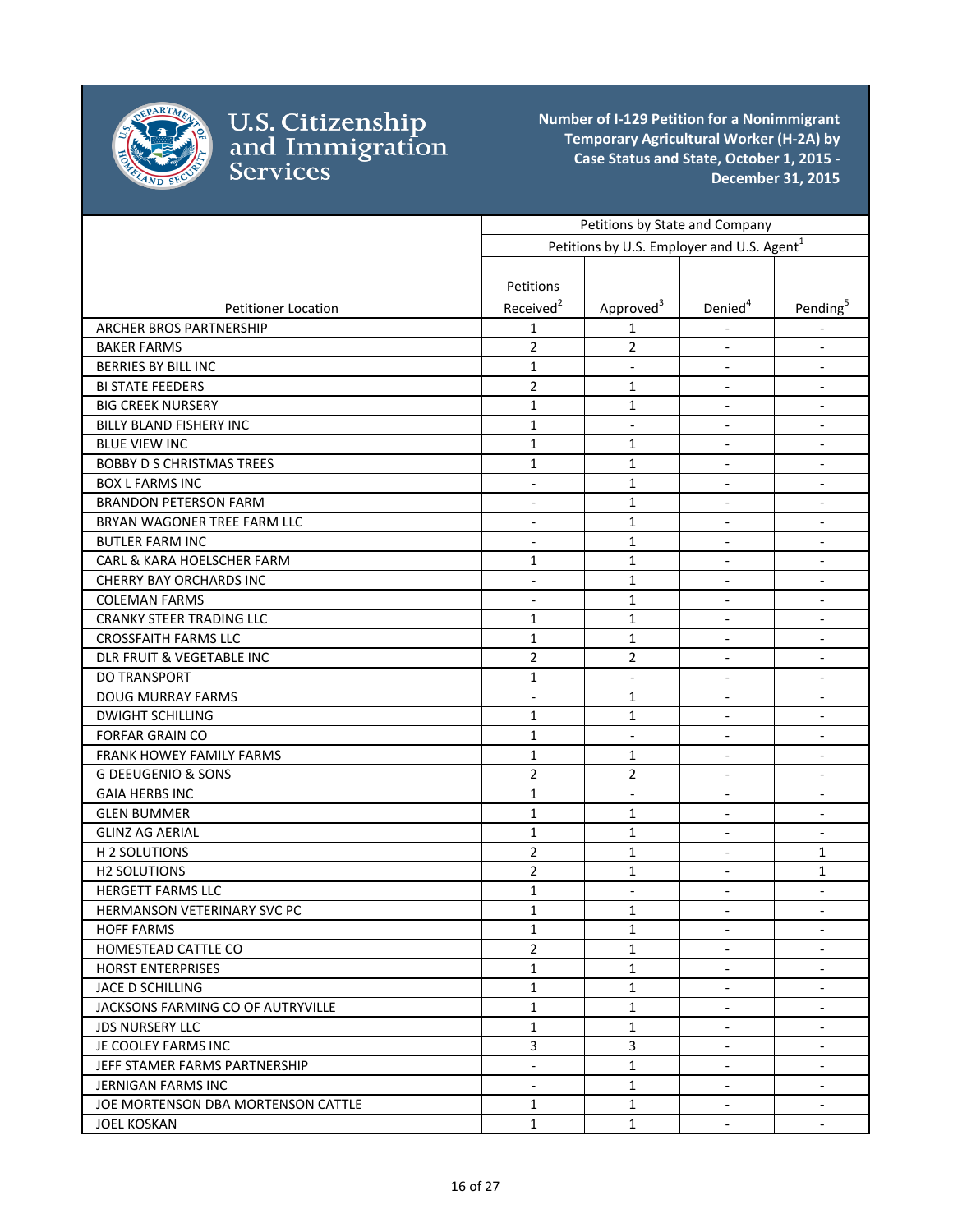

|                                    | Petitions by State and Company                         |                          |                          |                          |
|------------------------------------|--------------------------------------------------------|--------------------------|--------------------------|--------------------------|
|                                    | Petitions by U.S. Employer and U.S. Agent <sup>1</sup> |                          |                          |                          |
|                                    |                                                        |                          |                          |                          |
|                                    | Petitions                                              |                          |                          |                          |
| <b>Petitioner Location</b>         | Received <sup>2</sup>                                  | Approved <sup>3</sup>    | Denied <sup>4</sup>      | Pending <sup>5</sup>     |
| <b>ARCHER BROS PARTNERSHIP</b>     | $\mathbf{1}$                                           | 1                        |                          |                          |
| <b>BAKER FARMS</b>                 | $\overline{2}$                                         | $\overline{2}$           | $\blacksquare$           | $\overline{\phantom{a}}$ |
| <b>BERRIES BY BILL INC</b>         | $\mathbf{1}$                                           | $\overline{\phantom{a}}$ |                          | $\overline{\phantom{a}}$ |
| <b>BI STATE FEEDERS</b>            | 2                                                      | 1                        | $\overline{\phantom{a}}$ | $\overline{\phantom{a}}$ |
| <b>BIG CREEK NURSERY</b>           | $\mathbf{1}$                                           | $\mathbf{1}$             | $\overline{\phantom{a}}$ | $\overline{\phantom{a}}$ |
| BILLY BLAND FISHERY INC            | $\mathbf{1}$                                           | $\overline{\phantom{a}}$ | $\blacksquare$           | $\overline{\phantom{a}}$ |
| <b>BLUE VIEW INC</b>               | $\mathbf{1}$                                           | 1                        | $\blacksquare$           | $\overline{\phantom{a}}$ |
| <b>BOBBY D S CHRISTMAS TREES</b>   | 1                                                      | 1                        | $\overline{\phantom{a}}$ | $\overline{\phantom{a}}$ |
| <b>BOX L FARMS INC</b>             | $\overline{\phantom{0}}$                               | 1                        |                          | $\overline{\phantom{a}}$ |
| <b>BRANDON PETERSON FARM</b>       | $\overline{\phantom{a}}$                               | 1                        | $\overline{\phantom{a}}$ | $\overline{\phantom{a}}$ |
| BRYAN WAGONER TREE FARM LLC        | $\overline{\phantom{a}}$                               | $\mathbf{1}$             | $\overline{\phantom{a}}$ | $\blacksquare$           |
| <b>BUTLER FARM INC</b>             | $\overline{a}$                                         | $\mathbf{1}$             | $\overline{\phantom{a}}$ | $\blacksquare$           |
| CARL & KARA HOELSCHER FARM         | $\mathbf{1}$                                           | $\mathbf{1}$             | $\blacksquare$           | $\overline{\phantom{a}}$ |
| <b>CHERRY BAY ORCHARDS INC</b>     | $\overline{\phantom{a}}$                               | $\mathbf{1}$             | $\blacksquare$           | $\blacksquare$           |
| <b>COLEMAN FARMS</b>               | $\overline{\phantom{a}}$                               | $\mathbf{1}$             | $\overline{\phantom{a}}$ | $\blacksquare$           |
| <b>CRANKY STEER TRADING LLC</b>    | 1                                                      | $\mathbf{1}$             | $\overline{\phantom{a}}$ | $\overline{\phantom{a}}$ |
| <b>CROSSFAITH FARMS LLC</b>        | 1                                                      | $\mathbf{1}$             | $\overline{\phantom{a}}$ | $\overline{\phantom{a}}$ |
| DLR FRUIT & VEGETABLE INC          | $\overline{2}$                                         | 2                        | $\blacksquare$           | $\overline{\phantom{a}}$ |
| <b>DO TRANSPORT</b>                | $\mathbf{1}$                                           | $\blacksquare$           | $\blacksquare$           | $\overline{\phantom{a}}$ |
| <b>DOUG MURRAY FARMS</b>           | $\overline{\phantom{0}}$                               | 1                        |                          | $\overline{\phantom{a}}$ |
| <b>DWIGHT SCHILLING</b>            | 1                                                      | 1                        | $\blacksquare$           | $\overline{\phantom{a}}$ |
| <b>FORFAR GRAIN CO</b>             | $\mathbf{1}$                                           | $\overline{\phantom{a}}$ | $\overline{\phantom{a}}$ | $\overline{\phantom{a}}$ |
| FRANK HOWEY FAMILY FARMS           | 1                                                      | 1                        | $\overline{\phantom{a}}$ | $\overline{\phantom{a}}$ |
| <b>G DEEUGENIO &amp; SONS</b>      | $\overline{2}$                                         | $\overline{2}$           | $\overline{a}$           | $\blacksquare$           |
| <b>GAIA HERBS INC</b>              | $\mathbf{1}$                                           | $\blacksquare$           | $\overline{\phantom{a}}$ | $\blacksquare$           |
| <b>GLEN BUMMER</b>                 | $\mathbf{1}$                                           | 1                        | $\overline{\phantom{a}}$ | $\overline{\phantom{a}}$ |
| <b>GLINZ AG AERIAL</b>             | $\mathbf{1}$                                           | $\mathbf{1}$             | $\overline{\phantom{a}}$ | $\blacksquare$           |
| H 2 SOLUTIONS                      | $\overline{2}$                                         | $\mathbf{1}$             | $\overline{\phantom{a}}$ | 1                        |
| <b>H2 SOLUTIONS</b>                | 2                                                      | 1                        | $\overline{\phantom{a}}$ | 1                        |
| <b>HERGETT FARMS LLC</b>           | 1                                                      | $\overline{\phantom{a}}$ | $\overline{\phantom{a}}$ | $\overline{\phantom{a}}$ |
| HERMANSON VETERINARY SVC PC        | $\mathbf{1}$                                           | 1                        | $\overline{a}$           |                          |
| <b>HOFF FARMS</b>                  | 1                                                      | $\mathbf{1}$             | $\blacksquare$           | $\overline{\phantom{a}}$ |
| HOMESTEAD CATTLE CO                | $\overline{2}$                                         | 1                        |                          | $\overline{\phantom{a}}$ |
| <b>HORST ENTERPRISES</b>           | $\mathbf{1}$                                           | $\mathbf{1}$             | $\blacksquare$           | $\overline{\phantom{a}}$ |
| JACE D SCHILLING                   | $\mathbf{1}$                                           | $\mathbf{1}$             | $\overline{\phantom{a}}$ | $\overline{\phantom{a}}$ |
| JACKSONS FARMING CO OF AUTRYVILLE  | 1                                                      | 1                        | $\overline{\phantom{a}}$ | $\overline{\phantom{a}}$ |
| <b>JDS NURSERY LLC</b>             | $\mathbf{1}$                                           | 1                        | $\sim$                   | $\blacksquare$           |
| JE COOLEY FARMS INC                | $\overline{3}$                                         | 3                        | $\blacksquare$           | $\overline{\phantom{a}}$ |
| JEFF STAMER FARMS PARTNERSHIP      | $\overline{\phantom{a}}$                               | $\mathbf{1}$             | $\blacksquare$           | $\overline{\phantom{a}}$ |
| JERNIGAN FARMS INC                 | $\blacksquare$                                         | $\mathbf{1}$             | $\blacksquare$           | $\overline{\phantom{a}}$ |
| JOE MORTENSON DBA MORTENSON CATTLE | 1                                                      | $\mathbf{1}$             | $\overline{\phantom{a}}$ | $\overline{\phantom{a}}$ |
| <b>JOEL KOSKAN</b>                 | 1                                                      | $\mathbf{1}$             | $\overline{\phantom{a}}$ | $\sim$                   |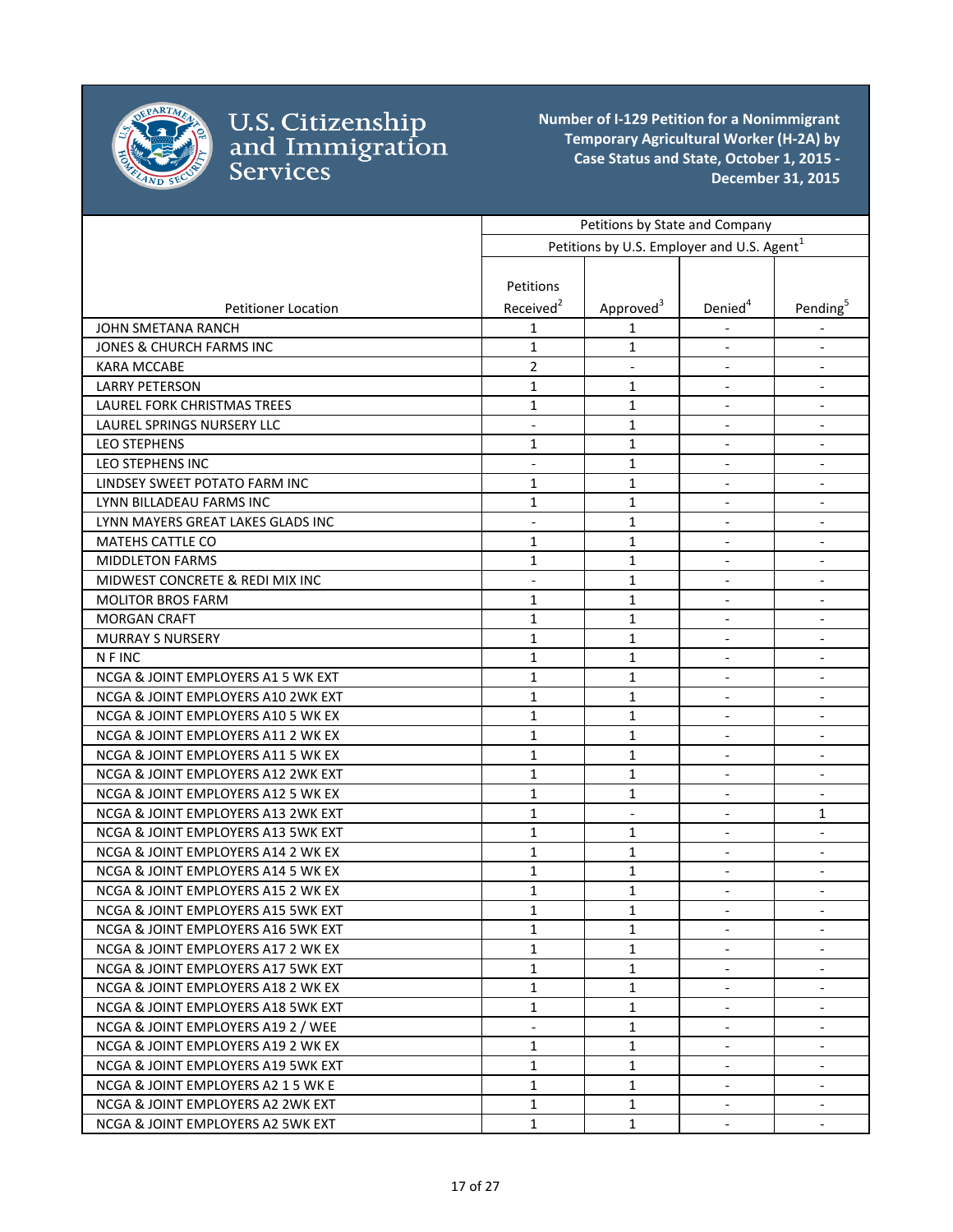

|                                    | Petitions by State and Company |                                                        |                          |                          |
|------------------------------------|--------------------------------|--------------------------------------------------------|--------------------------|--------------------------|
|                                    |                                | Petitions by U.S. Employer and U.S. Agent <sup>1</sup> |                          |                          |
|                                    |                                |                                                        |                          |                          |
|                                    | Petitions                      |                                                        |                          |                          |
| <b>Petitioner Location</b>         | Received <sup>2</sup>          | Approved <sup>3</sup>                                  | Denied <sup>4</sup>      | Pending <sup>5</sup>     |
| JOHN SMETANA RANCH                 | 1                              | 1                                                      |                          |                          |
| JONES & CHURCH FARMS INC           | $\mathbf{1}$                   | 1                                                      |                          | $\overline{\phantom{a}}$ |
| <b>KARA MCCABE</b>                 | $\overline{2}$                 | $\overline{\phantom{a}}$                               |                          | $\overline{\phantom{a}}$ |
| <b>LARRY PETERSON</b>              | 1                              | 1                                                      | $\overline{\phantom{a}}$ | $\overline{\phantom{a}}$ |
| LAUREL FORK CHRISTMAS TREES        | 1                              | 1                                                      | $\blacksquare$           | $\overline{\phantom{a}}$ |
| LAUREL SPRINGS NURSERY LLC         | $\overline{\phantom{a}}$       | $\mathbf{1}$                                           | $\blacksquare$           | $\overline{\phantom{a}}$ |
| <b>LEO STEPHENS</b>                | 1                              | 1                                                      |                          |                          |
| LEO STEPHENS INC                   | $\blacksquare$                 | 1                                                      | $\overline{\phantom{a}}$ |                          |
| LINDSEY SWEET POTATO FARM INC      | $\mathbf{1}$                   | 1                                                      | $\overline{\phantom{a}}$ |                          |
| LYNN BILLADEAU FARMS INC           | 1                              | 1                                                      |                          |                          |
| LYNN MAYERS GREAT LAKES GLADS INC  | $\overline{a}$                 | $\mathbf{1}$                                           | $\overline{a}$           | $\blacksquare$           |
| <b>MATEHS CATTLE CO</b>            | $\mathbf{1}$                   | $\mathbf{1}$                                           | $\overline{\phantom{a}}$ | $\overline{\phantom{a}}$ |
| <b>MIDDLETON FARMS</b>             | 1                              | 1                                                      |                          |                          |
| MIDWEST CONCRETE & REDI MIX INC    |                                | $\mathbf{1}$                                           |                          |                          |
| <b>MOLITOR BROS FARM</b>           | 1                              | 1                                                      | $\blacksquare$           | $\overline{\phantom{a}}$ |
| <b>MORGAN CRAFT</b>                | 1                              | 1                                                      | $\overline{\phantom{a}}$ | $\overline{\phantom{a}}$ |
| <b>MURRAY S NURSERY</b>            | $\mathbf{1}$                   | 1                                                      | $\blacksquare$           | $\overline{\phantom{a}}$ |
| N F INC                            | $\mathbf{1}$                   | 1                                                      | $\blacksquare$           | $\overline{\phantom{a}}$ |
| NCGA & JOINT EMPLOYERS A1 5 WK EXT | $\mathbf{1}$                   | 1                                                      | $\overline{\phantom{a}}$ | $\overline{\phantom{a}}$ |
| NCGA & JOINT EMPLOYERS A10 2WK EXT | 1                              | $\mathbf{1}$                                           |                          |                          |
| NCGA & JOINT EMPLOYERS A10 5 WK EX | 1                              | 1                                                      |                          | $\overline{\phantom{a}}$ |
| NCGA & JOINT EMPLOYERS A11 2 WK EX | 1                              | 1                                                      |                          |                          |
| NCGA & JOINT EMPLOYERS A11 5 WK EX | 1                              | 1                                                      | $\blacksquare$           | $\blacksquare$           |
| NCGA & JOINT EMPLOYERS A12 2WK EXT | $\mathbf{1}$                   | 1                                                      | $\overline{a}$           | $\blacksquare$           |
| NCGA & JOINT EMPLOYERS A12 5 WK EX | $\mathbf{1}$                   | $\mathbf{1}$                                           | $\overline{a}$           | $\blacksquare$           |
| NCGA & JOINT EMPLOYERS A13 2WK EXT | 1                              |                                                        |                          | 1                        |
| NCGA & JOINT EMPLOYERS A13 5WK EXT | 1                              | 1                                                      |                          | $\overline{\phantom{a}}$ |
| NCGA & JOINT EMPLOYERS A14 2 WK EX | 1                              | 1                                                      | $\overline{\phantom{a}}$ | $\overline{\phantom{a}}$ |
| NCGA & JOINT EMPLOYERS A14 5 WK EX | $\mathbf{1}$                   | 1                                                      | $\overline{\phantom{a}}$ | $\overline{\phantom{a}}$ |
| NCGA & JOINT EMPLOYERS A15 2 WK EX | 1                              | 1                                                      | $\overline{\phantom{a}}$ | $\overline{\phantom{a}}$ |
| NCGA & JOINT EMPLOYERS A15 5WK EXT | $\mathbf 1$                    | $\mathbf 1$                                            |                          |                          |
| NCGA & JOINT EMPLOYERS A16 5WK EXT | 1                              | 1                                                      |                          | $\blacksquare$           |
| NCGA & JOINT EMPLOYERS A17 2 WK EX | 1                              | 1                                                      |                          |                          |
| NCGA & JOINT EMPLOYERS A17 5WK EXT | 1                              | 1                                                      | $\overline{\phantom{a}}$ |                          |
| NCGA & JOINT EMPLOYERS A18 2 WK EX | 1                              | 1                                                      |                          |                          |
| NCGA & JOINT EMPLOYERS A18 5WK EXT | 1                              | 1                                                      | $\blacksquare$           |                          |
| NCGA & JOINT EMPLOYERS A19 2 / WEE |                                | 1                                                      | $\overline{\phantom{a}}$ | $\overline{\phantom{a}}$ |
| NCGA & JOINT EMPLOYERS A19 2 WK EX | 1                              | 1                                                      | $\overline{\phantom{a}}$ | $\overline{\phantom{a}}$ |
| NCGA & JOINT EMPLOYERS A19 5WK EXT | 1                              | 1                                                      |                          | $\overline{\phantom{a}}$ |
| NCGA & JOINT EMPLOYERS A2 1 5 WK E | 1                              | 1                                                      | $\overline{\phantom{a}}$ | $\overline{\phantom{a}}$ |
| NCGA & JOINT EMPLOYERS A2 2WK EXT  | 1                              | 1                                                      | $\overline{\phantom{a}}$ | $\overline{\phantom{a}}$ |
| NCGA & JOINT EMPLOYERS A2 5WK EXT  | $\mathbf{1}$                   | 1                                                      | $\overline{\phantom{a}}$ | $\overline{\phantom{a}}$ |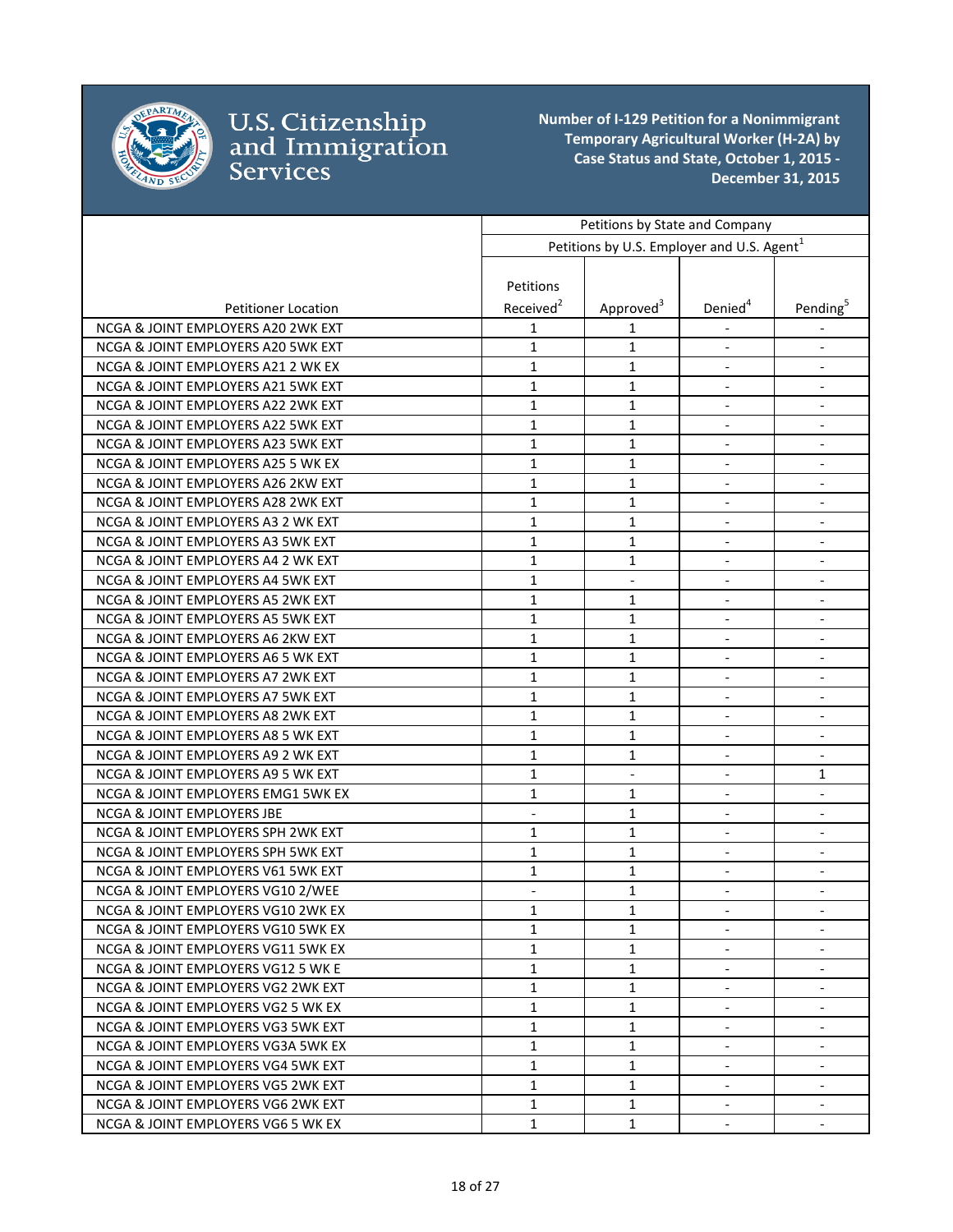

|                                       | Petitions by State and Company |                                                        |                              |                              |
|---------------------------------------|--------------------------------|--------------------------------------------------------|------------------------------|------------------------------|
|                                       |                                | Petitions by U.S. Employer and U.S. Agent <sup>1</sup> |                              |                              |
|                                       |                                |                                                        |                              |                              |
|                                       | Petitions                      |                                                        |                              |                              |
| <b>Petitioner Location</b>            | Received <sup>2</sup>          | Approved <sup>3</sup>                                  | Denied <sup>4</sup>          | Pending <sup>5</sup>         |
| NCGA & JOINT EMPLOYERS A20 2WK EXT    | 1                              | 1                                                      |                              |                              |
| NCGA & JOINT EMPLOYERS A20 5WK EXT    | $\mathbf{1}$                   | 1                                                      | $\blacksquare$               | $\overline{\phantom{a}}$     |
| NCGA & JOINT EMPLOYERS A21 2 WK EX    | $\mathbf{1}$                   | 1                                                      | $\qquad \qquad \blacksquare$ | $\qquad \qquad \blacksquare$ |
| NCGA & JOINT EMPLOYERS A21 5WK EXT    | 1                              | 1                                                      | $\overline{\phantom{a}}$     | $\overline{\phantom{a}}$     |
| NCGA & JOINT EMPLOYERS A22 2WK EXT    | $\mathbf{1}$                   | 1                                                      | $\overline{\phantom{a}}$     | $\overline{\phantom{a}}$     |
| NCGA & JOINT EMPLOYERS A22 5WK EXT    | $\mathbf{1}$                   | 1                                                      | $\overline{\phantom{a}}$     | $\overline{\phantom{a}}$     |
| NCGA & JOINT EMPLOYERS A23 5WK EXT    | $\mathbf{1}$                   | 1                                                      | $\overline{\phantom{a}}$     | $\blacksquare$               |
| NCGA & JOINT EMPLOYERS A25 5 WK EX    | $\mathbf{1}$                   | 1                                                      | $\blacksquare$               | $\overline{\phantom{a}}$     |
| NCGA & JOINT EMPLOYERS A26 2KW EXT    | $\mathbf{1}$                   | 1                                                      |                              |                              |
| NCGA & JOINT EMPLOYERS A28 2WK EXT    | 1                              | 1                                                      |                              |                              |
| NCGA & JOINT EMPLOYERS A3 2 WK EXT    | $\mathbf{1}$                   | 1                                                      |                              |                              |
| NCGA & JOINT EMPLOYERS A3 5WK EXT     | $\mathbf{1}$                   | 1                                                      |                              | $\overline{\phantom{a}}$     |
| NCGA & JOINT EMPLOYERS A4 2 WK EXT    | $\mathbf{1}$                   | 1                                                      | $\overline{\phantom{a}}$     |                              |
| NCGA & JOINT EMPLOYERS A4 5WK EXT     | $\mathbf{1}$                   |                                                        | $\overline{a}$               | $\overline{\phantom{a}}$     |
| NCGA & JOINT EMPLOYERS A5 2WK EXT     | $\mathbf{1}$                   | 1                                                      |                              | $\overline{\phantom{a}}$     |
| NCGA & JOINT EMPLOYERS A5 5WK EXT     | $\mathbf{1}$                   | 1                                                      | $\overline{\phantom{a}}$     | $\overline{\phantom{a}}$     |
| NCGA & JOINT EMPLOYERS A6 2KW EXT     | $\mathbf{1}$                   | 1                                                      | $\overline{\phantom{a}}$     | $\overline{\phantom{a}}$     |
| NCGA & JOINT EMPLOYERS A6 5 WK EXT    | $\mathbf{1}$                   | 1                                                      | $\blacksquare$               | $\overline{\phantom{a}}$     |
| NCGA & JOINT EMPLOYERS A7 2WK EXT     | $\mathbf{1}$                   | 1                                                      | $\overline{\phantom{a}}$     | $\overline{\phantom{a}}$     |
| NCGA & JOINT EMPLOYERS A7 5WK EXT     | 1                              | 1                                                      |                              |                              |
| NCGA & JOINT EMPLOYERS A8 2WK EXT     | $\mathbf{1}$                   | 1                                                      | $\blacksquare$               | $\overline{\phantom{a}}$     |
| NCGA & JOINT EMPLOYERS A8 5 WK EXT    | $\mathbf{1}$                   | 1                                                      | $\overline{\phantom{a}}$     | $\overline{\phantom{a}}$     |
| NCGA & JOINT EMPLOYERS A9 2 WK EXT    | $\mathbf{1}$                   | 1                                                      | $\overline{\phantom{a}}$     | $\overline{\phantom{a}}$     |
| NCGA & JOINT EMPLOYERS A9 5 WK EXT    | $\mathbf{1}$                   | $\blacksquare$                                         | $\overline{a}$               | 1                            |
| NCGA & JOINT EMPLOYERS EMG1 5WK EX    | $\mathbf{1}$                   | 1                                                      | $\blacksquare$               | $\blacksquare$               |
| <b>NCGA &amp; JOINT EMPLOYERS JBE</b> |                                | 1                                                      | $\overline{\phantom{a}}$     | $\overline{\phantom{a}}$     |
| NCGA & JOINT EMPLOYERS SPH 2WK EXT    | 1                              | 1                                                      | $\blacksquare$               | $\overline{\phantom{a}}$     |
| NCGA & JOINT EMPLOYERS SPH 5WK EXT    | $\mathbf{1}$                   | 1                                                      | $\qquad \qquad \blacksquare$ | $\overline{\phantom{m}}$     |
| NCGA & JOINT EMPLOYERS V61 5WK EXT    | $\mathbf{1}$                   | 1                                                      | $\overline{\phantom{a}}$     | $\overline{\phantom{a}}$     |
| NCGA & JOINT EMPLOYERS VG10 2/WEE     | $\overline{\phantom{a}}$       | 1                                                      | $\overline{\phantom{a}}$     | $\overline{\phantom{a}}$     |
| NCGA & JOINT EMPLOYERS VG10 2WK EX    | 1                              | $\mathbf{1}$                                           |                              |                              |
| NCGA & JOINT EMPLOYERS VG10 5WK EX    | 1                              | 1                                                      | $\overline{\phantom{a}}$     | $\overline{\phantom{a}}$     |
| NCGA & JOINT EMPLOYERS VG11 5WK EX    | 1                              | 1                                                      |                              |                              |
| NCGA & JOINT EMPLOYERS VG12 5 WK E    | 1                              | 1                                                      | $\overline{\phantom{a}}$     | $\overline{\phantom{a}}$     |
| NCGA & JOINT EMPLOYERS VG2 2WK EXT    | $\mathbf{1}$                   | 1                                                      |                              |                              |
| NCGA & JOINT EMPLOYERS VG2 5 WK EX    | 1                              | 1                                                      | $\overline{\phantom{a}}$     | $\overline{\phantom{a}}$     |
| NCGA & JOINT EMPLOYERS VG3 5WK EXT    | $\mathbf{1}$                   | 1                                                      | $\blacksquare$               | $\overline{\phantom{a}}$     |
| NCGA & JOINT EMPLOYERS VG3A 5WK EX    | $\mathbf{1}$                   | 1                                                      | $\overline{\phantom{a}}$     | $\overline{\phantom{a}}$     |
| NCGA & JOINT EMPLOYERS VG4 5WK EXT    | 1                              | 1                                                      | $\overline{\phantom{a}}$     | $\overline{\phantom{a}}$     |
| NCGA & JOINT EMPLOYERS VG5 2WK EXT    | 1                              | 1                                                      | $\blacksquare$               | $\overline{\phantom{a}}$     |
| NCGA & JOINT EMPLOYERS VG6 2WK EXT    | $\mathbf{1}$                   | 1                                                      | $\blacksquare$               | $\overline{\phantom{a}}$     |
| NCGA & JOINT EMPLOYERS VG6 5 WK EX    | $\mathbf{1}$                   | 1                                                      | $\overline{\phantom{a}}$     | $\sim$                       |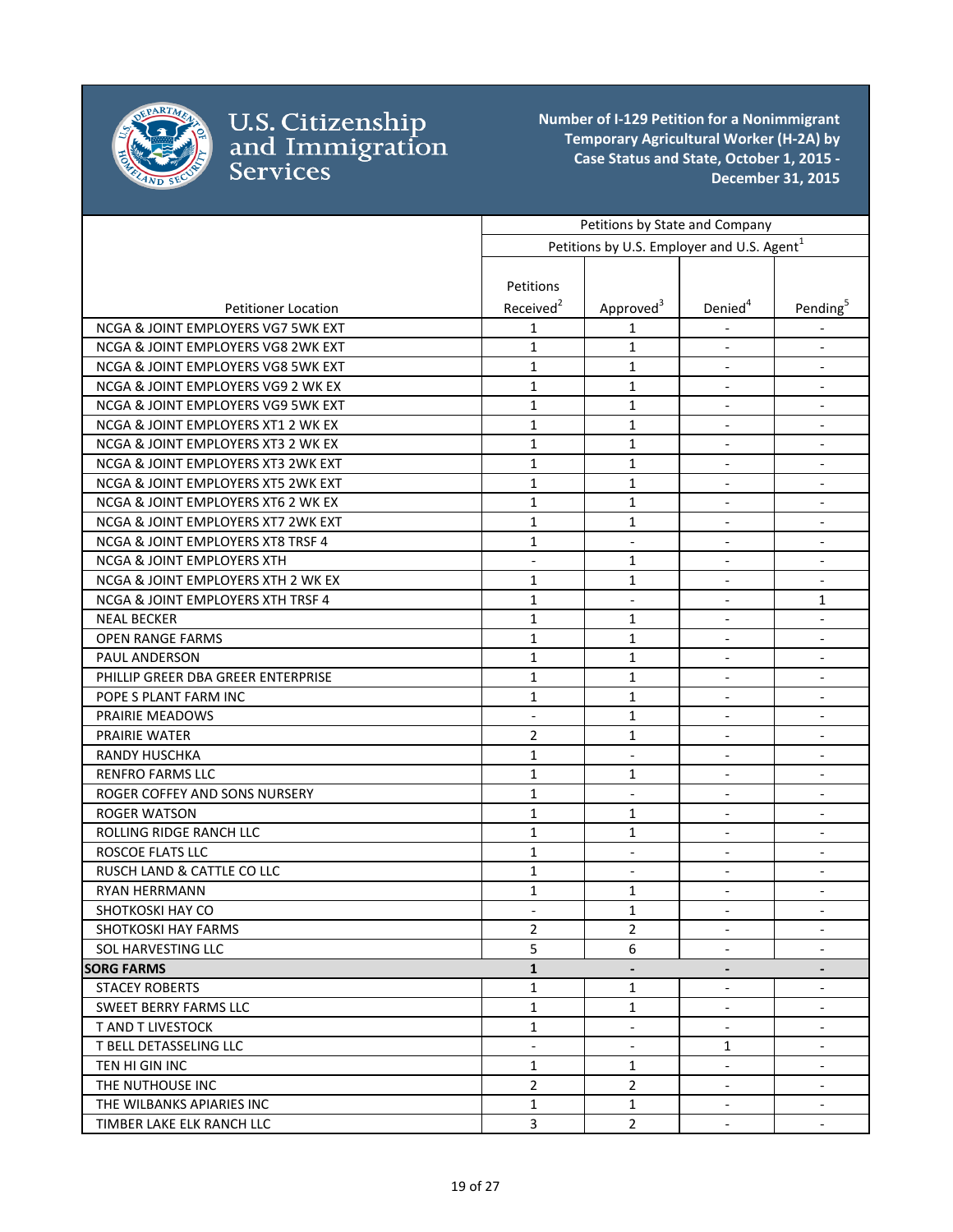

|                                       | Petitions by State and Company |                                                        |                              |                              |
|---------------------------------------|--------------------------------|--------------------------------------------------------|------------------------------|------------------------------|
|                                       |                                | Petitions by U.S. Employer and U.S. Agent <sup>1</sup> |                              |                              |
|                                       |                                |                                                        |                              |                              |
|                                       | Petitions                      |                                                        |                              |                              |
| <b>Petitioner Location</b>            | Received <sup>2</sup>          | Approved <sup>3</sup>                                  | Denied <sup>4</sup>          | Pending                      |
| NCGA & JOINT EMPLOYERS VG7 5WK EXT    | $\mathbf{1}$                   | 1                                                      |                              |                              |
| NCGA & JOINT EMPLOYERS VG8 2WK EXT    | $\mathbf{1}$                   | 1                                                      | $\overline{\phantom{a}}$     | $\overline{\phantom{a}}$     |
| NCGA & JOINT EMPLOYERS VG8 5WK EXT    | $\mathbf{1}$                   | 1                                                      | $\overline{\phantom{a}}$     | $\overline{\phantom{a}}$     |
| NCGA & JOINT EMPLOYERS VG9 2 WK EX    | $\mathbf{1}$                   | 1                                                      | $\overline{\phantom{a}}$     | $\overline{\phantom{a}}$     |
| NCGA & JOINT EMPLOYERS VG9 5WK EXT    | $\mathbf{1}$                   | 1                                                      | $\overline{\phantom{a}}$     | $\overline{\phantom{a}}$     |
| NCGA & JOINT EMPLOYERS XT1 2 WK EX    | 1                              | 1                                                      | $\overline{\phantom{a}}$     | $\overline{\phantom{a}}$     |
| NCGA & JOINT EMPLOYERS XT3 2 WK EX    | $\mathbf{1}$                   | 1                                                      |                              |                              |
| NCGA & JOINT EMPLOYERS XT3 2WK EXT    | $\mathbf{1}$                   | 1                                                      | $\blacksquare$               | $\overline{\phantom{a}}$     |
| NCGA & JOINT EMPLOYERS XT5 2WK EXT    | $\mathbf{1}$                   | 1                                                      | $\overline{\phantom{a}}$     | $\overline{\phantom{a}}$     |
| NCGA & JOINT EMPLOYERS XT6 2 WK EX    | $\mathbf{1}$                   | 1                                                      | $\overline{\phantom{a}}$     | $\blacksquare$               |
| NCGA & JOINT EMPLOYERS XT7 2WK EXT    | $\mathbf{1}$                   | 1                                                      | $\blacksquare$               | $\overline{\phantom{a}}$     |
| NCGA & JOINT EMPLOYERS XT8 TRSF 4     | $\mathbf{1}$                   | $\blacksquare$                                         | $\blacksquare$               | $\overline{\phantom{a}}$     |
| <b>NCGA &amp; JOINT EMPLOYERS XTH</b> |                                | 1                                                      | $\overline{\phantom{a}}$     | $\overline{\phantom{a}}$     |
| NCGA & JOINT EMPLOYERS XTH 2 WK EX    | 1                              | 1                                                      | $\qquad \qquad \blacksquare$ | $\qquad \qquad \blacksquare$ |
| NCGA & JOINT EMPLOYERS XTH TRSF 4     | 1                              | $\overline{\phantom{a}}$                               | $\overline{\phantom{a}}$     | 1                            |
| <b>NEAL BECKER</b>                    | $\mathbf{1}$                   | 1                                                      | $\blacksquare$               | $\overline{\phantom{a}}$     |
| <b>OPEN RANGE FARMS</b>               | $\mathbf{1}$                   | 1                                                      | $\overline{\phantom{a}}$     | $\overline{\phantom{a}}$     |
| PAUL ANDERSON                         | 1                              | 1                                                      | $\blacksquare$               | $\overline{\phantom{a}}$     |
| PHILLIP GREER DBA GREER ENTERPRISE    | $\mathbf{1}$                   | 1                                                      | $\overline{\phantom{a}}$     | $\overline{\phantom{a}}$     |
| POPE S PLANT FARM INC                 | $\mathbf{1}$                   | 1                                                      |                              |                              |
| PRAIRIE MEADOWS                       | $\overline{\phantom{0}}$       | 1                                                      | $\overline{\phantom{a}}$     | $\overline{\phantom{a}}$     |
| <b>PRAIRIE WATER</b>                  | $\overline{2}$                 | 1                                                      | $\overline{\phantom{a}}$     | $\overline{\phantom{a}}$     |
| <b>RANDY HUSCHKA</b>                  | $\mathbf{1}$                   | $\blacksquare$                                         | $\blacksquare$               | $\overline{\phantom{a}}$     |
| <b>RENFRO FARMS LLC</b>               | $\mathbf{1}$                   | 1                                                      | $\overline{\phantom{a}}$     | $\blacksquare$               |
| ROGER COFFEY AND SONS NURSERY         | $\mathbf{1}$                   | $\overline{\phantom{a}}$                               | $\overline{\phantom{a}}$     | $\overline{\phantom{a}}$     |
| <b>ROGER WATSON</b>                   | $\mathbf{1}$                   | 1                                                      |                              | $\overline{\phantom{a}}$     |
| ROLLING RIDGE RANCH LLC               | $\mathbf{1}$                   | 1                                                      | $\overline{\phantom{a}}$     | $\overline{\phantom{a}}$     |
| ROSCOE FLATS LLC                      | $\mathbf{1}$                   | $\overline{\phantom{a}}$                               | $\overline{\phantom{a}}$     | $\overline{\phantom{a}}$     |
| RUSCH LAND & CATTLE CO LLC            | $\mathbf{1}$                   | $\overline{\phantom{a}}$                               | $\blacksquare$               | $\overline{\phantom{a}}$     |
| <b>RYAN HERRMANN</b>                  | $\mathbf{1}$                   | 1                                                      | $\overline{\phantom{a}}$     | $\blacksquare$               |
| SHOTKOSKI HAY CO                      |                                | 1                                                      |                              |                              |
| <b>SHOTKOSKI HAY FARMS</b>            | $\overline{2}$                 | 2                                                      | $\blacksquare$               | $\blacksquare$               |
| SOL HARVESTING LLC                    | 5                              | 6                                                      |                              |                              |
| <b>SORG FARMS</b>                     | $\mathbf{1}$                   | $\overline{\phantom{a}}$                               | $\blacksquare$               | $\blacksquare$               |
| <b>STACEY ROBERTS</b>                 | $\mathbf{1}$                   | 1                                                      | $\blacksquare$               | $\blacksquare$               |
| SWEET BERRY FARMS LLC                 | $\mathbf{1}$                   | 1                                                      | $\blacksquare$               | $\overline{\phantom{a}}$     |
| <b>T AND T LIVESTOCK</b>              | $\mathbf{1}$                   | $\overline{\phantom{a}}$                               | $\overline{\phantom{a}}$     | $\overline{\phantom{a}}$     |
| T BELL DETASSELING LLC                | $\overline{\phantom{0}}$       | $\overline{\phantom{a}}$                               | 1                            | $\overline{\phantom{a}}$     |
| TEN HI GIN INC                        | $\mathbf{1}$                   | 1                                                      | $\overline{\phantom{a}}$     | $\overline{\phantom{a}}$     |
| THE NUTHOUSE INC                      | $\overline{2}$                 | $\overline{a}$                                         | $\overline{\phantom{a}}$     | $\overline{\phantom{a}}$     |
| THE WILBANKS APIARIES INC             | $\mathbf{1}$                   | $\mathbf{1}$                                           | $\overline{\phantom{a}}$     | $\overline{\phantom{a}}$     |
| TIMBER LAKE ELK RANCH LLC             | 3                              | $\overline{2}$                                         | $\overline{\phantom{a}}$     | $\blacksquare$               |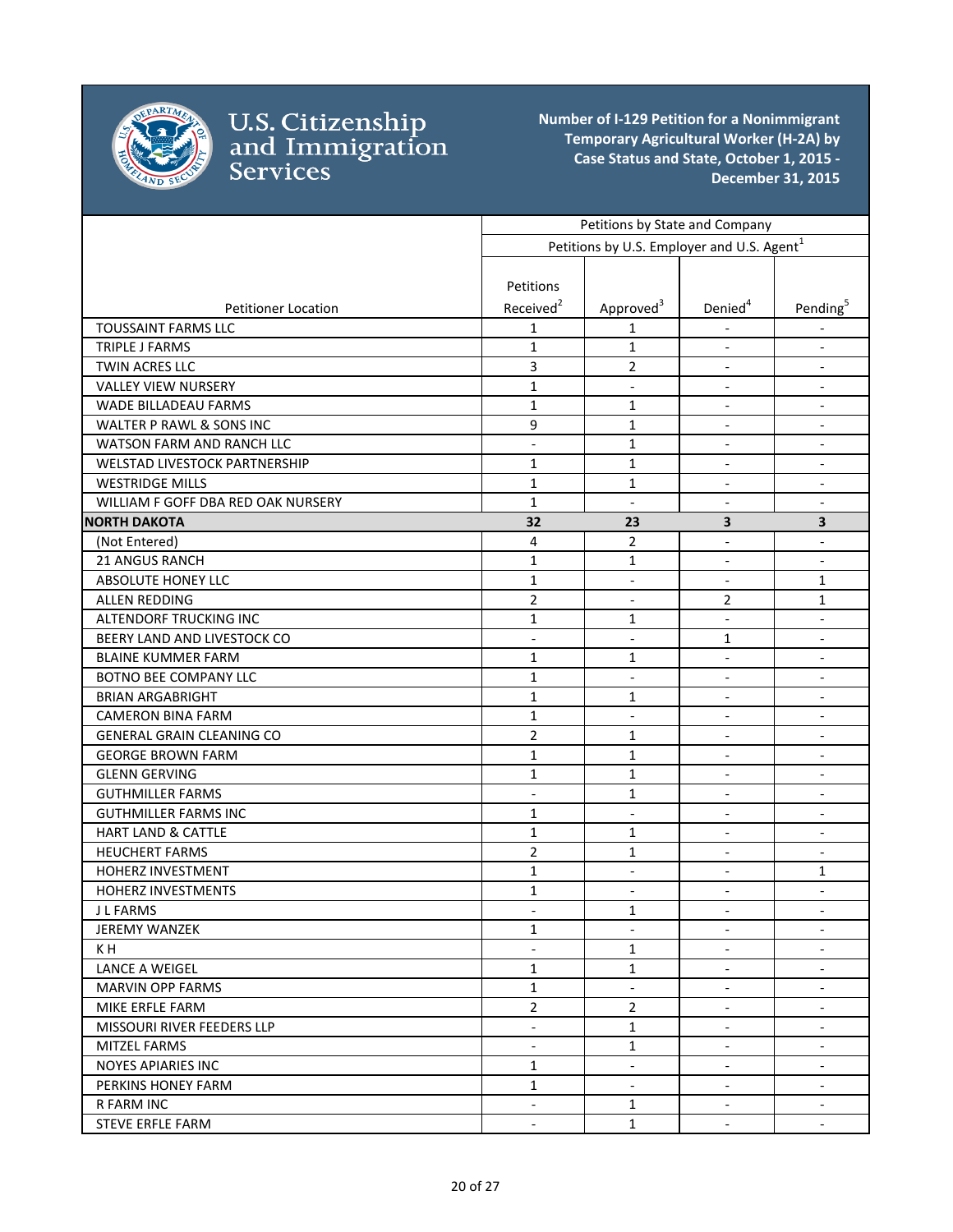

|                                    |                                            | Petitions by State and Company                         |                                                      |                                                      |
|------------------------------------|--------------------------------------------|--------------------------------------------------------|------------------------------------------------------|------------------------------------------------------|
|                                    |                                            | Petitions by U.S. Employer and U.S. Agent <sup>1</sup> |                                                      |                                                      |
|                                    |                                            |                                                        |                                                      |                                                      |
|                                    | Petitions                                  |                                                        |                                                      |                                                      |
| <b>Petitioner Location</b>         | Received <sup>2</sup>                      | Approved <sup>3</sup>                                  | Denied <sup>4</sup>                                  | Pending <sup>5</sup>                                 |
| <b>TOUSSAINT FARMS LLC</b>         | 1                                          | $\mathbf{1}$                                           |                                                      |                                                      |
| TRIPLE J FARMS                     | $\mathbf{1}$                               | 1                                                      | $\overline{\phantom{a}}$                             | $\overline{\phantom{a}}$                             |
| TWIN ACRES LLC                     | $\overline{3}$                             | $\overline{2}$                                         | $\blacksquare$                                       | $\blacksquare$                                       |
| <b>VALLEY VIEW NURSERY</b>         | $\mathbf{1}$                               | $\overline{\phantom{a}}$                               | $\blacksquare$                                       | $\overline{\phantom{a}}$                             |
| <b>WADE BILLADEAU FARMS</b>        | $\mathbf{1}$                               | 1                                                      |                                                      | $\overline{\phantom{a}}$                             |
| WALTER P RAWL & SONS INC           | 9                                          | 1                                                      | $\blacksquare$                                       | $\overline{\phantom{a}}$                             |
| WATSON FARM AND RANCH LLC          | $\overline{\phantom{0}}$                   | $\mathbf{1}$                                           | $\overline{\phantom{a}}$                             |                                                      |
| WELSTAD LIVESTOCK PARTNERSHIP      | $\mathbf{1}$                               | $\mathbf{1}$                                           | $\overline{\phantom{a}}$                             | $\blacksquare$                                       |
| <b>WESTRIDGE MILLS</b>             | $\mathbf{1}$                               | $\mathbf{1}$                                           | $\overline{\phantom{a}}$                             | $\overline{\phantom{a}}$                             |
| WILLIAM F GOFF DBA RED OAK NURSERY | $\mathbf{1}$                               | $\overline{\phantom{a}}$                               | $\overline{a}$                                       | $\blacksquare$                                       |
| <b>NORTH DAKOTA</b>                | 32                                         | 23                                                     | 3                                                    | $\overline{\mathbf{3}}$                              |
| (Not Entered)                      | 4                                          | $\overline{2}$                                         | $\overline{\phantom{a}}$                             | $\qquad \qquad -$                                    |
| 21 ANGUS RANCH                     | $\mathbf{1}$                               | $\mathbf{1}$                                           | $\overline{\phantom{a}}$                             | $\overline{\phantom{a}}$                             |
| ABSOLUTE HONEY LLC                 | $\mathbf{1}$                               | $\overline{\phantom{a}}$                               | $\blacksquare$                                       | $\mathbf{1}$                                         |
| ALLEN REDDING                      | $\overline{2}$                             | $\overline{\phantom{a}}$                               | $\overline{2}$                                       | 1                                                    |
| ALTENDORF TRUCKING INC             | 1                                          | 1                                                      | $\frac{1}{2}$                                        | $\overline{\phantom{a}}$                             |
| BEERY LAND AND LIVESTOCK CO        | $\blacksquare$                             | $\blacksquare$                                         | 1                                                    | $\blacksquare$                                       |
| <b>BLAINE KUMMER FARM</b>          | $\mathbf{1}$                               | 1                                                      | $\blacksquare$                                       | $\overline{\phantom{a}}$                             |
| BOTNO BEE COMPANY LLC              | $\mathbf{1}$                               | $\overline{\phantom{a}}$                               | $\overline{\phantom{a}}$                             | $\overline{\phantom{a}}$                             |
| <b>BRIAN ARGABRIGHT</b>            | $\mathbf{1}$                               | 1                                                      | $\blacksquare$                                       | $\blacksquare$                                       |
| <b>CAMERON BINA FARM</b>           | $\mathbf{1}$                               | $\overline{\phantom{a}}$                               | $\overline{a}$                                       | $\overline{\phantom{a}}$                             |
| <b>GENERAL GRAIN CLEANING CO</b>   | $\overline{2}$                             | 1                                                      | $\overline{\phantom{a}}$                             | $\overline{\phantom{a}}$                             |
| <b>GEORGE BROWN FARM</b>           | $\mathbf{1}$                               | $\mathbf{1}$                                           | $\blacksquare$                                       | $\overline{\phantom{a}}$                             |
| <b>GLENN GERVING</b>               | $\mathbf{1}$                               | $\mathbf{1}$                                           |                                                      | $\overline{\phantom{a}}$                             |
| <b>GUTHMILLER FARMS</b>            | $\overline{\phantom{a}}$                   | 1                                                      | $\overline{\phantom{a}}$                             | $\overline{\phantom{a}}$                             |
| <b>GUTHMILLER FARMS INC</b>        | $\mathbf{1}$                               | $\overline{\phantom{a}}$                               | $\overline{\phantom{a}}$                             | $\overline{\phantom{a}}$                             |
| <b>HART LAND &amp; CATTLE</b>      | $\mathbf{1}$                               | 1                                                      | $\blacksquare$                                       | $\overline{\phantom{a}}$                             |
| <b>HEUCHERT FARMS</b>              | $\overline{2}$                             | 1                                                      | $\blacksquare$                                       | $\overline{\phantom{a}}$                             |
| HOHERZ INVESTMENT                  | $\mathbf{1}$                               | $\overline{\phantom{a}}$                               | $\blacksquare$                                       | 1                                                    |
| HOHERZ INVESTMENTS                 | $\mathbf{1}$                               | $\blacksquare$                                         | $\blacksquare$                                       | $\overline{\phantom{a}}$                             |
| J L FARMS                          |                                            | $\mathbf{1}$                                           |                                                      |                                                      |
| <b>JEREMY WANZEK</b>               | 1                                          |                                                        |                                                      | $\overline{\phantom{a}}$                             |
| K H                                | $\overline{\phantom{0}}$                   | 1                                                      | $\blacksquare$                                       | $\blacksquare$                                       |
| LANCE A WEIGEL                     | $\mathbf{1}$                               | $\mathbf{1}$                                           | $\overline{\phantom{a}}$                             | $\overline{\phantom{a}}$                             |
| <b>MARVIN OPP FARMS</b>            | $\mathbf 1$                                | $\blacksquare$                                         | $\blacksquare$                                       | $\overline{\phantom{a}}$                             |
| MIKE ERFLE FARM                    | $\overline{2}$                             | $\overline{2}$                                         | $\blacksquare$                                       | $\overline{\phantom{a}}$                             |
| MISSOURI RIVER FEEDERS LLP         |                                            | 1                                                      |                                                      |                                                      |
| <b>MITZEL FARMS</b>                | $\blacksquare$<br>$\overline{\phantom{a}}$ | $\mathbf{1}$                                           | $\overline{\phantom{a}}$<br>$\overline{\phantom{a}}$ | $\overline{\phantom{a}}$<br>$\overline{\phantom{a}}$ |
| <b>NOYES APIARIES INC</b>          | $\mathbf{1}$                               | $\overline{\phantom{a}}$                               | $\overline{\phantom{a}}$                             | $\blacksquare$                                       |
| PERKINS HONEY FARM                 | $\mathbf{1}$                               | $\overline{\phantom{a}}$                               | $\overline{\phantom{a}}$                             | $\blacksquare$                                       |
| <b>R FARM INC</b>                  | $\overline{\phantom{a}}$                   | 1                                                      | $\overline{\phantom{a}}$                             | $\overline{\phantom{a}}$                             |
| STEVE ERFLE FARM                   | $\blacksquare$                             | $\mathbf{1}$                                           | $\blacksquare$                                       | $\overline{\phantom{a}}$                             |
|                                    |                                            |                                                        |                                                      |                                                      |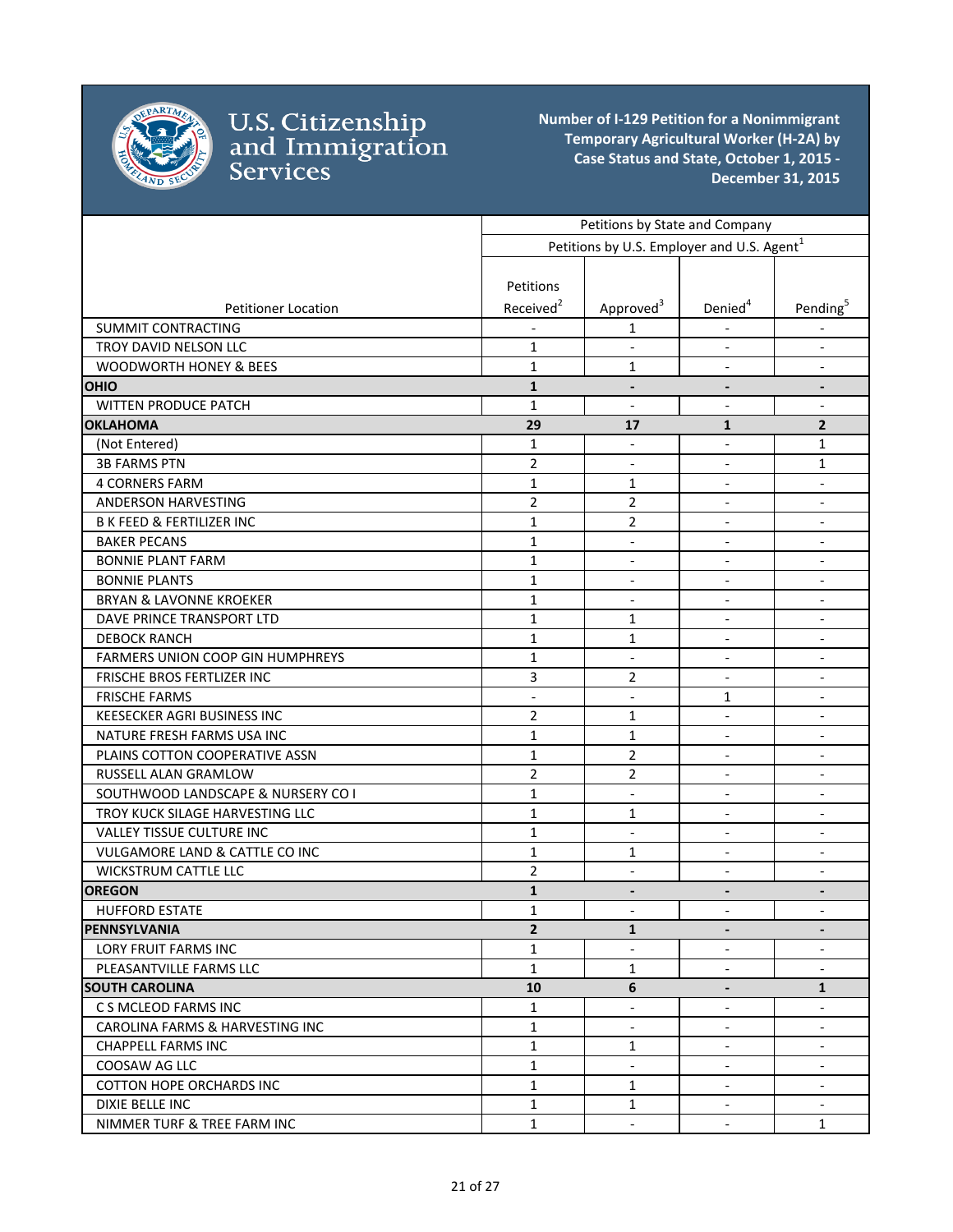

|                                                  |                                                        | Petitions by State and Company |                              |                              |
|--------------------------------------------------|--------------------------------------------------------|--------------------------------|------------------------------|------------------------------|
|                                                  | Petitions by U.S. Employer and U.S. Agent <sup>1</sup> |                                |                              |                              |
|                                                  |                                                        |                                |                              |                              |
|                                                  | Petitions                                              |                                |                              |                              |
| <b>Petitioner Location</b>                       | Received <sup>2</sup>                                  | Approved <sup>3</sup>          | Denied <sup>4</sup>          | Pending <sup>5</sup>         |
| <b>SUMMIT CONTRACTING</b>                        |                                                        | $\mathbf{1}$                   |                              |                              |
| TROY DAVID NELSON LLC                            | $\mathbf{1}$                                           |                                | $\blacksquare$               | $\overline{\phantom{a}}$     |
| WOODWORTH HONEY & BEES                           | $\mathbf{1}$                                           | $\mathbf{1}$                   | $\blacksquare$               | $\overline{\phantom{a}}$     |
| <b>OHIO</b>                                      | $\mathbf{1}$                                           | $\overline{\phantom{a}}$       | $\qquad \qquad \blacksquare$ | $\overline{\phantom{a}}$     |
| <b>WITTEN PRODUCE PATCH</b>                      | $\mathbf{1}$                                           | $\blacksquare$                 | $\overline{\phantom{a}}$     | $\overline{\phantom{a}}$     |
| <b>OKLAHOMA</b>                                  | 29                                                     | 17                             | $\mathbf{1}$                 | $\overline{2}$               |
| (Not Entered)                                    | $\mathbf{1}$                                           | $\overline{\phantom{a}}$       | $\blacksquare$               | 1                            |
| <b>3B FARMS PTN</b>                              | $\overline{2}$                                         | $\overline{\phantom{a}}$       | $\overline{\phantom{a}}$     | 1                            |
| <b>4 CORNERS FARM</b>                            | $\mathbf{1}$                                           | 1                              |                              | $\overline{\phantom{a}}$     |
| ANDERSON HARVESTING                              | $\overline{2}$                                         | $\overline{2}$                 | $\blacksquare$               | $\overline{\phantom{a}}$     |
| <b>B K FEED &amp; FERTILIZER INC</b>             | $\mathbf{1}$                                           | $\overline{2}$                 | $\overline{\phantom{a}}$     | $\overline{\phantom{a}}$     |
| <b>BAKER PECANS</b>                              | $\mathbf{1}$                                           | $\overline{\phantom{a}}$       | $\overline{\phantom{a}}$     | $\overline{\phantom{a}}$     |
| <b>BONNIE PLANT FARM</b>                         | $\mathbf{1}$                                           | $\blacksquare$                 | $\overline{\phantom{a}}$     | $\overline{\phantom{a}}$     |
| <b>BONNIE PLANTS</b>                             | $\mathbf{1}$                                           | $\blacksquare$                 | $\overline{a}$               | $\blacksquare$               |
| <b>BRYAN &amp; LAVONNE KROEKER</b>               | $\mathbf{1}$                                           | $\overline{\phantom{a}}$       | $\overline{\phantom{a}}$     | $\overline{\phantom{a}}$     |
| DAVE PRINCE TRANSPORT LTD                        | $\mathbf{1}$                                           | 1                              |                              | $\overline{\phantom{0}}$     |
| <b>DEBOCK RANCH</b>                              | $\mathbf{1}$                                           | 1                              | $\overline{\phantom{a}}$     | $\overline{\phantom{a}}$     |
| FARMERS UNION COOP GIN HUMPHREYS                 | $\mathbf{1}$                                           | $\overline{\phantom{a}}$       | $\overline{\phantom{a}}$     | $\overline{\phantom{a}}$     |
| FRISCHE BROS FERTLIZER INC                       | 3                                                      | 2                              | $\blacksquare$               | $\overline{\phantom{a}}$     |
| <b>FRISCHE FARMS</b>                             | $\overline{\phantom{a}}$                               | $\blacksquare$                 | $\mathbf{1}$                 | $\overline{\phantom{a}}$     |
| <b>KEESECKER AGRI BUSINESS INC</b>               | $\overline{2}$                                         | 1                              |                              | $\overline{\phantom{a}}$     |
| NATURE FRESH FARMS USA INC                       | $\mathbf{1}$                                           | 1                              | $\overline{\phantom{a}}$     | $\blacksquare$               |
| PLAINS COTTON COOPERATIVE ASSN                   | $\mathbf{1}$                                           | 2                              | $\overline{\phantom{a}}$     | $\overline{\phantom{a}}$     |
| RUSSELL ALAN GRAMLOW                             | $\overline{2}$                                         | 2                              | $\overline{\phantom{a}}$     | $\overline{\phantom{a}}$     |
| SOUTHWOOD LANDSCAPE & NURSERY CO I               | $\mathbf{1}$                                           | $\blacksquare$                 | $\overline{\phantom{a}}$     | $\blacksquare$               |
| TROY KUCK SILAGE HARVESTING LLC                  | $\mathbf{1}$                                           | $\mathbf{1}$                   | $\overline{\phantom{a}}$     | $\blacksquare$               |
| VALLEY TISSUE CULTURE INC                        | $\mathbf{1}$                                           | $\overline{\phantom{a}}$       | $\overline{\phantom{a}}$     | $\overline{\phantom{a}}$     |
| <b>VULGAMORE LAND &amp; CATTLE CO INC</b>        | $\mathbf{1}$                                           | 1                              |                              | $\qquad \qquad \blacksquare$ |
| <b>WICKSTRUM CATTLE LLC</b>                      | $\overline{2}$                                         | $\blacksquare$                 | $\overline{\phantom{a}}$     | $\blacksquare$               |
| <b>OREGON</b>                                    | $\mathbf{1}$                                           | $\overline{\phantom{a}}$       | $\overline{\phantom{a}}$     | $\overline{\phantom{a}}$     |
| <b>HUFFORD ESTATE</b>                            | $\mathbf{1}$                                           |                                |                              |                              |
| PENNSYLVANIA                                     | $\overline{2}$                                         | 1                              | $\overline{\phantom{a}}$     | $\overline{\phantom{a}}$     |
| <b>LORY FRUIT FARMS INC</b>                      | 1                                                      | $\blacksquare$                 | $\blacksquare$               |                              |
| PLEASANTVILLE FARMS LLC                          | $\mathbf{1}$                                           | 1                              | $\blacksquare$               | $\blacksquare$               |
| <b>SOUTH CAROLINA</b>                            | 10                                                     | 6                              |                              | $\mathbf{1}$                 |
| C S MCLEOD FARMS INC                             | $\mathbf{1}$                                           |                                | $\overline{\phantom{a}}$     |                              |
| CAROLINA FARMS & HARVESTING INC                  | 1                                                      | $\overline{\phantom{a}}$       | $\blacksquare$               | $\overline{\phantom{a}}$     |
| <b>CHAPPELL FARMS INC</b>                        | $\mathbf{1}$                                           | 1                              | $\overline{a}$               | $\overline{a}$               |
| COOSAW AG LLC<br><b>COTTON HOPE ORCHARDS INC</b> | $\mathbf{1}$<br>$\mathbf{1}$                           | $\blacksquare$                 | $\blacksquare$               | $\overline{\phantom{a}}$     |
|                                                  |                                                        | 1                              |                              | $\overline{\phantom{a}}$     |
| DIXIE BELLE INC                                  | 1                                                      | $\mathbf{1}$                   | $\overline{\phantom{a}}$     | $\overline{\phantom{a}}$     |
| NIMMER TURF & TREE FARM INC                      | $\mathbf{1}$                                           | $\overline{\phantom{a}}$       | $\overline{\phantom{a}}$     | $\mathbf{1}$                 |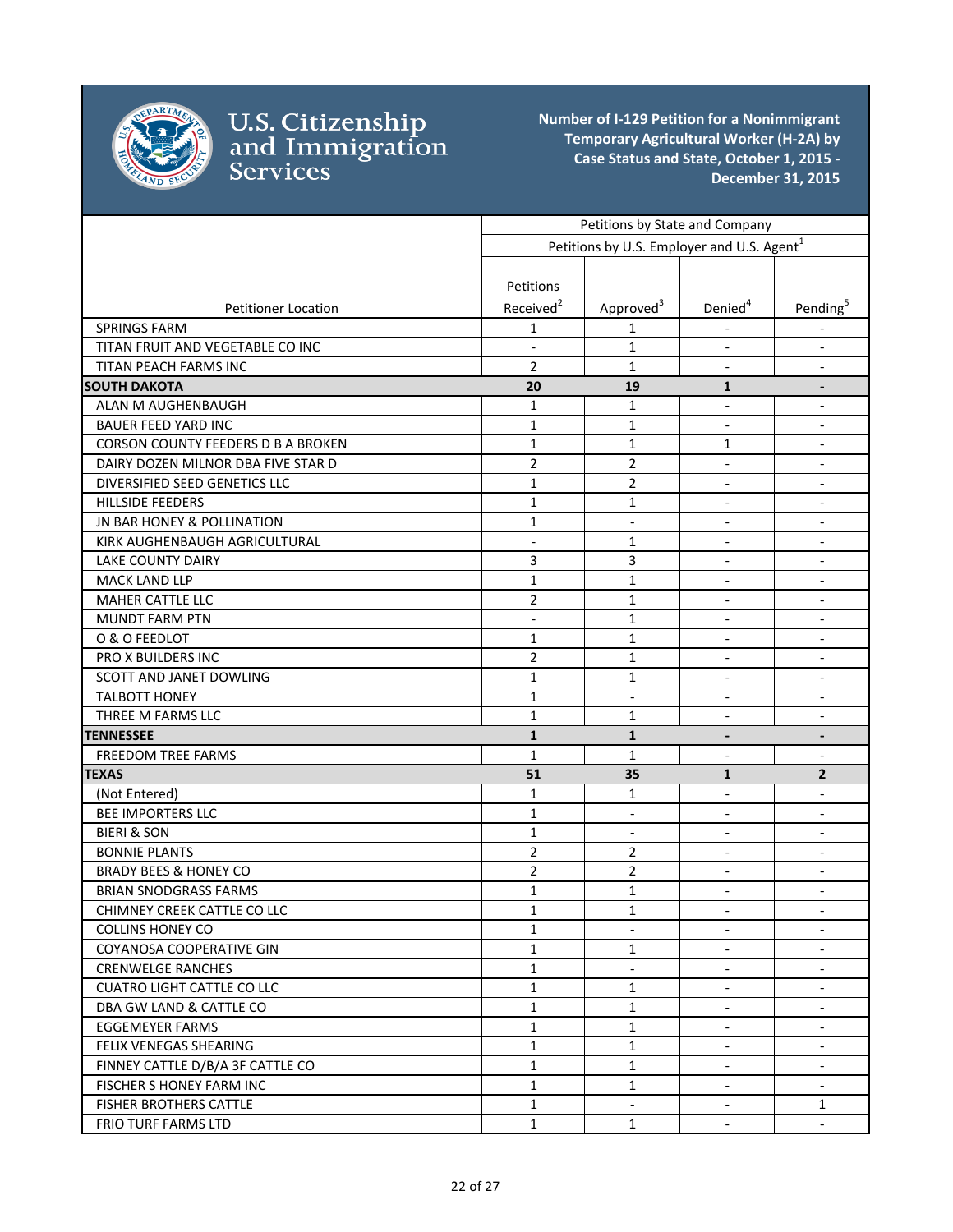

|                                    |                       | Petitions by State and Company                         |                              |                              |
|------------------------------------|-----------------------|--------------------------------------------------------|------------------------------|------------------------------|
|                                    |                       | Petitions by U.S. Employer and U.S. Agent <sup>1</sup> |                              |                              |
|                                    |                       |                                                        |                              |                              |
|                                    | Petitions             |                                                        |                              |                              |
| <b>Petitioner Location</b>         | Received <sup>2</sup> | Approved <sup>3</sup>                                  | Denied <sup>4</sup>          | Pending <sup>5</sup>         |
| <b>SPRINGS FARM</b>                | 1                     | 1                                                      |                              |                              |
| TITAN FRUIT AND VEGETABLE CO INC   | $\overline{a}$        | $\mathbf{1}$                                           | $\overline{\phantom{a}}$     | $\overline{\phantom{a}}$     |
| TITAN PEACH FARMS INC              | $\overline{2}$        | $\mathbf{1}$                                           | $\overline{\phantom{a}}$     | $\overline{\phantom{a}}$     |
| <b>SOUTH DAKOTA</b>                | 20                    | 19                                                     | 1                            | $\overline{\phantom{a}}$     |
| ALAN M AUGHENBAUGH                 | $\mathbf{1}$          | 1                                                      | $\overline{\phantom{a}}$     | $\overline{\phantom{a}}$     |
| <b>BAUER FEED YARD INC</b>         | $\mathbf{1}$          | 1                                                      | $\overline{\phantom{a}}$     | $\overline{\phantom{a}}$     |
| CORSON COUNTY FEEDERS D B A BROKEN | $\mathbf{1}$          | $\mathbf{1}$                                           | $\mathbf{1}$                 | $\overline{\phantom{a}}$     |
| DAIRY DOZEN MILNOR DBA FIVE STAR D | $\overline{2}$        | 2                                                      | $\overline{\phantom{a}}$     | $\overline{\phantom{a}}$     |
| DIVERSIFIED SEED GENETICS LLC      | 1                     | $\overline{2}$                                         | $\overline{\phantom{a}}$     | $\overline{\phantom{a}}$     |
| <b>HILLSIDE FEEDERS</b>            | $\mathbf{1}$          | 1                                                      | $\blacksquare$               |                              |
| JN BAR HONEY & POLLINATION         | $\mathbf{1}$          | $\overline{\phantom{a}}$                               | $\qquad \qquad \blacksquare$ | $\overline{\phantom{a}}$     |
| KIRK AUGHENBAUGH AGRICULTURAL      | $\overline{a}$        | $\mathbf{1}$                                           | $\overline{\phantom{a}}$     | $\blacksquare$               |
| LAKE COUNTY DAIRY                  | 3                     | 3                                                      | $\overline{\phantom{a}}$     | $\overline{\phantom{a}}$     |
| MACK LAND LLP                      | $\mathbf{1}$          | $\mathbf{1}$                                           | $\overline{\phantom{a}}$     | $\overline{\phantom{a}}$     |
| <b>MAHER CATTLE LLC</b>            | $\overline{2}$        | $\mathbf{1}$                                           | $\qquad \qquad \blacksquare$ | $\overline{\phantom{a}}$     |
| <b>MUNDT FARM PTN</b>              | $\blacksquare$        | $\mathbf{1}$                                           | $\overline{\phantom{a}}$     | $\overline{\phantom{a}}$     |
| O & O FEEDLOT                      | $\mathbf{1}$          | $\mathbf{1}$                                           | $\overline{\phantom{a}}$     | $\overline{\phantom{a}}$     |
| PRO X BUILDERS INC                 | $\overline{2}$        | 1                                                      | $\overline{\phantom{a}}$     | $\overline{\phantom{a}}$     |
| SCOTT AND JANET DOWLING            | $\mathbf{1}$          | 1                                                      | $\overline{\phantom{a}}$     | $\overline{\phantom{a}}$     |
| <b>TALBOTT HONEY</b>               | 1                     | $\overline{\phantom{a}}$                               | $\blacksquare$               | $\overline{\phantom{a}}$     |
| THREE M FARMS LLC                  | $\mathbf{1}$          | 1                                                      | $\overline{\phantom{a}}$     | $\overline{\phantom{a}}$     |
| <b>TENNESSEE</b>                   | $\mathbf{1}$          | $\mathbf{1}$                                           | $\overline{\phantom{a}}$     | $\qquad \qquad \blacksquare$ |
| <b>FREEDOM TREE FARMS</b>          | $\mathbf{1}$          | $\mathbf{1}$                                           | $\overline{\phantom{a}}$     | $\overline{\phantom{a}}$     |
| <b>TEXAS</b>                       | 51                    | 35                                                     | $\mathbf{1}$                 | $\mathbf{2}$                 |
| (Not Entered)                      | $\mathbf{1}$          | $\mathbf{1}$                                           | $\blacksquare$               | $\overline{\phantom{a}}$     |
| <b>BEE IMPORTERS LLC</b>           | $\mathbf{1}$          | $\overline{\phantom{a}}$                               | $\blacksquare$               | $\overline{\phantom{a}}$     |
| <b>BIERI &amp; SON</b>             | $\mathbf{1}$          | $\overline{\phantom{a}}$                               | $\overline{\phantom{a}}$     | $\overline{\phantom{a}}$     |
| <b>BONNIE PLANTS</b>               | $\overline{2}$        | $\overline{2}$                                         | $\qquad \qquad \blacksquare$ | $\qquad \qquad \blacksquare$ |
| <b>BRADY BEES &amp; HONEY CO</b>   | $\overline{2}$        | 2                                                      | $\overline{\phantom{a}}$     | $\overline{\phantom{a}}$     |
| <b>BRIAN SNODGRASS FARMS</b>       | 1                     | 1                                                      | $\overline{\phantom{a}}$     | $\overline{\phantom{a}}$     |
| CHIMNEY CREEK CATTLE CO LLC        | $\mathbf{1}$          | 1                                                      | $\overline{\phantom{0}}$     |                              |
| <b>COLLINS HONEY CO</b>            | $\mathbf{1}$          | $\overline{\phantom{a}}$                               | $\overline{\phantom{a}}$     | $\overline{\phantom{a}}$     |
| COYANOSA COOPERATIVE GIN           | $\mathbf{1}$          | 1                                                      |                              |                              |
| <b>CRENWELGE RANCHES</b>           | $\mathbf{1}$          | $\overline{\phantom{a}}$                               | $\overline{\phantom{a}}$     | $\overline{\phantom{a}}$     |
| <b>CUATRO LIGHT CATTLE CO LLC</b>  | $\mathbf{1}$          | $\mathbf{1}$                                           | $\overline{\phantom{a}}$     |                              |
| DBA GW LAND & CATTLE CO            | $\mathbf{1}$          | 1                                                      | $\overline{\phantom{a}}$     | $\overline{\phantom{a}}$     |
| EGGEMEYER FARMS                    | $\mathbf{1}$          | 1                                                      | $\overline{\phantom{a}}$     | $\overline{\phantom{a}}$     |
| FELIX VENEGAS SHEARING             | $\mathbf{1}$          | $\mathbf 1$                                            | $\overline{\phantom{a}}$     | $\overline{\phantom{a}}$     |
| FINNEY CATTLE D/B/A 3F CATTLE CO   | $\mathbf{1}$          | 1                                                      | $\overline{\phantom{a}}$     | $\overline{\phantom{a}}$     |
| FISCHER S HONEY FARM INC           | $\mathbf{1}$          | 1                                                      | $\overline{\phantom{a}}$     | $\overline{\phantom{a}}$     |
| <b>FISHER BROTHERS CATTLE</b>      | $\mathbf{1}$          | $\overline{\phantom{a}}$                               | $\overline{\phantom{a}}$     | $\mathbf{1}$                 |
| <b>FRIO TURF FARMS LTD</b>         | $\mathbf{1}$          | $\mathbf{1}$                                           | $\overline{\phantom{a}}$     | $\overline{\phantom{a}}$     |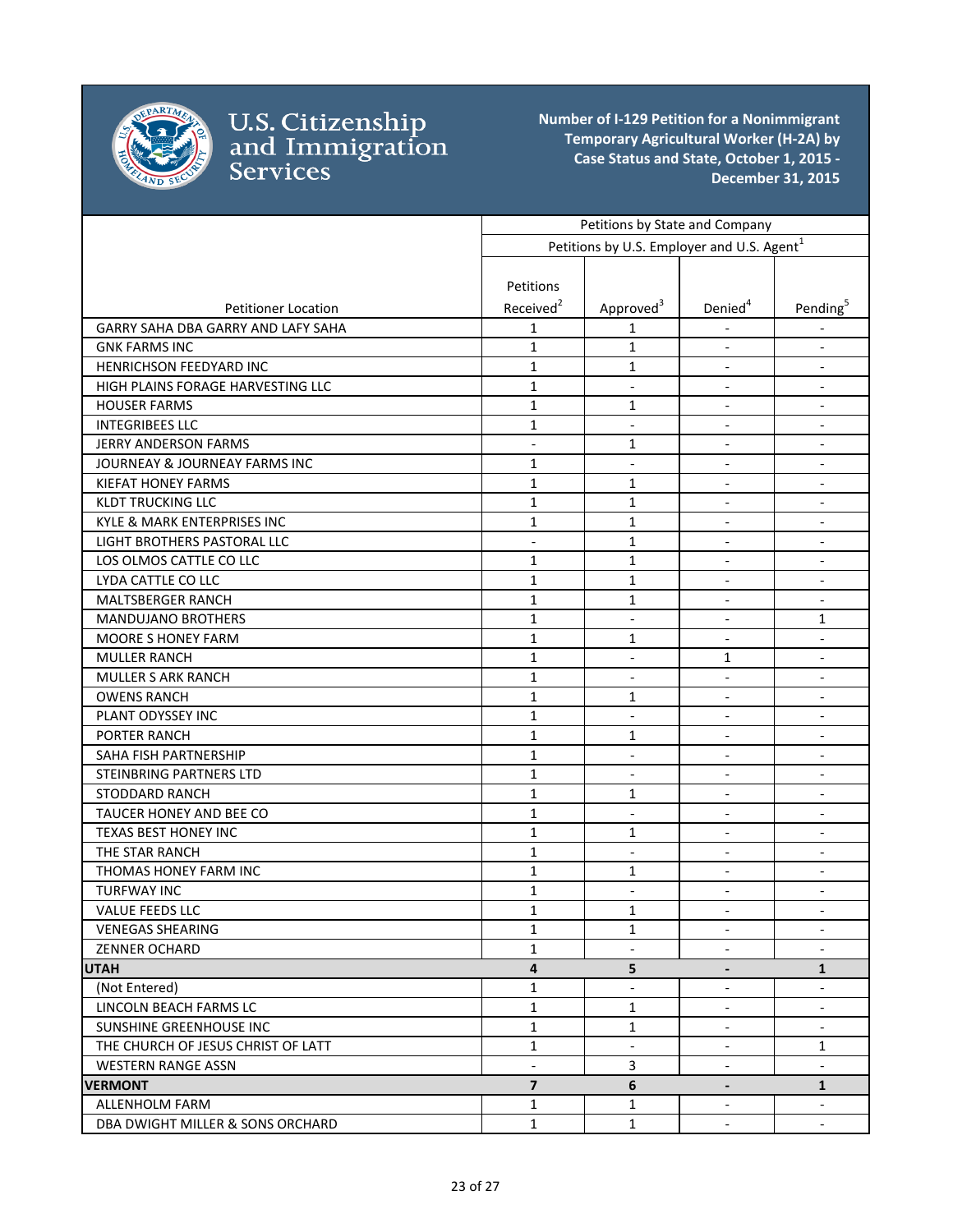

|                                    | Petitions by State and Company |                                                        |                          |                          |
|------------------------------------|--------------------------------|--------------------------------------------------------|--------------------------|--------------------------|
|                                    |                                | Petitions by U.S. Employer and U.S. Agent <sup>1</sup> |                          |                          |
|                                    |                                |                                                        |                          |                          |
|                                    | Petitions                      |                                                        |                          |                          |
| <b>Petitioner Location</b>         | Received <sup>2</sup>          | Approved <sup>3</sup>                                  | Denied <sup>4</sup>      | Pending <sup>5</sup>     |
| GARRY SAHA DBA GARRY AND LAFY SAHA | 1                              | 1                                                      |                          |                          |
| <b>GNK FARMS INC</b>               | $\mathbf{1}$                   | 1                                                      | $\overline{\phantom{a}}$ | $\overline{\phantom{a}}$ |
| HENRICHSON FEEDYARD INC            | $\mathbf{1}$                   | 1                                                      | $\overline{\phantom{a}}$ | $\overline{\phantom{a}}$ |
| HIGH PLAINS FORAGE HARVESTING LLC  | $\mathbf{1}$                   | $\overline{\phantom{a}}$                               | $\overline{\phantom{a}}$ | $\overline{\phantom{a}}$ |
| <b>HOUSER FARMS</b>                | $\mathbf{1}$                   | 1                                                      | $\blacksquare$           | $\overline{\phantom{a}}$ |
| <b>INTEGRIBEES LLC</b>             | $\mathbf{1}$                   | $\blacksquare$                                         | $\blacksquare$           | $\overline{\phantom{a}}$ |
| <b>JERRY ANDERSON FARMS</b>        | $\overline{a}$                 | 1                                                      | $\blacksquare$           | $\overline{\phantom{a}}$ |
| JOURNEAY & JOURNEAY FARMS INC      | $\mathbf{1}$                   | $\blacksquare$                                         | $\blacksquare$           | $\overline{\phantom{a}}$ |
| <b>KIEFAT HONEY FARMS</b>          | $\mathbf{1}$                   | 1                                                      | $\overline{\phantom{a}}$ |                          |
| <b>KLDT TRUCKING LLC</b>           | $\mathbf{1}$                   | 1                                                      | $\overline{\phantom{a}}$ | $\overline{\phantom{a}}$ |
| KYLE & MARK ENTERPRISES INC        | $\mathbf{1}$                   | $\mathbf{1}$                                           | $\blacksquare$           | $\blacksquare$           |
| LIGHT BROTHERS PASTORAL LLC        | $\overline{a}$                 | $\mathbf{1}$                                           | $\frac{1}{2}$            | $\blacksquare$           |
| LOS OLMOS CATTLE CO LLC            | $\mathbf{1}$                   | 1                                                      | $\overline{\phantom{a}}$ | $\overline{\phantom{a}}$ |
| LYDA CATTLE CO LLC                 | $\mathbf{1}$                   | $\mathbf{1}$                                           | $\overline{\phantom{a}}$ | $\overline{\phantom{a}}$ |
| <b>MALTSBERGER RANCH</b>           | $\mathbf{1}$                   | 1                                                      | $\overline{\phantom{a}}$ | $\overline{\phantom{a}}$ |
| <b>MANDUJANO BROTHERS</b>          | $\mathbf{1}$                   | $\overline{\phantom{a}}$                               | $\overline{\phantom{a}}$ | 1                        |
| <b>MOORE S HONEY FARM</b>          | $\mathbf{1}$                   | 1                                                      | $\overline{\phantom{a}}$ | $\overline{\phantom{a}}$ |
| <b>MULLER RANCH</b>                | $\mathbf{1}$                   | $\blacksquare$                                         | 1                        | $\overline{\phantom{a}}$ |
| <b>MULLER S ARK RANCH</b>          | $\mathbf{1}$                   | $\overline{\phantom{a}}$                               | $\overline{\phantom{a}}$ | $\overline{\phantom{a}}$ |
| <b>OWENS RANCH</b>                 | $\mathbf{1}$                   | 1                                                      |                          | $\overline{\phantom{a}}$ |
| PLANT ODYSSEY INC                  | $\mathbf{1}$                   | $\overline{\phantom{a}}$                               | $\overline{\phantom{a}}$ | $\overline{\phantom{a}}$ |
| PORTER RANCH                       | $\mathbf{1}$                   | $\mathbf{1}$                                           | $\overline{\phantom{a}}$ | $\overline{\phantom{a}}$ |
| SAHA FISH PARTNERSHIP              | $\mathbf{1}$                   | $\sim$                                                 | $\blacksquare$           | $\overline{\phantom{a}}$ |
| <b>STEINBRING PARTNERS LTD</b>     | $\mathbf{1}$                   | $\blacksquare$                                         | $\overline{\phantom{a}}$ | $\overline{\phantom{a}}$ |
| <b>STODDARD RANCH</b>              | $\mathbf{1}$                   | 1                                                      | $\blacksquare$           | $\overline{\phantom{a}}$ |
| TAUCER HONEY AND BEE CO            | $\mathbf{1}$                   | $\overline{\phantom{a}}$                               | $\blacksquare$           | $\overline{\phantom{a}}$ |
| <b>TEXAS BEST HONEY INC</b>        | $\mathbf{1}$                   | 1                                                      | $\overline{\phantom{a}}$ | $\overline{\phantom{a}}$ |
| THE STAR RANCH                     | $\mathbf{1}$                   | $\overline{\phantom{a}}$                               | $\overline{\phantom{a}}$ | $\overline{\phantom{a}}$ |
| THOMAS HONEY FARM INC              | $\mathbf{1}$                   | 1                                                      | $\overline{\phantom{a}}$ | $\overline{\phantom{a}}$ |
| <b>TURFWAY INC</b>                 | 1                              | $\overline{\phantom{a}}$                               | $\overline{\phantom{a}}$ | $\overline{\phantom{a}}$ |
| VALUE FEEDS LLC                    | $\mathbf 1$                    | $\mathbf 1$                                            |                          |                          |
| <b>VENEGAS SHEARING</b>            | $\mathbf{1}$                   | 1                                                      | $\blacksquare$           | $\overline{\phantom{a}}$ |
| <b>ZENNER OCHARD</b>               | $\mathbf{1}$                   |                                                        |                          |                          |
| <b>UTAH</b>                        | $\overline{4}$                 | 5                                                      | $\overline{\phantom{a}}$ | $\mathbf{1}$             |
| (Not Entered)                      | $\mathbf{1}$                   | $\overline{\phantom{a}}$                               | $\blacksquare$           | $\overline{\phantom{a}}$ |
| LINCOLN BEACH FARMS LC             | $\mathbf{1}$                   | 1                                                      | $\blacksquare$           |                          |
| SUNSHINE GREENHOUSE INC            | $\mathbf 1$                    | $\mathbf 1$                                            | $\overline{\phantom{a}}$ | $\overline{\phantom{a}}$ |
| THE CHURCH OF JESUS CHRIST OF LATT | $\mathbf{1}$                   | $\overline{\phantom{a}}$                               | $\overline{\phantom{a}}$ | 1                        |
| <b>WESTERN RANGE ASSN</b>          |                                | 3                                                      | $\overline{\phantom{a}}$ | $\overline{\phantom{a}}$ |
| <b>VERMONT</b>                     | $\overline{\mathbf{z}}$        | 6                                                      | $\overline{\phantom{a}}$ | $\mathbf 1$              |
| ALLENHOLM FARM                     | $\mathbf{1}$                   | 1                                                      | $\overline{\phantom{a}}$ | $\overline{\phantom{a}}$ |
| DBA DWIGHT MILLER & SONS ORCHARD   | $\mathbf{1}$                   | $\mathbf{1}$                                           | $\overline{\phantom{a}}$ | $\blacksquare$           |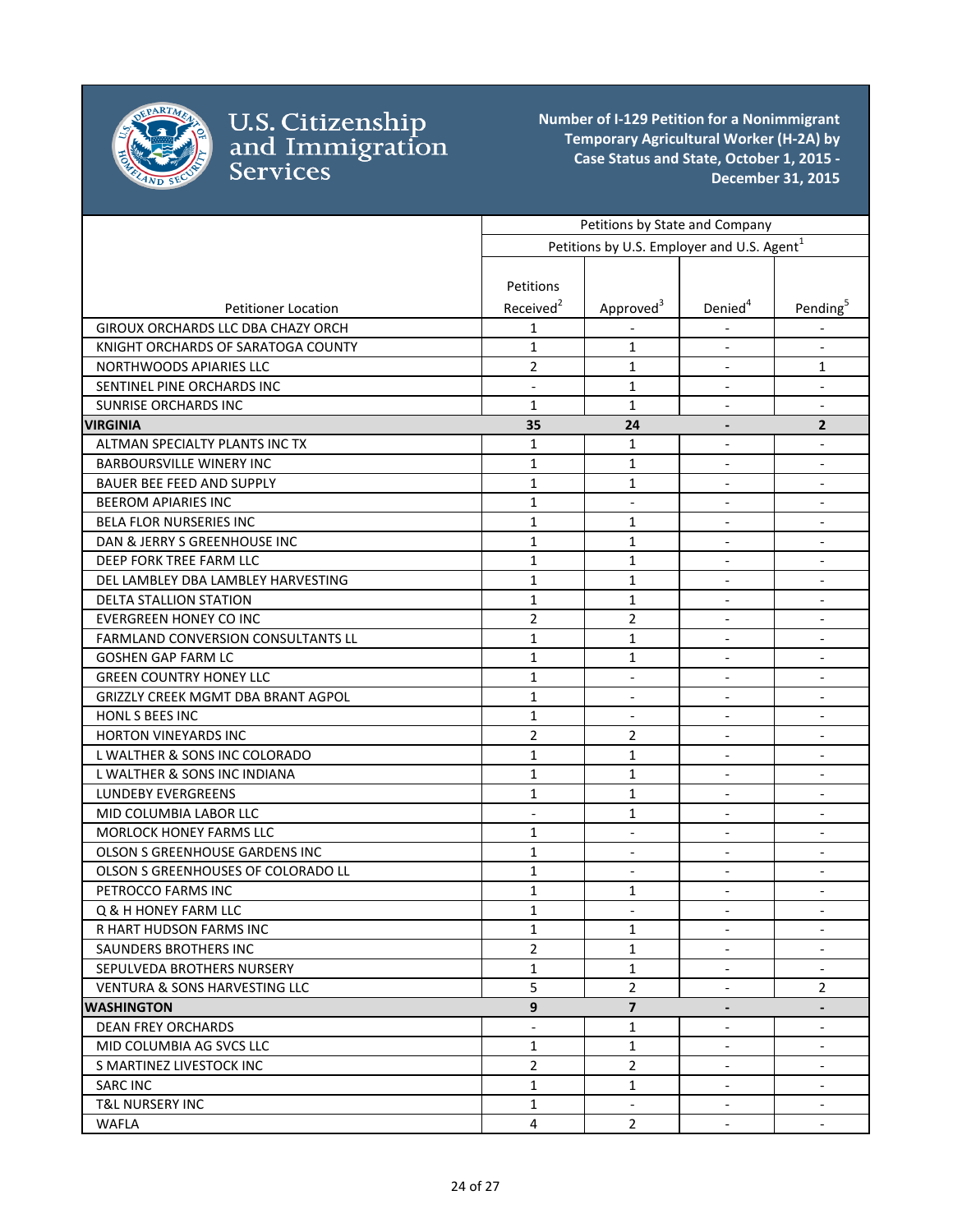

|                                           |                          | Petitions by State and Company                         |                          |                              |
|-------------------------------------------|--------------------------|--------------------------------------------------------|--------------------------|------------------------------|
|                                           |                          | Petitions by U.S. Employer and U.S. Agent <sup>1</sup> |                          |                              |
|                                           | Petitions                |                                                        |                          |                              |
| <b>Petitioner Location</b>                | Received <sup>2</sup>    | Approved <sup>3</sup>                                  | Denied <sup>4</sup>      | Pending <sup>5</sup>         |
| GIROUX ORCHARDS LLC DBA CHAZY ORCH        | 1                        |                                                        |                          |                              |
| KNIGHT ORCHARDS OF SARATOGA COUNTY        | $\mathbf{1}$             | $\mathbf{1}$                                           | $\overline{\phantom{a}}$ | $\blacksquare$               |
| NORTHWOODS APIARIES LLC                   | $\overline{2}$           | 1                                                      | $\blacksquare$           | 1                            |
| SENTINEL PINE ORCHARDS INC                |                          | $\mathbf{1}$                                           |                          | $\overline{\phantom{a}}$     |
| <b>SUNRISE ORCHARDS INC</b>               | $\mathbf{1}$             | $\mathbf{1}$                                           | $\blacksquare$           | $\overline{\phantom{a}}$     |
| <b>VIRGINIA</b>                           | 35                       | 24                                                     | $\overline{\phantom{a}}$ | $\overline{2}$               |
| ALTMAN SPECIALTY PLANTS INC TX            | $\mathbf{1}$             | 1                                                      | $\overline{\phantom{a}}$ | $\overline{\phantom{a}}$     |
| <b>BARBOURSVILLE WINERY INC</b>           | $\mathbf{1}$             | $\mathbf{1}$                                           | $\overline{\phantom{a}}$ | $\overline{\phantom{a}}$     |
| <b>BAUER BEE FEED AND SUPPLY</b>          | 1                        | 1                                                      | $\blacksquare$           | $\overline{\phantom{a}}$     |
| <b>BEEROM APIARIES INC</b>                | $\mathbf{1}$             | $\blacksquare$                                         | $\overline{\phantom{a}}$ | $\overline{\phantom{a}}$     |
| BELA FLOR NURSERIES INC                   | $\mathbf{1}$             | $\mathbf{1}$                                           | $\overline{\phantom{a}}$ | $\overline{\phantom{a}}$     |
| DAN & JERRY S GREENHOUSE INC              | $\mathbf{1}$             | 1                                                      |                          |                              |
| DEEP FORK TREE FARM LLC                   | 1                        | 1                                                      | $\overline{\phantom{a}}$ | $\overline{\phantom{a}}$     |
| DEL LAMBLEY DBA LAMBLEY HARVESTING        | $\mathbf{1}$             | $\mathbf{1}$                                           | $\overline{\phantom{a}}$ | $\blacksquare$               |
| DELTA STALLION STATION                    | $\mathbf{1}$             | $\mathbf{1}$                                           | $\overline{\phantom{a}}$ | $\overline{\phantom{a}}$     |
| <b>EVERGREEN HONEY CO INC</b>             | $\overline{2}$           | 2                                                      |                          | $\overline{\phantom{a}}$     |
| <b>FARMLAND CONVERSION CONSULTANTS LL</b> | $\mathbf{1}$             | 1                                                      |                          | $\overline{\phantom{a}}$     |
| <b>GOSHEN GAP FARM LC</b>                 | $\mathbf{1}$             | 1                                                      | $\overline{\phantom{a}}$ | $\overline{\phantom{a}}$     |
| <b>GREEN COUNTRY HONEY LLC</b>            | $\mathbf{1}$             | $\overline{\phantom{a}}$                               | $\overline{\phantom{a}}$ | $\overline{\phantom{a}}$     |
| GRIZZLY CREEK MGMT DBA BRANT AGPOL        | $\mathbf{1}$             | $\overline{\phantom{a}}$                               | $\overline{\phantom{a}}$ | $\overline{\phantom{a}}$     |
| HONL S BEES INC                           | $\mathbf{1}$             | $\blacksquare$                                         | $\overline{\phantom{a}}$ | $\blacksquare$               |
| HORTON VINEYARDS INC                      | $\overline{2}$           | 2                                                      | $\blacksquare$           | $\overline{\phantom{a}}$     |
| L WALTHER & SONS INC COLORADO             | $\mathbf{1}$             | 1                                                      |                          |                              |
| L WALTHER & SONS INC INDIANA              | $\mathbf{1}$             | $\mathbf{1}$                                           | $\blacksquare$           |                              |
| <b>LUNDEBY EVERGREENS</b>                 | $\mathbf{1}$             | 1                                                      | $\overline{\phantom{a}}$ | $\blacksquare$               |
| MID COLUMBIA LABOR LLC                    | $\overline{a}$           | $\mathbf{1}$                                           | $\overline{a}$           | $\blacksquare$               |
| MORLOCK HONEY FARMS LLC                   | $\mathbf{1}$             | $\blacksquare$                                         | $\blacksquare$           | $\overline{\phantom{a}}$     |
| OLSON S GREENHOUSE GARDENS INC            | $\mathbf{1}$             | $\overline{\phantom{a}}$                               |                          | $\qquad \qquad \blacksquare$ |
| OLSON S GREENHOUSES OF COLORADO LL        | $\mathbf{1}$             | $\blacksquare$                                         | $\overline{\phantom{a}}$ | $\blacksquare$               |
| PETROCCO FARMS INC                        | $\mathbf{1}$             | 1                                                      | $\overline{\phantom{a}}$ | $\overline{\phantom{a}}$     |
| Q & H HONEY FARM LLC                      | $\mathbf{1}$             |                                                        |                          |                              |
| R HART HUDSON FARMS INC                   | 1                        | 1                                                      | $\overline{\phantom{a}}$ | $\overline{\phantom{a}}$     |
| SAUNDERS BROTHERS INC                     | $\overline{2}$           | $\mathbf{1}$                                           | $\blacksquare$           | $\overline{\phantom{a}}$     |
| SEPULVEDA BROTHERS NURSERY                | $\mathbf{1}$             | $\mathbf{1}$                                           | $\blacksquare$           |                              |
| <b>VENTURA &amp; SONS HARVESTING LLC</b>  | 5                        | $\overline{2}$                                         |                          | 2                            |
| <b>WASHINGTON</b>                         | 9                        | $\overline{\mathbf{z}}$                                | $\overline{\phantom{a}}$ | $\blacksquare$               |
| <b>DEAN FREY ORCHARDS</b>                 | $\overline{\phantom{0}}$ | 1                                                      | $\overline{\phantom{a}}$ | $\overline{\phantom{a}}$     |
| MID COLUMBIA AG SVCS LLC                  | $\mathbf{1}$             | $\mathbf{1}$                                           | $\blacksquare$           | $\blacksquare$               |
| S MARTINEZ LIVESTOCK INC                  | $\overline{2}$           | $\overline{2}$                                         | $\blacksquare$           | $\blacksquare$               |
| <b>SARC INC</b>                           | 1                        | $\mathbf{1}$                                           | $\blacksquare$           | $\overline{\phantom{a}}$     |
| <b>T&amp;L NURSERY INC</b>                | $\mathbf{1}$             | $\blacksquare$                                         | $\blacksquare$           | $\blacksquare$               |
| WAFLA                                     | $\overline{4}$           | $\overline{2}$                                         | $\overline{\phantom{a}}$ | $\overline{\phantom{a}}$     |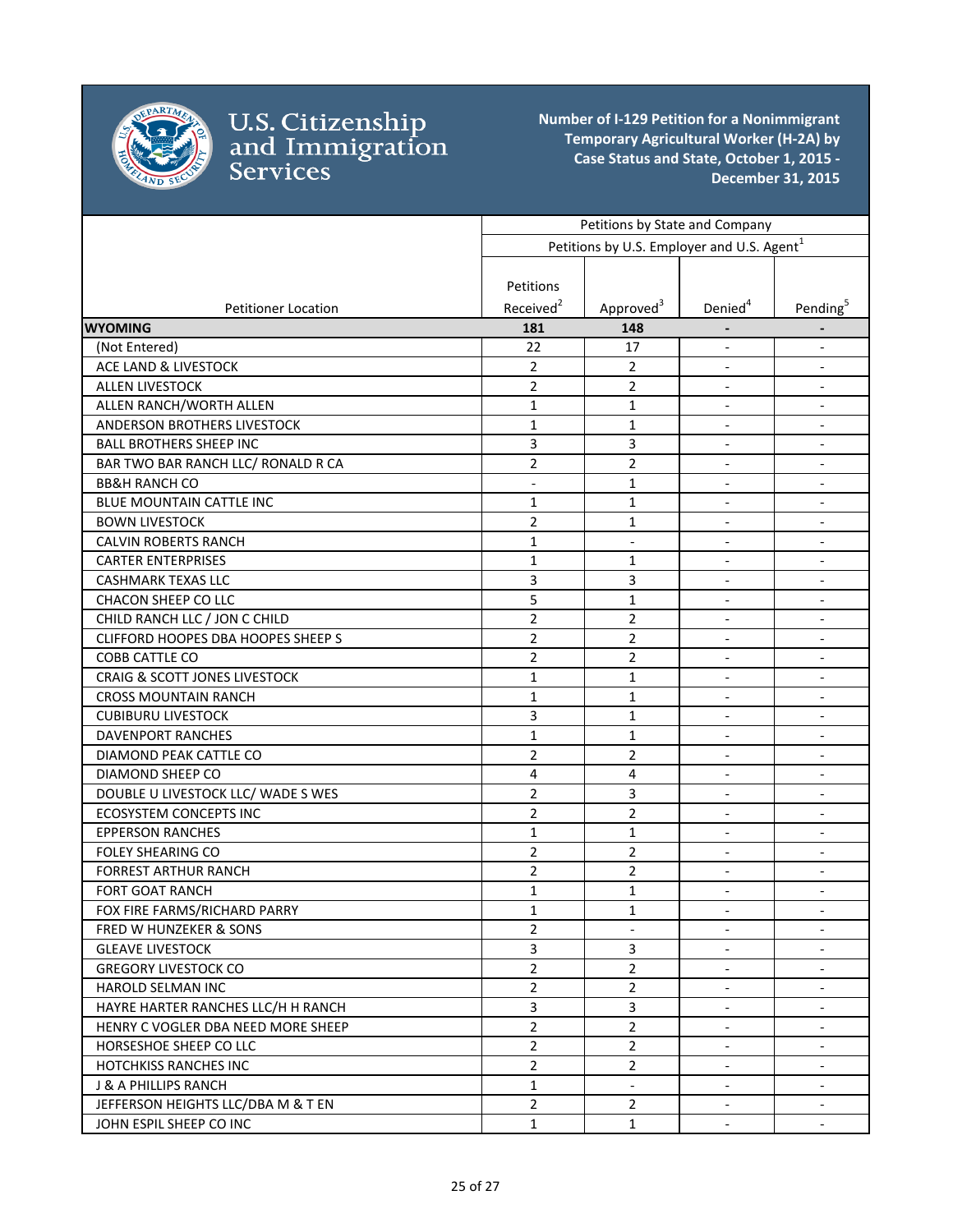

|                                           | Petitions by State and Company<br>Petitions by U.S. Employer and U.S. Agent <sup>1</sup> |                          |                              |                              |
|-------------------------------------------|------------------------------------------------------------------------------------------|--------------------------|------------------------------|------------------------------|
|                                           |                                                                                          |                          |                              |                              |
|                                           |                                                                                          |                          |                              |                              |
|                                           | Petitions                                                                                |                          |                              |                              |
| <b>Petitioner Location</b>                | Received <sup>2</sup>                                                                    | Approved <sup>3</sup>    | Denied <sup>4</sup>          | Pending <sup>5</sup>         |
| <b>WYOMING</b>                            | 181                                                                                      | 148                      |                              |                              |
| (Not Entered)                             | 22                                                                                       | 17                       | $\overline{\phantom{a}}$     | $\overline{\phantom{a}}$     |
| ACE LAND & LIVESTOCK                      | $\overline{2}$                                                                           | $\overline{2}$           | $\overline{\phantom{a}}$     | $\overline{\phantom{a}}$     |
| <b>ALLEN LIVESTOCK</b>                    | $\overline{2}$                                                                           | $\overline{2}$           | $\overline{\phantom{a}}$     | $\overline{\phantom{a}}$     |
| ALLEN RANCH/WORTH ALLEN                   | $\mathbf{1}$                                                                             | $\mathbf{1}$             | $\overline{\phantom{a}}$     | $\blacksquare$               |
| ANDERSON BROTHERS LIVESTOCK               | $\mathbf{1}$                                                                             | $\mathbf{1}$             | $\overline{\phantom{a}}$     | $\blacksquare$               |
| <b>BALL BROTHERS SHEEP INC</b>            | 3                                                                                        | 3                        |                              |                              |
| BAR TWO BAR RANCH LLC/ RONALD R CA        | $\overline{2}$                                                                           | $\overline{2}$           | $\blacksquare$               | $\blacksquare$               |
| <b>BB&amp;H RANCH CO</b>                  | $\overline{\phantom{a}}$                                                                 | $\mathbf{1}$             | $\blacksquare$               |                              |
| BLUE MOUNTAIN CATTLE INC                  | $\mathbf{1}$                                                                             | $\mathbf{1}$             | $\overline{\phantom{a}}$     |                              |
| <b>BOWN LIVESTOCK</b>                     | $\overline{2}$                                                                           | $\mathbf{1}$             | $\overline{\phantom{a}}$     | $\blacksquare$               |
| <b>CALVIN ROBERTS RANCH</b>               | $\mathbf{1}$                                                                             | $\Box$                   | $\blacksquare$               | $\blacksquare$               |
| <b>CARTER ENTERPRISES</b>                 | $\mathbf{1}$                                                                             | 1                        | $\overline{\phantom{a}}$     | $\overline{a}$               |
| <b>CASHMARK TEXAS LLC</b>                 | 3                                                                                        | 3                        |                              | $\overline{a}$               |
| CHACON SHEEP CO LLC                       | 5                                                                                        | $\mathbf{1}$             | $\overline{\phantom{a}}$     | $\overline{\phantom{a}}$     |
| CHILD RANCH LLC / JON C CHILD             | $\overline{2}$                                                                           | $\overline{2}$           | $\overline{\phantom{a}}$     | $\overline{\phantom{a}}$     |
| <b>CLIFFORD HOOPES DBA HOOPES SHEEP S</b> | $\overline{2}$                                                                           | $\overline{2}$           | $\overline{\phantom{a}}$     | $\overline{\phantom{a}}$     |
| COBB CATTLE CO                            | $\overline{2}$                                                                           | $\overline{2}$           | $\blacksquare$               | $\overline{\phantom{a}}$     |
| <b>CRAIG &amp; SCOTT JONES LIVESTOCK</b>  | $\mathbf{1}$                                                                             | 1                        | $\overline{\phantom{a}}$     | $\overline{\phantom{a}}$     |
| <b>CROSS MOUNTAIN RANCH</b>               | $\mathbf{1}$                                                                             | $\mathbf{1}$             |                              |                              |
| <b>CUBIBURU LIVESTOCK</b>                 | 3                                                                                        | 1                        | $\overline{\phantom{a}}$     | $\blacksquare$               |
| DAVENPORT RANCHES                         | $\mathbf{1}$                                                                             | $\mathbf{1}$             | $\overline{\phantom{a}}$     |                              |
| DIAMOND PEAK CATTLE CO                    | $\overline{2}$                                                                           | $\overline{2}$           | $\blacksquare$               | $\overline{\phantom{a}}$     |
| DIAMOND SHEEP CO                          | $\overline{4}$                                                                           | 4                        | $\blacksquare$               | $\blacksquare$               |
| DOUBLE U LIVESTOCK LLC/ WADE SWES         | $\overline{2}$                                                                           | 3                        | $\overline{\phantom{a}}$     | $\overline{\phantom{a}}$     |
| <b>ECOSYSTEM CONCEPTS INC</b>             | $\overline{2}$                                                                           | $\overline{2}$           | $\overline{\phantom{a}}$     | $\overline{a}$               |
| <b>EPPERSON RANCHES</b>                   | 1                                                                                        | $\mathbf{1}$             | $\qquad \qquad \blacksquare$ | $\qquad \qquad \blacksquare$ |
| <b>FOLEY SHEARING CO</b>                  | $\overline{2}$                                                                           | 2                        | $\overline{\phantom{a}}$     | $\overline{\phantom{a}}$     |
| <b>FORREST ARTHUR RANCH</b>               | $\overline{2}$                                                                           | $\overline{2}$           | $\overline{\phantom{a}}$     | $\overline{\phantom{a}}$     |
| <b>FORT GOAT RANCH</b>                    | 1                                                                                        | 1                        | $\overline{\phantom{a}}$     | $\overline{\phantom{a}}$     |
| FOX FIRE FARMS/RICHARD PARRY              | $\mathbf 1$                                                                              | $\mathbf 1$              |                              |                              |
| FRED W HUNZEKER & SONS                    | $\overline{2}$                                                                           | $\overline{\phantom{a}}$ | $\overline{\phantom{a}}$     | $\overline{\phantom{a}}$     |
| <b>GLEAVE LIVESTOCK</b>                   | 3                                                                                        | 3                        |                              |                              |
| <b>GREGORY LIVESTOCK CO</b>               | $\overline{2}$                                                                           | $\overline{2}$           |                              |                              |
| HAROLD SELMAN INC                         | $\overline{2}$                                                                           | $\overline{2}$           |                              |                              |
| HAYRE HARTER RANCHES LLC/H H RANCH        | 3                                                                                        | 3                        |                              |                              |
| HENRY C VOGLER DBA NEED MORE SHEEP        | $\overline{2}$                                                                           | $\overline{2}$           | $\overline{\phantom{a}}$     | $\overline{\phantom{a}}$     |
| HORSESHOE SHEEP CO LLC                    | $\overline{2}$                                                                           | $\overline{2}$           | $\overline{\phantom{a}}$     | $\overline{\phantom{a}}$     |
| <b>HOTCHKISS RANCHES INC</b>              | $\overline{2}$                                                                           | $\overline{2}$           | $\qquad \qquad \blacksquare$ | $\overline{\phantom{a}}$     |
| J & A PHILLIPS RANCH                      | $\mathbf{1}$                                                                             | $\Box$                   | $\overline{\phantom{a}}$     | $\blacksquare$               |
| JEFFERSON HEIGHTS LLC/DBA M & T EN        | $\overline{2}$                                                                           | $\overline{2}$           | $\overline{\phantom{a}}$     | $\blacksquare$               |
| JOHN ESPIL SHEEP CO INC                   | $\mathbf{1}$                                                                             | $\mathbf{1}$             | $\overline{\phantom{a}}$     | $\overline{\phantom{a}}$     |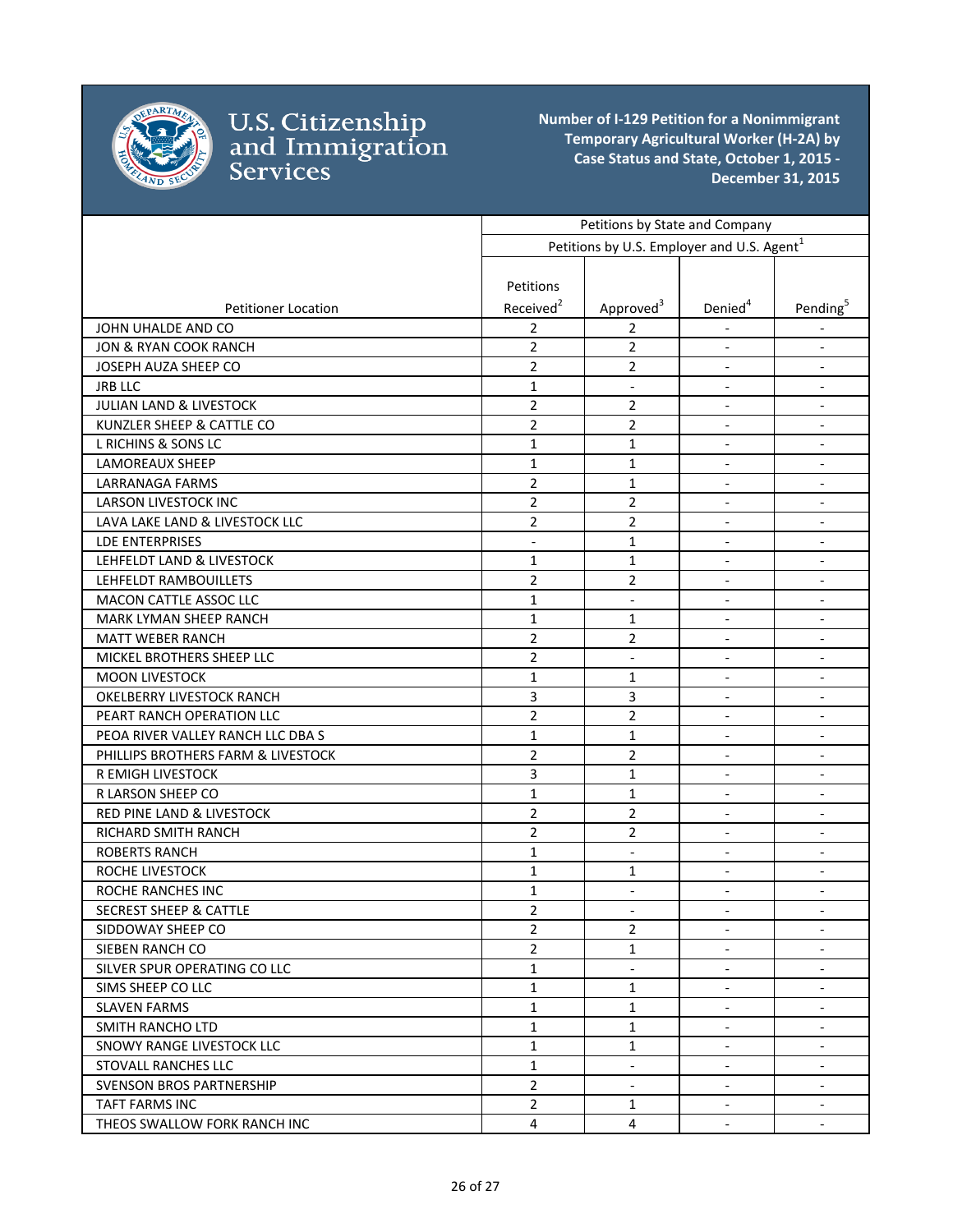

|                                    | Petitions by State and Company<br>Petitions by U.S. Employer and U.S. Agent <sup>1</sup> |                          |                              |                              |
|------------------------------------|------------------------------------------------------------------------------------------|--------------------------|------------------------------|------------------------------|
|                                    |                                                                                          |                          |                              |                              |
|                                    |                                                                                          |                          |                              |                              |
|                                    | Petitions                                                                                |                          |                              |                              |
| <b>Petitioner Location</b>         | Received <sup>2</sup>                                                                    | Approved <sup>3</sup>    | Denied <sup>4</sup>          | Pending <sup>5</sup>         |
| JOHN UHALDE AND CO                 | $\overline{2}$                                                                           | 2                        |                              |                              |
| JON & RYAN COOK RANCH              | $\overline{2}$                                                                           | 2                        | $\blacksquare$               | $\overline{\phantom{a}}$     |
| JOSEPH AUZA SHEEP CO               | $\overline{2}$                                                                           | $\overline{2}$           |                              | $\overline{\phantom{a}}$     |
| <b>JRB LLC</b>                     | $\mathbf{1}$                                                                             | $\overline{\phantom{a}}$ | $\overline{\phantom{a}}$     | $\overline{\phantom{a}}$     |
| JULIAN LAND & LIVESTOCK            | $\overline{2}$                                                                           | $\overline{2}$           | $\overline{\phantom{a}}$     | $\overline{\phantom{a}}$     |
| KUNZLER SHEEP & CATTLE CO          | $\overline{2}$                                                                           | 2                        | $\overline{\phantom{a}}$     | $\overline{\phantom{a}}$     |
| L RICHINS & SONS LC                | $\mathbf{1}$                                                                             | 1                        | $\blacksquare$               | $\Box$                       |
| LAMOREAUX SHEEP                    | 1                                                                                        | 1                        | $\blacksquare$               | $\overline{\phantom{a}}$     |
| LARRANAGA FARMS                    | $\overline{2}$                                                                           | 1                        |                              | $\overline{\phantom{a}}$     |
| <b>LARSON LIVESTOCK INC</b>        | $\overline{2}$                                                                           | 2                        | $\overline{\phantom{a}}$     | $\overline{\phantom{a}}$     |
| LAVA LAKE LAND & LIVESTOCK LLC     | $\overline{2}$                                                                           | $\overline{2}$           | $\overline{\phantom{a}}$     | $\overline{\phantom{a}}$     |
| <b>LDE ENTERPRISES</b>             | $\blacksquare$                                                                           | $\mathbf{1}$             | $\overline{\phantom{a}}$     | $\blacksquare$               |
| LEHFELDT LAND & LIVESTOCK          | $\mathbf{1}$                                                                             | $\mathbf{1}$             | $\overline{\phantom{a}}$     | $\overline{\phantom{a}}$     |
| LEHFELDT RAMBOUILLETS              | 2                                                                                        | 2                        | $\overline{\phantom{a}}$     | $\overline{\phantom{a}}$     |
| <b>MACON CATTLE ASSOC LLC</b>      | $\mathbf{1}$                                                                             |                          |                              | $\overline{\phantom{a}}$     |
| MARK LYMAN SHEEP RANCH             | $\mathbf{1}$                                                                             | 1                        | $\overline{\phantom{a}}$     | $\overline{\phantom{a}}$     |
| <b>MATT WEBER RANCH</b>            | $\overline{2}$                                                                           | 2                        | $\overline{\phantom{a}}$     | $\overline{\phantom{a}}$     |
| MICKEL BROTHERS SHEEP LLC          | $\overline{2}$                                                                           | $\overline{\phantom{a}}$ | $\overline{\phantom{a}}$     | $\overline{\phantom{a}}$     |
| <b>MOON LIVESTOCK</b>              | $\mathbf{1}$                                                                             | $\mathbf{1}$             | $\overline{\phantom{a}}$     | $\overline{\phantom{a}}$     |
| OKELBERRY LIVESTOCK RANCH          | 3                                                                                        | 3                        | $\overline{\phantom{a}}$     | $\overline{\phantom{a}}$     |
| PEART RANCH OPERATION LLC          | $\overline{2}$                                                                           | $\overline{2}$           |                              | $\overline{\phantom{a}}$     |
| PEOA RIVER VALLEY RANCH LLC DBA S  | $\mathbf{1}$                                                                             | $\mathbf{1}$             | $\overline{\phantom{a}}$     | $\overline{\phantom{a}}$     |
| PHILLIPS BROTHERS FARM & LIVESTOCK | $\overline{2}$                                                                           | $\overline{2}$           | $\overline{\phantom{a}}$     | $\overline{\phantom{a}}$     |
| R EMIGH LIVESTOCK                  | 3                                                                                        | 1                        | $\blacksquare$               | $\blacksquare$               |
| R LARSON SHEEP CO                  | $\mathbf{1}$                                                                             | $\mathbf{1}$             | $\blacksquare$               | $\overline{\phantom{a}}$     |
| RED PINE LAND & LIVESTOCK          | $\overline{2}$                                                                           | $\overline{2}$           | $\blacksquare$               | $\overline{\phantom{a}}$     |
| <b>RICHARD SMITH RANCH</b>         | $\overline{2}$                                                                           | $\overline{2}$           | $\blacksquare$               | $\overline{\phantom{a}}$     |
| <b>ROBERTS RANCH</b>               | $\mathbf{1}$                                                                             | $\overline{\phantom{a}}$ | $\overline{\phantom{a}}$     | $\overline{\phantom{a}}$     |
| ROCHE LIVESTOCK                    | $\mathbf{1}$                                                                             | 1                        | $\overline{\phantom{a}}$     | $\qquad \qquad \blacksquare$ |
| <b>ROCHE RANCHES INC</b>           | 1                                                                                        | $\overline{\phantom{a}}$ | $\overline{\phantom{a}}$     | $\overline{\phantom{a}}$     |
| <b>SECREST SHEEP &amp; CATTLE</b>  | $\overline{2}$                                                                           | $\overline{\phantom{a}}$ | $\qquad \qquad \blacksquare$ | $\overline{\phantom{a}}$     |
| SIDDOWAY SHEEP CO                  | $\overline{2}$                                                                           | $\overline{2}$           | $\overline{\phantom{a}}$     | $\overline{\phantom{a}}$     |
| SIEBEN RANCH CO                    | $\overline{2}$                                                                           | 1                        | $\blacksquare$               | $\blacksquare$               |
| SILVER SPUR OPERATING CO LLC       | $\mathbf{1}$                                                                             | $\overline{\phantom{a}}$ | $\blacksquare$               | $\overline{\phantom{a}}$     |
| SIMS SHEEP CO LLC                  | $\mathbf{1}$                                                                             | $\mathbf{1}$             | $\overline{\phantom{a}}$     | $\overline{\phantom{a}}$     |
| <b>SLAVEN FARMS</b>                | $\mathbf{1}$                                                                             | 1                        | $\overline{\phantom{a}}$     | $\overline{\phantom{a}}$     |
| SMITH RANCHO LTD                   | $\mathbf{1}$                                                                             | 1                        | $\blacksquare$               | $\overline{\phantom{a}}$     |
| SNOWY RANGE LIVESTOCK LLC          | $\mathbf{1}$                                                                             | $\mathbf{1}$             | $\overline{\phantom{a}}$     | $\overline{\phantom{a}}$     |
| STOVALL RANCHES LLC                | $\mathbf{1}$                                                                             | $\overline{\phantom{a}}$ | $\blacksquare$               | $\overline{\phantom{a}}$     |
| SVENSON BROS PARTNERSHIP           | $\overline{2}$                                                                           | $\blacksquare$           | $\blacksquare$               | $\overline{\phantom{a}}$     |
| <b>TAFT FARMS INC</b>              | $\overline{2}$                                                                           | 1                        | $\overline{\phantom{a}}$     | $\overline{\phantom{a}}$     |
| THEOS SWALLOW FORK RANCH INC       | 4                                                                                        | 4                        | $\overline{\phantom{a}}$     | $\overline{\phantom{a}}$     |